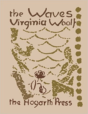the Waves the Hogarth Press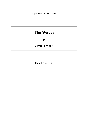https://onemorelibrary.com

# **The Waves**

# **by**

# **Virginia Woolf**

Hogarth Press, 1931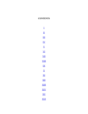#### **CONTENTS**

[I](#page-4-0) [II](#page-5-0) [III](#page-18-0) [IV](#page-18-1) [V](#page-20-0) [VI](#page-25-0) [VII](#page-29-0) [VIII](#page-33-0) [IX](#page-36-0) [X](#page-38-0) [XI](#page-41-0) [XII](#page-45-0) [XIII](#page-47-0) [XIV](#page-60-0) [XV](#page-67-0) [XVI](#page-68-0)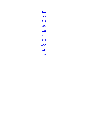| <b>XVII</b>            |
|------------------------|
| <b>XVIII</b>           |
| <b>XIX</b>             |
| $\overline{\text{XX}}$ |
| <b>XXI</b>             |
| <b>XXII</b>            |
| <b>XXIII</b>           |
| <b>XXIV</b>            |
| XV                     |
| <u>XVI</u>             |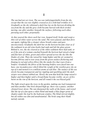<span id="page-4-0"></span>*The sun had not yet risen. The sea was indistinguishable from the sky, except that the sea was slightly creased as if a cloth had wrinkles in it. Gradually as the sky whitened a dark line lay on the horizon dividing the sea from the sky and the grey cloth became barred with thick strokes moving, one after another, beneath the surface, following each other, pursuing each other, perpetually.*

*As they neared the shore each bar rose, heaped itself, broke and swept a thin veil of white water across the sand. The wave paused, and then drew out again, sighing like a sleeper whose breath comes and goes unconsciously. Gradually the dark bar on the horizon became clear as if the sediment in an old wine-bottle had sunk and left the glass green. Behind it, too, the sky cleared as if the white sediment there had sunk, or as if the arm of a woman couched beneath the horizon had raised a lamp and flat bars of white, green and yellow spread across the sky like the blades of a fan. Then she raised her lamp higher and the air seemed to become fibrous and to tear away from the green surface flickering and flaming in red and yellow fibres like the smoky fire that roars from a bonfire. Gradually the fibres of the burning bonfire were fused into one haze, one incandescence which lifted the weight of the woollen grey sky on top of it and turned it to a million atoms of soft blue. The surface of the sea slowly became transparent and lay rippling and sparkling until the dark stripes were almost rubbed out. Slowly the arm that held the lamp raised it higher and then higher until a broad flame became visible; an arc of fire burnt on the rim of the horizon, and all round it the sea blazed gold.*

*The light struck upon the trees in the garden, making one leaf transparent and then another. One bird chirped high up; there was a pause; another chirped lower down. The sun sharpened the walls of the house, and rested like the tip of a fan upon a white blind and made a blue finger-print of shadow under the leaf by the bedroom window. The blind stirred slightly, but all within was dim and unsubstantial. The birds sang their blank melody outside.*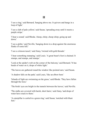<span id="page-5-0"></span>'I see a ring,' said Bernard, 'hanging above me. It quivers and hangs in a loop of light.'

'I see a slab of pale yellow,' said Susan, 'spreading away until it meets a purple stripe.'

'I hear a sound,' said Rhoda, 'cheep, chirp; cheep chirp; going up and down.'

'I see a globe,' said Neville, 'hanging down in a drop against the enormous flanks of some hill.'

'I see a crimson tassel,' said Jinny, 'twisted with gold threads.'

'I hear something stamping,' said Louis. 'A great beast's foot is chained. It stamps, and stamps, and stamps.'

'Look at the spider's web on the corner of the balcony,' said Bernard. 'It has beads of water on it, drops of white light.'

'The leaves are gathered round the window like pointed ears,' said Susan.

'A shadow falls on the path,' said Louis, 'like an elbow bent.'

'Islands of light are swimming on the grass,' said Rhoda. 'They have fallen through the trees.'

'The birds' eyes are bright in the tunnels between the leaves,' said Neville.

'The stalks are covered with harsh, short hairs,' said Jinny, 'and drops of water have stuck to them.'

'A caterpillar is curled in a green ring,' said Susan, 'notched with blunt feet.'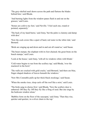'The grey-shelled snail draws across the path and flattens the blades behind him,' said Rhoda.

'And burning lights from the window-panes flash in and out on the grasses,' said Louis.

'Stones are cold to my feet,' said Neville. 'I feel each one, round or pointed, separately.'

'The back of my hand burns,' said Jinny, 'but the palm is clammy and damp with dew'

'Now the cock crows like a spurt of hard, red water in the white tide,' said Bernard.

'Birds are singing up and down and in and out all round us,' said Susan.

'The beast stamps; the elephant with its foot chained; the great brute on the beach stamps,' said Louis.

'Look at the house,' said Jinny, 'with all its windows white with blinds.'

'Cold water begins to run from the scullery tap,' said Rhoda, 'over the mackerel in the bowl.'

'The walls are cracked with gold cracks,' said Bernard, 'and there are blue, finger-shaped shadows of leaves beneath the windows.'

'Now Mrs Constable pulls up her thick black stockings,' said Susan.

'When the smoke rises, sleep curls off the roof like a mist,' said Louis.

'The birds sang in chorus first,' said Rhoda. 'Now the scullery door is unbarred. Off they fly. Off they fly like a fling of seed. But one sings by the bedroom window alone.'

'Bubbles form on the floor of the saucepan,' said Jinny. 'Then they rise, quicker and quicker, in a silver chain to the top.'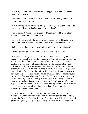'Now Billy scrapes the fish-scales with a jagged knife on to a wooden board,' said Neville.

'The dining-room window is dark blue now,' said Bernard, 'and the air ripples above the chimneys.'

'A swallow is perched on the lightning-conductor,' said Susan. 'And Biddy has smacked down the bucket on the kitchen flags.'

'That is the first stroke of the church bell,' said Louis. 'Then the others follow; one, two; one, two; one, two.'

'Look at the table-cloth, flying white along the table,' said Rhoda. 'Now there are rounds of white china, and silver streaks beside each plate.'

'Suddenly a bee booms in my ear,' said Neville. 'It is here; it is past.'

'I burn, I shiver,' said Jinny, 'out of this sun, into this shadow.'

'Now they have all gone,' said Louis. 'I am alone. They have gone into the house for breakfast, and I am left standing by the wall among the flowers. It is very early, before lessons. Flower after flower is specked on the depths of green. The petals are harlequins. Stalks rise from the black hollows beneath. The flowers swim like fish made of light upon the dark, green waters. I hold a stalk in my hand. I am the stalk. My roots go down to the depths of the world, through earth dry with brick, and damp earth, through veins of lead and silver. I am all fibre. All tremors shake me, and the weight of the earth is pressed to my ribs. Up here my eyes are green leaves, unseeing. I am a boy in grey flannels with a belt fastened by a brass snake up here. Down there my eyes are the lidless eyes of a stone figure in a desert by the Nile. I see women passing with red pitchers to the river; I see camels swaying and men in turbans. I hear tramplings, tremblings, stirrings round me.

'Up here Bernard, Neville, Jinny and Susan (but not Rhoda) skim the flower-beds with their nets. They skim the butterflies from the nodding tops of the flowers. They brush the surface of the world. Their nets are full of fluttering wings. "Louis! Louis! Louis!" they shout. But they cannot see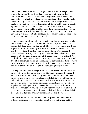me. I am on the other side of the hedge. There are only little eye-holes among the leaves. Oh Lord, let them pass. Lord, let them lay their butterflies on a pocket-handkerchief on the gravel. Let them count out their tortoise-shells, their red admirals and cabbage whites. But let me be unseen. I am green as a yew tree in the shade of the hedge. My hair is made of leaves. I am rooted to the middle of the earth. My body is a stalk. I press the stalk. A drop oozes from the hole at the mouth and slowly, thickly, grows larger and larger. Now something pink passes the eyehole. Now an eye-beam is slid through the chink. Its beam strikes me. I am a boy in a grey flannel suit. She has found me. I am struck on the nape of the neck. She has kissed me. All is shattered.'

'I was running,' said Jinny, 'after breakfast. I saw leaves moving in a hole in the hedge. I thought "That is a bird on its nest." I parted them and looked; but there was no bird on a nest. The leaves went on moving. I was frightened. I ran past Susan, past Rhoda, and Neville and Bernard in the tool-house talking. I cried as I ran, faster and faster. What moved the leaves? What moves my heart, my legs? And I dashed in here, seeing you green as a bush, like a branch, very still, Louis, with your eyes fixed. "Is he dead?" I thought, and kissed you, with my heart jumping under my pink frock like the leaves, which go on moving, though there is nothing to move them. Now I smell geraniums; I smell earth mould. I dance. I ripple. I am thrown over you like a net of light. I lie quivering flung over you.'

'Through the chink in the hedge,' said Susan, 'I saw her kiss him. I raised my head from my flower-pot and looked through a chink in the hedge. I saw her kiss him. I saw them, Jinny and Louis, kissing. Now I will wrap my agony inside my pocket-handkerchief. It shall be screwed tight into a ball. I will go to the beech wood alone, before lessons. I will not sit at a table, doing sums. I will not sit next Jinny and next Louis. I will take my anguish and lay it upon the roots under the beech trees. I will examine it and take it between my fingers. They will not find me. I shall eat nuts and peer for eggs through the brambles and my hair will be matted and I shall sleep under hedges and drink water from ditches and die there.'

'Susan has passed us,' said Bernard. 'She has passed the tool-house door with her handkerchief screwed into a ball. She was not crying, but her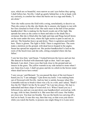eyes, which are so beautiful, were narrow as cats' eyes before they spring. I shall follow her, Neville. I shall go gently behind her, to be at hand, with my curiosity, to comfort her when she bursts out in a rage and thinks, "I am alone."

'Now she walks across the field with a swing, nonchalantly, to deceive us. Then she comes to the dip; she thinks she is unseen; she begins to run with her fists clenched in front of her. Her nails meet in the ball of her pockethandkerchief. She is making for the beech woods out of the light. She spreads her arms as she comes to them and takes to the shade like a swimmer. But she is blind after the light and trips and flings herself down on the roots under the trees, where the light seems to pant in and out, in and out. The branches heave up and down. There is agitation and trouble here. There is gloom. The light is fitful. There is anguish here. The roots make a skeleton on the ground, with dead leaves heaped in the angles. Susan has spread her anguish out. Her pocket-handkerchief is laid on the roots of the beech trees and she sobs, sitting crumpled where she has fallen.'

'I saw her kiss him,' said Susan. 'I looked between the leaves and saw her. She danced in flecked with diamonds light as dust. And I am squat, Bernard, I am short. I have eyes that look close to the ground and see insects in the grass. The yellow warmth in my side turned to stone when I saw Jinny kiss Louis. I shall eat grass and die in a ditch in the brown water where dead leaves have rotted.'

'I saw you go,' said Bernard. 'As you passed the door of the tool-house I heard you cry "I am unhappy." I put down my knife. I was making boats out of firewood with Neville. And my hair is untidy, because when Mrs Constable told me to brush it there was a fly in a web, and I asked, "Shall I free the fly? Shall I let the fly be eaten?" So I am late always. My hair is unbrushed and these chips of wood stick in it. When I heard you cry I followed you, and saw you put down your handkerchief, screwed up, with its rage, with its hate, knotted in it. But soon that will cease. Our bodies are close now. You hear me breathe. You see the beetle too carrying off a leaf on its back. It runs this way, then that way, so that even your desire while you watch the beetle, to possess one single thing (it is Louis now)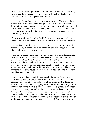must waver, like the light in and out of the beech leaves; and then words, moving darkly, in the depths of your mind will break up this knot of hardness, screwed in your pocket-handkerchief.'

'I love,' said Susan, 'and I hate. I desire one thing only. My eyes are hard. Jinny's eyes break into a thousand lights. Rhoda's are like those pale flowers to which moths come in the evening. Yours grow full and brim and never break. But I am already set on my pursuit. I see insects in the grass. Though my mother still knits white socks for me and hems pinafores and I am a child, I love and I hate.'

'But when we sit together, close,' said Bernard, 'we melt into each other with phrases. We are edged with mist. We make an unsubstantial territory.'

'I see the beetle,' said Susan. 'It is black, I see; it is green, I see; I am tied down with single words. But you wander off; you slip away; you rise up higher, with words and words in phrases.'

'Now,' said Bernard, 'let us explore. There is the white house lying among the trees. It lies down there ever so far beneath us. We shall sink like swimmers just touching the ground with the tips of their toes. We shall sink through the green air of the leaves, Susan. We sink as we run. The waves close over us, the beech leaves meet above our heads. There is the stable clock with its gilt hands shining. Those are the flats and heights of the roofs of the great house. There is the stable-boy clattering in the yard in rubber boots. That is Elvedon.

'Now we have fallen through the tree-tops to the earth. The air no longer rolls its long, unhappy, purple waves over us. We touch earth; we tread ground. That is the close-clipped hedge of the ladies' garden. There they walk at noon, with scissors, clipping roses. Now we are in the ringed wood with the wall round it. This is Elvedon. I have seen signposts at the crossroads with one arm pointing "To Elvedon". No one has been there. The ferns smell very strong, and there are red funguses growing beneath them. Now we wake the sleeping daws who have never seen a human form; now we tread on rotten oak apples, red with age and slippery. There is a ring of wall round this wood; nobody comes here. Listen! That is the flop of a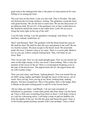giant toad in the undergrowth; that is the patter of some primeval fir-cone falling to rot among the ferns.

'Put your foot on this brick. Look over the wall. That is Elvedon. The lady sits between the two long windows, writing. The gardeners sweep the lawn with giant brooms. We are the first to come here. We are the discoverers of an unknown land. Do not stir; if the gardeners saw us they would shoot us. We should be nailed like stoats to the stable door. Look! Do not move. Grasp the ferns tight on the top of the wall.'

'I see the lady writing. I see the gardeners sweeping,' said Susan. 'If we died here, nobody would bury us.'

'Run!' said Bernard. 'Run! The gardener with the black beard has seen us! We shall be shot! We shall be shot like jays and pinned to the wall! We are in a hostile country. We must escape to the beech wood. We must hide under the trees. I turned a twig as we came. There is a secret path. Bend as low as you can. Follow without looking back. They will think we are foxes. Run!

'Now we are safe. Now we can stand upright again. Now we can stretch our arms in this high canopy, in this vast wood. I hear nothing. That is only the murmur of the waves in the air. That is a wood-pigeon breaking cover in the tops of the beech trees. The pigeon beats the air; the pigeon beats the air with wooden wings.'

'Now you trail away,' said Susan, 'making phrases. Now you mount like an air-ball's string, higher and higher through the layers of the leaves, out of reach. Now you lag. Now you tug at my skirts, looking back, making phrases. You have escaped me. Here is the garden. Here is the hedge. Here is Rhoda on the path rocking petals to and fro in her brown basin.'

'All my ships are white,' said Rhoda. 'I do not want red petals of hollyhocks or geranium. I want white petals that float when I tip the basin up. I have a fleet now swimming from shore to shore. I will drop a twig in as a raft for a drowning sailor. I will drop a stone in and see bubbles rise from the depths of the sea. Neville has gone and Susan has gone; Jinny is in the kitchen garden picking currants with Louis perhaps. I have a short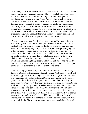time alone, while Miss Hudson spreads our copy-books on the schoolroom table. I have a short space of freedom. I have picked all the fallen petals and made them swim. I have put raindrops in some. I will plant a lighthouse here, a head of Sweet Alice. And I will now rock the brown basin from side to side so that my ships may ride the waves. Some will founder. Some will dash themselves against the cliffs. One sails alone. That is my ship. It sails into icy caverns where the sea-bear barks and stalactites swing green chains. The waves rise; their crests curl; look at the lights on the mastheads. They have scattered, they have foundered, all except my ship, which mounts the wave and sweeps before the gale and reaches the islands where the parrots chatter and the creepers … '

'Where is Bernard?' said Neville. 'He has my knife. We were in the toolshed making boats, and Susan came past the door. And Bernard dropped his boat and went after her taking my knife, the sharp one that cuts the keel. He is like a dangling wire, a broken bell-pull, always twangling. He is like the seaweed hung outside the window, damp now, now dry. He leaves me in the lurch; he follows Susan; and if Susan cries he will take my knife and tell her stories. The big blade is an emperor; the broken blade a Negro. I hate dangling things; I hate dampish things. I hate wandering and mixing things together. Now the bell rings and we shall be late. Now we must drop our toys. Now we must go in together. The copybooks are laid out side by side on the green baize table.'

'I will not conjugate the verb,' said Louis, 'until Bernard has said it. My father is a banker in Brisbane and I speak with an Australian accent. I will wait and copy Bernard. He is English. They are all English. Susan's father is a clergyman. Rhoda has no father. Bernard and Neville are the sons of gentlemen. Jinny lives with her grandmother in London. Now they suck their pens. Now they twist their copy-books, and, looking sideways at Miss Hudson, count the purple buttons on her bodice. Bernard has a chip in his hair. Susan has a red look in her eyes. Both are flushed. But I am pale; I am neat, and my knickerbockers are drawn together by a belt with a brass snake. I know the lesson by heart. I know more than they will ever know. I knew my cases and my genders; I could know everything in the world if I wished. But I do not wish to come to the top and say my lesson. My roots are threaded, like fibres in a flower-pot, round and round about the world.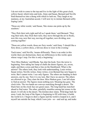I do not wish to come to the top and live in the light of this great clock, yellow-faced, which ticks and ticks. Jinny and Susan, Bernard and Neville bind themselves into a thong with which to lash me. They laugh at my neatness, at my Australian accent. I will now try to imitate Bernard softly lisping Latin.'

'Those are white words,' said Susan, 'like stones one picks up by the seashore.'

'They flick their tails right and left as I speak them,' said Bernard. 'They wag their tails; they flick their tails; they move through the air in flocks, now this way, now that way, moving all together, now dividing, now coming together.'

'Those are yellow words, those are fiery words,' said Jinny. 'I should like a fiery dress, a yellow dress, a fulvous dress to wear in the evening.'

'Each tense,' said Neville, 'means differently. There is an order in this world; there are distinctions, there are differences in this world, upon whose verge I step. For this is only a beginning.'

'Now Miss Hudson,' said Rhoda, 'has shut the book. Now the terror is beginning. Now taking her lump of chalk she draws figures, six, seven, eight, and then a cross and then a line on the blackboard. What is the answer? The others look; they look with understanding. Louis writes; Susan writes; Neville writes; Jinny writes; even Bernard has now begun to write. But I cannot write. I see only figures. The others are handing in their answers, one by one. Now it is my turn. But I have no answer. The others are allowed to go. They slam the door. Miss Hudson goes. I am left alone to find an answer. The figures mean nothing now. Meaning has gone. The clock ticks. The two hands are convoys marching through a desert. The black bars on the clock face are green oases. The long hand has marched ahead to find water. The other, painfully stumbles among hot stones in the desert. It will die in the desert. The kitchen door slams. Wild dogs bark far away. Look, the loop of the figure is beginning to fill with time; it holds the world in it. I begin to draw a figure and the world is looped in it, and I myself am outside the loop; which I now join—so—and seal up, and make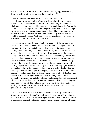entire. The world is entire, and I am outside of it, crying, "Oh save me, from being blown for ever outside the loop of time!"'

'There Rhoda sits staring at the blackboard,' said Louis, 'in the schoolroom, while we ramble off, picking here a bit of thyme, pinching here a leaf of southernwood while Bernard tells a story. Her shoulderblades meet across her back like the wings of a small butterfly. And as she stares at the chalk figures, her mind lodges in those white circles, it steps through those white loops into emptiness, alone. They have no meaning for her. She has no answer for them. She has no body as the others have. And I, who speak with an Australian accent, whose father is a banker in Brisbane, do not fear her as I fear the others.'

'Let us now crawl,' said Bernard, 'under the canopy of the currant leaves, and tell stories. Let us inhabit the underworld. Let us take possession of our secret territory, which is lit by pendant currants like candelabra, shining red on one side, black on the other. Here, Jinny, if we curl up close, we can sit under the canopy of the currant leaves and watch the censers swing. This is our universe. The others pass down the carriage-drive. The skirts of Miss Hudson and Miss Curry sweep by like candle extinguishers. Those are Susan's white socks. Those are Louis' neat sand-shoes firmly printing the gravel. Here come warm gusts of decomposing leaves, of rotting vegetation. We are in a swamp now; in a malarial jungle. There is an elephant white with maggots, killed by an arrow shot dead in its eye. The bright eyes of hopping birds—eagles, vultures—are apparent. They take us for fallen trees. They pick at a worm—that is a hooded cobra—and leave it with a festering brown scar to be mauled by lions. This is our world, lit with crescents and stars of light; and great petals half transparent block the openings like purple windows. Everything is strange. Things are huge and very small. The stalks of flowers are thick as oak trees. Leaves are high as the domes of vast cathedrals. We are giants, lying here, who can make forests quiver.'

'This is here,' said Jinny, 'this is now. But soon we shall go. Soon Miss Curry will blow her whistle. We shall walk. We shall part. You will go to school. You will have masters wearing crosses with white ties. I shall have a mistress in a school on the East Coast who sits under a portrait of Queen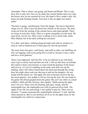Alexandra. That is where I am going, and Susan and Rhoda. This is only here; this is only now. Now we lie under the currant bushes and every time the breeze stirs we are mottled all over. My hand is like a snake's skin. My knees are pink floating islands. Your face is like an apple tree netted under.'

'The heat is going,' said Bernard, 'from the Jungle. The leaves flap black wings over us. Miss Curry has blown her whistle on the terrace. We must creep out from the awning of the currant leaves and stand upright. There are twigs in your hair, Jinny. There is a green caterpillar on your neck. We must form, two by two. Miss Curry is taking us for a brisk walk, while Miss Hudson sits at her desk settling her accounts.'

'It is dull,' said Jinny, 'walking along the high road with no windows to look at, with no bleared eyes of blue glass let into the pavement.'

'We must form into pairs,' said Susan, 'and walk in order, not shuffling our feet, not lagging, with Louis going first to lead us, because Louis is alert and not a wool-gatherer.'

'Since I am supposed,' said Neville, 'to be too delicate to go with them, since I get so easily tired and then am sick, I will use this hour of solitude, this reprieve from conversation, to coast round the purlieus of the house and recover, if I can, by standing on the same stair half-way up the landing, what I felt when I heard about the dead man through the swingdoor last night when cook was shoving in and out the dampers. He was found with his throat cut. The apple-tree leaves became fixed in the sky; the moon glared; I was unable to lift my foot up the stair. He was found in the gutter. His blood gurgled down the gutter. His jowl was white as a dead codfish. I shall call this stricture, this rigidity, "death among the apple trees" for ever. There were the floating, pale-grey clouds; and the immitigable tree; the implacable tree with its greaved silver bark. The ripple of my life was unavailing. I was unable to pass by. There was an obstacle. "I cannot surmount this unintelligible obstacle," I said. And the others passed on. But we are doomed, all of us, by the apple trees, by the immitigable tree which we cannot pass.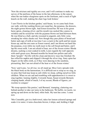'Now the stricture and rigidity are over; and I will continue to make my survey of the purlieus of the house in the late afternoon, in the sunset, when the sun makes oleaginous spots on the linoleum, and a crack of light kneels on the wall, making the chair legs look broken.'

'I saw Florrie in the kitchen garden,' said Susan, 'as we came back from our walk, with the washing blown out round her, the pyjamas, the drawers, the night-gowns blown tight. And Ernest kissed her. He was in his green baize apron, cleaning silver; and his mouth was sucked like a purse in wrinkles and he seized her with the pyjamas blown out hard between them. He was blind as a bull, and she swooned in anguish, only little veins streaking her white cheeks red. Now though they pass plates of bread and butter and cups of milk at tea-time I see a crack in the earth and hot steam hisses up; and the urn roars as Ernest roared, and I am blown out hard like the pyjamas, even while my teeth meet in the soft bread and butter, and I lap the sweet milk. I am not afraid of heat, nor of the frozen winter. Rhoda dreams, sucking a crust soaked in milk; Louis regards the wall opposite with snail-green eyes; Bernard moulds his bread into pellets and calls them "people". Neville with his clean and decisive ways has finished. He has rolled his napkin and slipped it through the silver ring. Jinny spins her fingers on the table-cloth, as if they were dancing in the sunshine, pirouetting. But I am not afraid of the heat or of the frozen winter.'

'Now,' said Louis, 'we all rise; we all stand up. Miss Curry spreads wide the black book on the harmonium. It is difficult not to weep as we sing, as we pray that God may keep us safe while we sleep, calling ourselves little children. When we are sad and trembling with apprehension it is sweet to sing together, leaning slightly, I towards Susan, Susan towards Bernard, clasping hands, afraid of much, I of my accent, Rhoda of figures; yet resolute to conquer.'

'We troop upstairs like ponies,' said Bernard, 'stamping, clattering one behind another to take our turns in the bathroom. We buffet, we tussle, we spring up and down on the hard, white beds. My turn has come. I come now.

'Mrs Constable, girt in a bath-towel, takes her lemon-coloured sponge and soaks it in water; it turns chocolate-brown; it drips; and, holding it high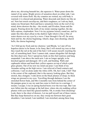above me, shivering beneath her, she squeezes it. Water pours down the runnel of my spine. Bright arrows of sensation shoot on either side. I am covered with warm flesh. My dry crannies are wetted; my cold body is warmed; it is sluiced and gleaming. Water descends and sheets me like an eel. Now hot towels envelop me, and their roughness, as I rub my back, makes my blood purr. Rich and heavy sensations form on the roof of my mind; down showers the day—the woods; and Elvedon; Susan and the pigeon. Pouring down the walls of my mind, running together, the day falls copious, resplendent. Now I tie my pyjamas loosely round me, and lie under this thin sheet afloat in the shallow light which is like a film of water drawn over my eyes by a wave. I hear through it far off, far away, faint and far, the chorus beginning; wheels; dogs; men shouting; church bells; the chorus beginning.'

'As I fold up my frock and my chemise,' said Rhoda, 'so I put off my hopeless desire to be Susan, to be Jinny. But I will stretch my toes so that they touch the rail at the end of the bed; I will assure myself, touching the rail, of something hard. Now I cannot sink; cannot altogether fall through the thin sheet now. Now I spread my body on this frail mattress and hang suspended. I am above the earth now. I am no longer upright, to be knocked against and damaged. All is soft, and bending. Walls and cupboards whiten and bend their yellow squares on top of which a pale glass gleams. Out of me now my mind can pour. I can think of my Armadas sailing on the high waves. I am relieved of hard contacts and collisions. I sail on alone under the white cliffs. Oh, but I sink, I fall! That is the corner of the cupboard; that is the nursery looking-glass. But they stretch, they elongate. I sink down on the black plumes of sleep; its thick wings are pressed to my eyes. Travelling through darkness I see the stretched flower-beds, and Mrs Constable runs from behind the corner of the pampas-grass to say my aunt has come to fetch me in a carriage. I mount; I escape; I rise on spring-heeled boots over the tree-tops. But I am now fallen into the carriage at the hall door, where she sits nodding yellow plumes with eyes hard like glazed marbles. Oh, to awake from dreaming! Look, there is the chest of drawers. Let me pull myself out of these waters. But they heap themselves on me; they sweep me between their great shoulders; I am turned; I am tumbled; I am stretched, among these long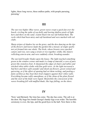lights, these long waves, these endless paths, with people pursuing, pursuing.'

# **III**

<span id="page-18-0"></span>*The sun rose higher. Blue waves, green waves swept a quick fan over the beach, circling the spike of sea-holly and leaving shallow pools of light here and there on the sand. A faint black rim was left behind them. The rocks which had been misty and soft hardened and were marked with red clefts.*

*Sharp stripes of shadow lay on the grass, and the dew dancing on the tips of the flowers and leaves made the garden like a mosaic of single sparks not yet formed into one whole. The birds, whose breasts were specked canary and rose, now sang a strain or two together, wildly, like skaters rollicking arm-in-arm, and were suddenly silent, breaking asunder.*

*The sun laid broader blades upon the house. The light touched something green in the window corner and made it a lump of emerald, a cave of pure green like stoneless fruit. It sharpened the edges of chairs and tables and stitched white table-cloths with fine gold wires. As the light increased a bud here and there split asunder and shook out flowers, green veined and quivering, as if the ef ort of opening had set them rocking, and pealing a faint carillon as they beat their frail clappers against their white walls. Everything became softly amorphous, as if the china of the plate flowed and the steel of the knife were liquid. Meanwhile the concussion of the waves breaking fell with muffled thuds, like logs falling, on the shore.*

## **IV**

<span id="page-18-1"></span>'Now,' said Bernard, 'the time has come. The day has come. The cab is at the door. My huge box bends George's bandy-legs even wider. The horrible ceremony is over, the tips, and the good-byes in the hall. Now there is this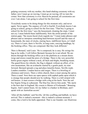gulping ceremony with my mother, this hand-shaking ceremony with my father; now I must go on waving, I must go on waving, till we turn the corner. Now that ceremony is over. Heaven be praised, all ceremonies are over. I am alone; I am going to school for the first time.

'Everybody seems to be doing things for this moment only; and never again. Never again. The urgency of it all is fearful. Everybody knows I am going to school, going to school for the first time. "That boy is going to school for the first time," says the housemaid, cleaning the steps. I must not cry. I must behold them indifferently. Now the awful portals of the station gape; "the moon-faced clock regards me." I must make phrases and phrases and so interpose something hard between myself and the stare of housemaids, the stare of clocks, staring faces, indifferent faces, or I shall cry. There is Louis, there is Neville, in long coats, carrying handbags, by the booking-office. They are composed. But they look different.'

'Here is Bernard,' said Louis. 'He is composed; he is easy. He swings his bag as he walks. I will follow Bernard, because he is not afraid. We are drawn through the booking-office on to the platform as a stream draws twigs and straws round the piers of a bridge. There is the very powerful, bottle-green engine without a neck, all back and thighs, breathing steam. The guard blows his whistle; the flag is dipped; without an effort, of its own momentum, like an avalanche started by a gentle push, we start forward. Bernard spreads a rug and plays knuckle-bones. Neville reads. London crumbles. London heaves and surges. There is a bristling of chimneys and towers. There a white church; there a mast among the spires. There a canal. Now there are open spaces with asphalt paths upon which it is strange that people should now be walking. There is a hill striped with red houses. A man crosses a bridge with a dog at his heels. Now the red boy begins firing at a pheasant. The blue boy shoves him aside. "My uncle is the best shot in England. My cousin is Master of Foxhounds." Boasting begins. And I cannot boast, for my father is a banker in Brisbane, and I speak with an Australian accent.'

'After all this hubbub,' said Neville, 'all this scuffling and hubbub, we have arrived. This is indeed a moment—this is indeed a solemn moment. I come, like a lord to his halls appointed. That is our founder; our illustrious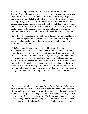founder, standing in the courtyard with one foot raised. I salute our founder. A noble Roman air hangs over these austere quadrangles. Already the lights are lit in the form rooms. Those are laboratories perhaps; and that a library, where I shall explore the exactitude of the Latin language, and step firmly upon the well-laid sentences, and pronounce the explicit, the sonorous hexameters of Virgil, of Lucretius; and chant with a passion that is never obscure or formless the loves of Catullus, reading from a big book, a quarto with margins. I shall lie, too, in the fields among the tickling grasses. I shall lie with my friends under the towering elm trees.

'Behold, the Headmaster. Alas, that he should excite my ridicule. He is too sleek, he is altogether too shiny and black, like some statue in a public garden. And on the left side of his waistcoat, his taut, his drum-like waistcoat, hangs a crucifix.'

'Old Crane,' said Bernard, 'now rises to address us. Old Crane, the Headmaster, has a nose like a mountain at sunset, and a blue cleft in his chin, like a wooded ravine, which some tripper has fired; like a wooded ravine seen from the train window. He sways slightly, mouthing out his tremendous and sonorous words. I love tremendous and sonorous words. But his words are too hearty to be true. Yet he is by this time convinced of their truth. And when he leaves the room, lurching rather heavily from side to side, and hurls his way through the swing-doors, all the masters, lurching rather heavily from side to side, hurl themselves also through the swing-doors. This is our first night at school, apart from our sisters.'

## **V**

<span id="page-20-0"></span>'This is my first night at school,' said Susan, 'away from my father, away from my home. My eyes swell; my eyes prick with tears. I hate the smell of pine and linoleum. I hate the wind-bitten shrubs and the sanitary tiles. I hate the cheerful jokes and the glazed look of everyone. I left my squirrel and my doves for the boy to look after. The kitchen door slams, and shot patters among the leaves when Percy fires at the rooks. All here is false; all is meretricious. Rhoda and Jinny sit far off in brown serge, and look at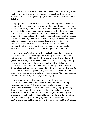Miss Lambert who sits under a picture of Queen Alexandra reading from a book before her. There is also a blue scroll of needlework embroidered by some old girl. If I do not purse my lips, if I do not screw my handkerchief, I shall cry.'

'The purple light,' said Rhoda, 'in Miss Lambert's ring passes to and fro across the black stain on the white page of the Prayer Book. It is a vinous, it is an amorous light. Now that our boxes are unpacked in the dormitories, we sit herded together under maps of the entire world. There are desks with wells for the ink. We shall write our exercises in ink here. But here I am nobody. I have no face. This great company, all dressed in brown serge, has robbed me of my identity. We are all callous, unfriended. I will seek out a face, a composed, a monumental face, and will endow it with omniscience, and wear it under my dress like a talisman and then (I promise this) I will find some dingle in a wood where I can display my assortment of curious treasures. I promise myself this. So I will not cry.'

'That dark woman,' said Jinny, 'with high cheek-bones, has a shiny dress, like a shell, veined, for wearing in the evening. That is nice for summer, but for winter I should like a thin dress shot with red threads that would gleam in the firelight. Then when the lamps were lit, I should put on my red dress and it would be thin as a veil, and would wind about my body, and billow out as I came into the room, pirouetting. It would make a flower shape as I sank down, in the middle of the room, on a gilt chair. But Miss Lambert wears an opaque dress, that falls in a cascade from her snow-white ruffle as she sits under a picture of Queen Alexandra pressing one white finger firmly on the page. And we pray.'

'Now we march, two by two,' said Louis, 'orderly, processional, into chapel. I like the dimness that falls as we enter the sacred building. I like the orderly progress. We file in; we seat ourselves. We put off our distinctions as we enter. I like it now, when, lurching slightly, but only from his momentum, Dr Crane mounts the pulpit and reads the lesson from a Bible spread on the back of the brass eagle. I rejoice; my heart expands in his bulk, in his authority. He lays the whirling dust clouds in my tremulous, my ignominiously agitated mind—how we danced round the Christmas tree and handing parcels they forgot me, and the fat woman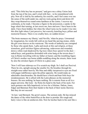said, "This little boy has no present," and gave me a shiny Union Jack from the top of the tree, and I cried with fury—to be remembered with pity. Now all is laid by his authority, his crucifix, and I feel come over me the sense of the earth under me, and my roots going down and down till they wrap themselves round some hardness at the centre. I recover my continuity, as he reads. I become a figure in the procession, a spoke in the huge wheel that turning, at last erects me, here and now. I have been in the dark; I have been hidden; but when the wheel turns (as he reads) I rise into this dim light where I just perceive, but scarcely, kneeling boys, pillars and memorial brasses. There is no crudity here, no sudden kisses.'

'The brute menaces my liberty,' said Neville, 'when he prays. Unwarmed by imagination, his words fall cold on my head like paving-stones, while the gilt cross heaves on his waistcoat. The words of authority are corrupted by those who speak them. I gibe and mock at this sad religion, at these tremulous, grief-stricken figures advancing, cadaverous and wounded, down a white road shadowed by fig trees where boys sprawl in the dust naked boys; and goatskins distended with wine hang at the tavern door. I was in Rome travelling with my father at Easter; and the trembling figure of Christ's mother was borne niddle-noddling along the streets; there went by also the stricken figure of Christ in a glass case.

'Now I will lean sideways as if to scratch my thigh. So I shall see Percival. There he sits, upright among the smaller fry. He breathes through his straight nose rather heavily. His blue and oddly inexpressive eyes are fixed with pagan indifference upon the pillar opposite. He would make an admirable churchwarden. He should have a birch and beat little boys for misdemeanours. He is allied with the Latin phrases on the memorial brasses. He sees nothing; he hears nothing. He is remote from us all in a pagan universe. But look—he flicks his hand to the back of his neck. For such gestures one falls hopelessly in love for a lifetime. Dalton, Jones, Edgar and Bateman flick their hands to the back of their necks likewise. But they do not succeed.'

'At last,' said Bernard, 'the growl ceases. The sermon ends. He has minced the dance of the white butterflies at the door to powder. His rough and hairy voice is like an unshaven chin. Now he lurches back to his seat like a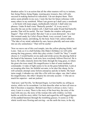drunken sailor. It is an action that all the other masters will try to imitate; but, being flimsy, being floppy, wearing grey trousers, they will only succeed in making themselves ridiculous. I do not despise them. Their antics seem pitiable in my eyes. I note the fact for future reference with many others in my notebook. When I am grown up I shall carry a notebook —a fat book with many pages, methodically lettered. I shall enter my phrases. Under B shall come "Butterfly powder". If, in my novel, I describe the sun on the window-sill, I shall look under B and find butterfly powder. That will be useful. The tree "shades the window with green fingers". That will be useful. But alas! I am so soon distracted—by a hair like twisted candy, by Celia's Prayer Book, ivory covered. Louis' can contemplate nature, unwinking, by the hour. Soon I fail, unless talked to. "The lake of my mind, unbroken by oars, heaves placidly and soon sinks into an oily somnolence." That will be useful.'

'Now we move out of this cool temple, into the yellow playing-fields,' said Louis. 'And, as it is a half-holiday (the Duke's birthday) we will settle among the long grasses, while they play cricket. Could I be "they" I would choose it; I would buckle on my pads and stride across the playing-field at the head of the batsmen. Look now, how everybody follows Percival. He is heavy. He walks clumsily down the field, through the long grass, to where the great elm trees stand. His magnificence is that of some mediaeval commander. A wake of light seems to lie on the grass behind him. Look at us trooping after him, his faithful servants, to be shot like sheep, for he will certainly attempt some forlorn enterprise and die in battle. My heart turns rough; it abrades my side like a file with two edges: one, that I adore his magnificence; the other I despise his slovenly accents—I who am so much his superior—and am jealous.'

'And now,' said Neville, 'let Bernard begin. Let him burble on, telling us stories, while we lie recumbent. Let him describe what we have all seen so that it becomes a sequence. Bernard says there is always a story. I am a story. Louis is a story. There is the story of the boot-boy, the story of the man with one eye, the story of the woman who sells winkles. Let him burble on with his story while I lie back and regard the stiff-legged figures of the padded batsmen through the trembling grasses. It seems as if the whole world were flowing and curving—on the earth the trees, in the sky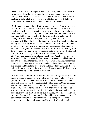the clouds. I look up, through the trees, into the sky. The match seems to be played up there. Faintly among the soft, white clouds I hear the cry "Run", I hear the cry "How's that?" The clouds lose tufts of whiteness as the breeze dishevels them. If that blue could stay for ever; if that hole could remain for ever; if this moment could stay for ever—

'But Bernard goes on talking. Up they bubble—images. "Like a camel," … "a vulture." The camel is a vulture; the vulture a camel; for Bernard is a dangling wire, loose, but seductive. Yes, for when he talks, when he makes his foolish comparisons, a lightness comes over one. One floats, too, as if one were that bubble; one is freed; I have escaped, one feels. Even the chubby little boys (Dalton, Larpent and Baker) feel the same abandonment. They like this better than the cricket. They catch the phrases as they bubble. They let the feathery grasses tickle their noses. And then we all feel Percival lying heavy among us. His curious guffaw seems to sanction our laughter. But now he has rolled himself over in the long grass. He is, I think, chewing a stalk between his teeth. He feels bored; I too feel bored. Bernard at once perceives that we are bored. I detect a certain effort, an extravagance in his phrase, as if he said "Look!" but Percival says "No." For he is always the first to detect insincerity; and is brutal in the extreme. The sentence tails off feebly. Yes, the appalling moment has come when Bernard's power fails him and there is no longer any sequence and he sags and twiddles a bit of string and falls silent, gaping as if about to burst into tears. Among the tortures and devastations of life is this then —our friends are not able to finish their stories.'

'Now let me try,' said Louis, 'before we rise, before we go to tea, to fix the moment in one effort of supreme endeavour. This shall endure. We are parting; some to tea; some to the nets; I to show my essay to Mr Barker. This will endure. From discord, from hatred (I despise dabblers in imagery —I resent the power of Percival intensely) my shattered mind is pieced together by some sudden perception. I take the trees, the clouds, to be witnesses of my complete integration. I, Louis, I, who shall walk the earth these seventy years, am born entire, out of hatred, out of discord. Here on this ring of grass we have sat together, bound by the tremendous power of some inner compulsion. The trees wave, the clouds pass. The time approaches when these soliloquies shall be shared. We shall not always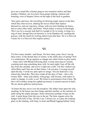give out a sound like a beaten gong as one sensation strikes and then another. Children, our lives have been gongs striking; clamour and boasting; cries of despair; blows on the nape of the neck in gardens.

'Now grass and trees, the travelling air blowing empty spaces in the blue which they then recover, shaking the leaves which then replace themselves, and our ring here, sitting, with our arms binding our knees, hint at some other order, and better, which makes a reason everlastingly. This I see for a second, and shall try tonight to fix in words, to forge in a ring of steel, though Percival destroys it, as he blunders off, crushing the grasses, with the small fry trotting subservient after him. Yet it is Percival I need; for it is Percival who inspires poetry.'

## **VI**

<span id="page-25-0"></span>'For how many months,' said Susan, 'for how many years, have I run up these stairs, in the dismal days of winter, in the chilly days of spring? Now it is midsummer. We go upstairs to change into white frocks to play tennis —Jinny and I with Rhoda following after. I count each step as I mount, counting each step something done with. So each night I tear off the old day from the calendar, and screw it tight into a ball. I do this vindictively, while Betty and Clara are on their knees. I do not pray. I revenge myself upon the day. I wreak my spite upon its image. You are dead now, I say, school day, hated day. They have made all the days of June—this is the twenty-fifth—shiny and orderly, with gongs, with lessons, with orders to wash, to change, to work, to eat. We listen to missionaries from China. We drive off in brakes along the asphalt pavement, to attend concerts in halls. We are shown galleries and pictures.

'At home the hay waves over the meadows. My father leans upon the stile, smoking. In the house one door bangs and then another, as the summer air puffs along the empty passages. Some old picture perhaps swings on the wall. A petal drops from the rose in the jar. The farm wagons strew the hedges with tufts of hay. All this I see, I always see, as I pass the lookingglass on the landing, with Jinny in front and Rhoda lagging behind. Jinny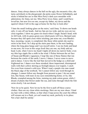dances. Jinny always dances in the hall on the ugly, the encaustic tiles; she turns cartwheels in the playground; she picks some flower forbiddenly, and sticks it behind her ear so that Miss Perry's dark eyes smoulder with admiration, for Jinny, not me. Miss Perry loves Jinny; and I could have loved her, but now love no one, except my father, my doves and the squirrel whom I left in the cage at home for the boy to look after.'

'I hate the small looking-glass on the stairs,' said Jinny. 'It shows our heads only; it cuts off our heads. And my lips are too wide, and my eyes are too close together; I show my gums too much when I laugh. Susan's head, with its fell look, with its grass-green eyes which poets will love, Bernard said, because they fall upon close white stitching, put mine out; even Rhoda's face, mooning, vacant, is completed, like those white petals she used to swim in her bowl. So I skip up the stairs past them, to the next landing, where the long glass hangs and I see myself entire. I see my body and head in one now; for even in this serge frock they are one, my body and my head. Look, when I move my head I ripple all down my narrow body; even my thin legs ripple like a stalk in the wind. I flicker between the set face of Susan and Rhoda's vagueness; I leap like one of those flames that run between the cracks of the earth; I move, I dance; I never cease to move and to dance. I move like the leaf that moved in the hedge as a child and frightened me. I dance over these streaked, these impersonal, distempered walls with their yellow skirting as firelight dances over teapots. I catch fire even from women's cold eyes. When I read, a purple rim runs round the black edge of the textbook. Yet I cannot follow any word through its changes. I cannot follow any thought from present to past. I do not stand lost, like Susan, with tears in my eyes remembering home; or lie, like Rhoda, crumpled among the ferns, staining my pink cotton green, while I dream of plants that flower under the sea, and rocks through which the fish swim slowly. I do not dream.

'Now let us be quick. Now let me be the first to pull off these coarse clothes. Here are my clean white stockings. Here are my new shoes. I bind my hair with a white ribbon, so that when I leap across the court the ribbon will stream out in a flash, yet curl round my neck, perfectly in its place. Not a hair shall be untidy.'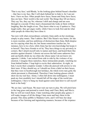'That is my face,' said Rhoda, 'in the looking-glass behind Susan's shoulder —that face is my face. But I will duck behind her to hide it, for I am not here. I have no face. Other people have faces; Susan and Jinny have faces; they are here. Their world is the real world. The things they lift are heavy. They say Yes, they say No; whereas I shift and change and am seen through in a second. If they meet a housemaid she looks at them without laughing. But she laughs at me. They know what to say if spoken to. They laugh really; they get angry really; while I have to look first and do what other people do when they have done it.

'See now with what extraordinary certainty Jinny pulls on her stockings, simply to play tennis. That I admire. But I like Susan's way better, for she is more resolute, and less ambitious of distinction than Jinny. Both despise me for copying what they do; but Susan sometimes teaches me, for instance, how to tie a bow, while Jinny has her own knowledge but keeps it to herself. They have friends to sit by. They have things to say privately in corners. But I attach myself only to names and faces; and hoard them like amulets against disaster. I choose out across the hall some unknown face and can hardly drink my tea when she whose name I do not know sits opposite. I choke. I am rocked from side to side by the violence of my emotion. I imagine these nameless, these immaculate people, watching me from behind bushes. I leap high to excite their admiration. At night, in bed, I excite their complete wonder. I often die pierced with arrows to win their tears. If they should say, or I should see from a label on their boxes, that they were in Scarborough last holidays, the whole town runs gold, the whole pavement is illuminated. Therefore I hate looking-glasses which show me my real face. Alone, I often fall down into nothingness. I must push my foot stealthily lest I should fall off the edge of the world into nothingness. I have to bang my head against some hard door to call myself back to the body.'

'We are late,' said Susan. We must wait our turn to play. We will pitch here in the long grass and pretend to watch Jinny and Clara, Betty and Mavis. But we will not watch them. I hate watching other people play games. I will make images of all the things I hate most and bury them in the ground. This shiny pebble is Madame Carlo, and I will bury her deep because of her fawning and ingratiating manners, because of the sixpence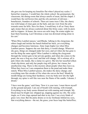she gave me for keeping my knuckles flat when I played my scales. I buried her sixpence. I would bury the whole school: the gymnasium; the classroom; the dining-room that always smells of meat; and the chapel. I would bury the red-brown tiles and the oily portraits of old men benefactors, founders of schools. There are some trees I like; the cherry tree with lumps of clear gum on the bark; and one view from the attic towards some far hills. Save for these, I would bury it all as I bury these ugly stones that are always scattered about this briny coast, with its piers and its trippers. At home, the waves are mile long. On winter nights we hear them booming. Last Christmas a man was drowned sitting alone in his cart.'

'When Miss Lambert passes,' said Rhoda, 'talking to the clergyman, the others laugh and imitate her hunch behind her back; yet everything changes and becomes luminous. Jinny leaps higher too when Miss Lambert passes. Suppose she saw that daisy, it would change. Wherever she goes, things are changed under her eyes; and yet when she has gone is not the thing the same again? Miss Lambert is taking the clergyman through the wicket-gate to her private garden; and when she comes to the pond, she sees a frog on a leaf, and that will change. All is solemn, all is pale where she stands, like a statue in a grove. She lets her tasselled silken cloak slip down, and only her purple ring still glows, her vinous, her amethystine ring. There is this mystery about people when they leave us. When they leave us I can companion them to the pond and make them stately. When Miss Lambert passes, she makes the daisy change; and everything runs like streaks of fire when she carves the beef. Month by month things are losing their hardness; even my body now lets the light through; my spine is soft like wax near the flame of the candle. I dream; I dream.'

'I have won the game,' said Jinny. 'Now it is your turn. I must throw myself on the ground and pant. I am out of breath with running, with triumph. Everything in my body seems thinned out with running and triumph. My blood must be bright red, whipped up, slapping against my ribs. My soles tingle, as if wire rings opened and shut in my feet. I see every blade of grass very clear. But the pulse drums so in my forehead, behind my eyes, that everything dances—the net, the grass; your faces leap like butterflies;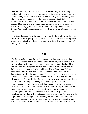the trees seem to jump up and down. There is nothing staid, nothing settled, in this universe. All is rippling, all is dancing; all is quickness and triumph. Only, when I have lain alone on the hard ground, watching you play your game, I begin to feel the wish to be singled out; to be summoned, to be called away by one person who comes to find me, who is attracted towards me, who cannot keep himself from me, but comes to where I sit on my gilt chair, with my frock billowing round me like a flower. And withdrawing into an alcove, sitting alone on a balcony we talk together.

'Now the tide sinks. Now the trees come to earth; the brisk waves that slap my ribs rock more gently, and my heart rides at anchor, like a sailing-boat whose sails slide slowly down on to the white deck. The game is over. We must go to tea now.'

## **VII**

<span id="page-29-0"></span>'The boasting boys,' said Louis, 'have gone now in a vast team to play cricket. They have driven off in their great brake, singing in chorus. All their heads turn simultaneously at the corner by the laurel bushes. Now they are boasting. Larpent's brother played football for Oxford; Smith's father made a century at Lords. Archie and Hugh; Parker and Dalton; Larpent and Smith; then again Archie and Hugh; Parker and Dalton; Larpent and Smith—the names repeat themselves; the names are the same always. They are the volunteers; they are the cricketers; they are the officers of the Natural History Society. They are always forming into fours and marching in troops with badges on their caps; they salute simultaneously passing the figure of their general. How majestic is their order, how beautiful is their obedience! If I could follow, if I could be with them, I would sacrifice all I know. But they also leave butterflies trembling with their wings pinched off; they throw dirty pockethandkerchiefs clotted with blood screwed up into corners. They make little boys sob in dark passages. They have big red ears that stand out under their caps. Yet that is what we wish to be, Neville and I. I watch them go with envy. Peeping from behind a curtain, I note the simultaneity of their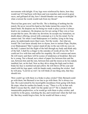movements with delight. If my legs were reinforced by theirs, how they would run! If I had been with them and won matches and rowed in great races, and galloped all day, how I should thunder out songs at midnight! In what a torrent the words would rush from my throat!'

'Percival has gone now,' said Neville. 'He is thinking of nothing but the match. He never waved his hand as the brake turned the corner by the laurel bush. He despises me for being too weak to play (yet he is always kind to my weakness). He despises me for not caring if they win or lose except that he cares. He takes my devotion; he accepts my tremulous, no doubt abject offering, mixed with contempt as it is for his mind. For he cannot read. Yet when I read Shakespeare or Catullus, lying in the long grass, he understands more than Louis. Not the words—but what are words? Do I not know already how to rhyme, how to imitate Pope, Dryden, even Shakespeare? But I cannot stand all day in the sun with my eyes on the ball; I cannot feel the flight of the ball through my body and think only of the ball. I shall be a clinger to the outsides of words all my life. Yet I could not live with him and suffer his stupidity. He will coarsen and snore. He will marry and there will be scenes of tenderness at breakfast. But now he is young. Not a thread, not a sheet of paper lies between him and the sun, between him and the rain, between him and the moon as he lies naked, tumbled, hot, on his bed. Now as they drive along the high road in their brake his face is mottled red and yellow. He will throw off his coat and stand with his legs apart, with his hands ready, watching the wicket. And he will pray, "Lord let us win"; he will think of one thing only, that they should win.

'How could I go with them in a brake to play cricket? Only Bernard could go with them, but Bernard is too late to go with them. He is always too late. He is prevented by his incorrigible moodiness from going with them. He stops, when he washes his hands, to say, "There is a fly in that web. Shall I rescue that fly; shall I let the spider eat it?" He is shaded with innumerable perplexities, or he would go with them to play cricket, and would lie in the grass, watching the sky, and would start when the ball was hit. But they would forgive him; for he would tell them a story.'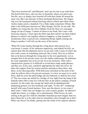'They have bowled off,' said Bernard, 'and I am too late to go with them. The horrid little boys, who are also so beautiful, whom you and Louis, Neville, envy so deeply, have bowled off with their heads all turned the same way. But I am unaware of these profound distinctions. My fingers slip over the keyboard without knowing which is black and which white. Archie makes easily a hundred; I by a fluke make sometimes fifteen. But what is the difference between us? Wait though, Neville; let me talk. The bubbles are rising like the silver bubbles from the floor of a saucepan; image on top of image. I cannot sit down to my book, like Louis, with ferocious tenacity. I must open the little trap-door and let out these linked phrases in which I run together whatever happens, so that instead of incoherence there is perceived a wandering thread, lightly joining one thing to another. I will tell you the story of the doctor.

'When Dr Crane lurches through the swing-doors after prayers he is convinced, it seems, of his immense superiority; and indeed Neville, we cannot deny that his departure leaves us not only with a sense of relief, but also with a sense of something removed, like a tooth. Now let us follow him as he heaves through the swing-door to his own apartments. Let us imagine him in his private room over the stables undressing. He unfastens his sock suspenders (let us be trivial, let us be intimate). Then with a characteristic gesture (it is difficult to avoid these ready-made phrases, and they are, in his case, somehow appropriate) he takes the silver, he takes the coppers from his trouser pockets and places them there, and there, on his dressing-table. With both arms stretched on the arms of his chair he reflects (this is his private moment; it is here we must try to catch him): shall he cross the pink bridge into his bedroom or shall he not cross it? The two rooms are united by a bridge of rosy light from the lamp at the bedside where Mrs Crane lies with her hair on the pillow reading a French memoir. As she reads, she sweeps her hand with an abandoned and despairing gesture over her forehead, and sighs, "Is this all?" comparing herself with some French duchess. Now, says the doctor, in two years I shall retire. I shall clip yew hedges in a west country garden. An admiral I might have been; or a judge; not a schoolmaster. What forces, he asks, staring at the gas-fire with his shoulders hunched up more hugely than we know them (he is in his shirt-sleeves remember), have brought me to this? What vast forces? he thinks, getting into the stride of his majestic phrases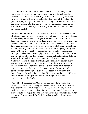as he looks over his shoulder at the window. It is a stormy night; the branches of the chestnut trees are ploughing up and down. Stars flash between them. What vast forces of good and evil have brought me here? he asks, and sees with sorrow that his chair has worn a little hole in the pile of the purple carpet. So there he sits, swinging his braces. But stories that follow people into their private rooms are difficult. I cannot go on with this story. I twiddle a piece of string; I turn over four or five coins in my trouser pocket.'

'Bernard's stories amuse me,' said Neville, 'at the start. But when they tail off absurdly and he gapes, twiddling a bit of string, I feel my own solitude. He sees everyone with blurred edges. Hence I cannot talk to him of Percival. I cannot expose my absurd and violent passion to his sympathetic understanding. It too would make a "story". I need someone whose mind falls like a chopper on a block; to whom the pitch of absurdity is sublime, and a shoe-string adorable. To whom I can expose the urgency of my own passion? Louis is too cold, too universal. There is nobody here among these grey arches, and moaning pigeons, and cheerful games and tradition and emulation, all so skilfully organized to prevent feeling alone. Yet I am struck still as I walk by sudden premonitions of what is to come. Yesterday, passing the open door leading into the private garden, I saw Fenwick with his mallet raised. The steam from the tea-urn rose in the middle of the lawn. There were banks of blue flowers. Then suddenly descended upon me the obscure, the mystic sense of adoration, of completeness that triumphed over chaos. Nobody saw my poised and intent figure as I stood at the open door. Nobody guessed the need I had to offer my being to one god; and perish, and disappear. His mallet descended; the vision broke.

'Should I seek out some tree? Should I desert these form rooms and libraries, and the broad yellow page in which I read Catullus, for woods and fields? Should I walk under beech trees, or saunter along the river bank, where the trees meet united like lovers in the water? But nature is too vegetable, too vapid. She has only sublimities and vastitudes and water and leaves. I begin to wish for firelight, privacy, and the limbs of one person.'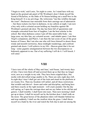'I begin to wish,' said Louis, 'for night to come. As I stand here with my hand on the grained oak panel of Mr Wickham's door I think myself the friend of Richelieu, or the Duke of St Simon holding out a snuff-box to the King himself. It is my privilege. My witticisms "run like wildfire through the court". Duchesses tear emeralds from their earrings out of admiration —but these rockets rise best in darkness, in my cubicle at night. I am now a boy only with a colonial accent holding my knuckles against Mr Wickham's grained oak door. The day has been full of ignominies and triumphs concealed from fear of laughter. I am the best scholar in the school. But when darkness comes I put off this unenviable body—my large nose, my thin lips, my colonial accent—and inhabit space. I am then Virgil's companion, and Plato's. I am then the last scion of one of the great houses of France. But I am also one who will force himself to desert these windy and moonlit territories, these midnight wanderings, and confront grained oak doors. I will achieve in my life—Heaven grant that it be not long—some gigantic amalgamation between the two discrepancies so hideously apparent to me. Out of my suffering I will do it. I will knock. I will enter.'

#### **VIII**

<span id="page-33-0"></span>'I have torn off the whole of May and June,' said Susan, 'and twenty days of July. I have torn them off and screwed them up so that they no longer exist, save as a weight in my side. They have been crippled days, like moths with shrivelled wings unable to fly. There are only eight days left. In eight days' time I shall get out of the train and stand on the platform at six twenty five. Then my freedom will unfurl, and all these restrictions that wrinkle and shrivel—hours and order and discipline, and being here and there exactly at the right moment—will crack asunder. Out the day will spring, as I open the carriage-door and see my father in his old hat and gaiters. I shall tremble. I shall burst into tears. Then next morning I shall get up at dawn. I shall let myself out by the kitchen door. I shall walk on the moor. The great horses of the phantom riders will thunder behind me and stop suddenly. I shall see the swallow skim the grass. I shall throw myself on a bank by the river and watch the fish slip in and out among the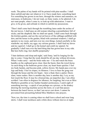reeds. The palms of my hands will be printed with pine-needles. I shall there unfold and take out whatever it is I have made here; something hard. For something has grown in me here, through the winters and summers, on staircases, in bedrooms. I do not want, as Jinny wants, to be admired. I do not want people, when I come in, to look up with admiration. I want to give, to be given, and solitude in which to unfold my possessions.

'Then I shall come back through the trembling lanes under the arches of the nut leaves. I shall pass an old woman wheeling a perambulator full of sticks; and the shepherd. But we shall not speak. I shall come back through the kitchen garden, and see the curved leaves of the cabbages pebbled with dew, and the house in the garden, blind with curtained windows. I shall go upstairs to my room, and turn over my own things, locked carefully in the wardrobe: my shells; my eggs; my curious grasses. I shall feed my doves and my squirrel. I shall go to the kennel and comb my spaniel. So gradually I shall turn over the hard thing that has grown here in my side. But here bells ring; feet shuffle perpetually.'

'I hate darkness and sleep and night,' said Jinny, 'and lie longing for the day to come. I long that the week should be all one day without divisions. When I wake early—and the birds wake me—I lie and watch the brass handles on the cupboard grow clear; then the basin; then the towel-horse. As each thing in the bedroom grows clear, my heart beats quicker. I feel my body harden, and become pink, yellow, brown. My hands pass over my legs and body. I feel its slopes, its thinness. I love to hear the gong roar through the house and the stir begin—here a thud, there a patter. Doors slam; water rushes. Here is another day, here is another day, I cry, as my feet touch the floor. It may be a bruised day, an imperfect day. I am often scolded. I am often in disgrace for idleness, for laughing; but even as Miss Matthews grumbles at my feather-headed carelessness, I catch sight of something moving—a speck of sun perhaps on a picture, or the donkey drawing the mowing-machine across the lawn; or a sail that passes between the laurel leaves, so that I am never cast down. I cannot be prevented from pirouetting behind Miss Matthews into prayers.

'Now, too, the time is coming when we shall leave school and wear long skirts. I shall wear necklaces and a white dress without sleeves at night.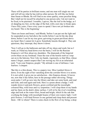There will be parties in brilliant rooms; and one man will single me out and will tell me what he has told no other person. He will like me better than Susan or Rhoda. He will find in me some quality, some peculiar thing. But I shall not let myself be attached to one person only. I do not want to be fixed, to be pinioned. I tremble, I quiver, like the leaf in the hedge, as I sit dangling my feet, on the edge of the bed, with a new day to break open. I have fifty years, I have sixty years to spend. I have not yet broken into my hoard. This is the beginning.'

'There are hours and hours,' said Rhoda, 'before I can put out the light and lie suspended on my bed above the world, before I can let the day drop down, before I can let my tree grow, quivering in green pavilions above my head. Here I cannot let it grow. Somebody knocks through it. They ask questions, they interrupt, they throw it down.

'Now I will go to the bathroom and take off my shoes and wash; but as I wash, as I bend my head down over the basin, I will let the Russian Empress's veil flow about my shoulders. The diamonds of the Imperial crown blaze on my forehead. I hear the roar of the hostile mob as I step out on to the balcony. Now I dry my hands, vigorously, so that Miss, whose name I forget, cannot suspect that I am waving my fist at an infuriated mob. "I am your Empress, people." My attitude is one of defiance. I am fearless. I conquer.

'But this is a thin dream. This is a papery tree. Miss Lambert blows it down. Even the sight of her vanishing down the corridor blows it to atoms. It is not solid; it gives me no satisfaction—this Empress dream. It leaves me, now that it has fallen, here in the passage rather shivering. Things seem paler. I will go now into the library and take out some book, and read and look; and read again and look. Here is a poem about a hedge. I will wander down it and pick flowers, green cowbind and the moonlightcoloured May, wild roses and ivy serpentine. I will clasp them in my hands and lay them on the desk's shiny surface. I will sit by the river's trembling edge and look at the water-lilies, broad and bright, which lit the oak that overhung the hedge with moonlight beams of their own watery light. I will pick flowers; I will bind flowers in one garland and clasp them and present them—Oh! to whom? There is some check in the flow of my being; a deep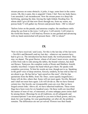stream presses on some obstacle; it jerks; it tugs; some knot in the centre resists. Oh, this is pain, this is anguish! I faint, I fail. Now my body thaws; I am unsealed, I am incandescent. Now the stream pours in a deep tide fertilizing, opening the shut, forcing the tight-folded, flooding free. To whom shall I give all that now flows through me, from my warm, my porous body? I will gather my flowers and present them—Oh! to whom?

'Sailors loiter on the parade, and amorous couples; the omnibuses rattle along the sea front to the town. I will give; I will enrich; I will return to the world this beauty. I will bind my flowers in one garland and advancing with my hand outstretched will present them—Oh! to whom?'

#### **IX**

'Now we have received,' said Louis, 'for this is the last day of the last term —Neville's and Bernard's and my last day—whatever our masters have had to give us. The introduction has been made; the world presented. They stay, we depart. The great Doctor, whom of all men I most revere, swaying a little from side to side among the tables, the bound volumes, has dealt out Horace, Tennyson, the complete works of Keats and Matthew Arnold, suitably inscribed. I respect the hand which gave them. He speaks with complete conviction. To him his words are true, though not to us. Speaking in the gruff voice of deep emotion, fiercely, tenderly, he has told us that we are about to go. He has bid us "quit ourselves like men". (On his lips quotations from the Bible, from *The Times,* seem equally magnificent.) Some will do this; others that. Some will not meet again. Neville, Bernard and I shall not meet here again. Life will divide us. But we have formed certain ties. Our boyish, our irresponsible years are over. But we have forged certain links. Above all, we have inherited traditions. These stone flags have been worn for six hundred years. On these walls are inscribed the names of men of war, of statesmen, of some unhappy poets (mine shall be among them). Blessings be on all traditions, on all safeguards and circumscriptions! I am most grateful to you men in black gowns, and you, dead, for your leading, for your guardianship; yet after all, the problem remains. The differences are not yet solved. Flowers toss their heads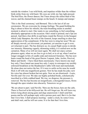outside the window. I see wild birds, and impulses wilder than the wildest birds strike from my wild heart. My eyes are wild; my lips tight pressed. The bird flies; the flower dances; but I hear always the sullen thud of the waves; and the chained beast stamps on the beach. It stamps and stamps.'

'This is the final ceremony,' said Bernard. This is the last of all our ceremonies. We are overcome by strange feelings. The guard holding his flag is about to blow his whistle; the train breathing steam in another moment is about to start. One wants to say something, to feel something, absolutely appropriate to the occasion. One's mind is primed; one's lips are pursed. And then a bee drifts in and hums round the flowers in the bouquet which Lady Hampton, the wife of the General, keeps smelling to show her appreciation of the compliment. If the bee were to sting her nose? We are all deeply moved; yet irreverent; yet penitent; yet anxious to get it over; yet reluctant to part. The bee distracts us; its casual flight seems to deride our intensity. Humming vaguely, skimming widely, it is settled now on the carnation. Many of us will not meet again. We shall not enjoy certain pleasures again, when we are free to go to bed, or to sit up, when I need no longer smuggle in bits of candle-ends and immoral literature. The bee now hums round the head of the great Doctor. Larpent, John, Archie, Percival, Baker and Smith—I have liked them enormously. I have known one mad boy only. I have hated one mean boy only. I enjoy in retrospect my terribly awkward breakfasts at the Headmaster's table with toast and marmalade. He alone does not notice the bee. If it were to settle on his nose he would flick it off with one magnificent gesture. Now he has made his joke; now his voice has almost broken but not quite. Now we are dismissed—Louis, Neville and I for ever. We take our highly polished books, scholastically inscribed in a little crabbed hand. We rise, we disperse; the pressure is removed. The bee has become an insignificant, a disregarded insect, flown through the open window into obscurity. Tomorrow we go.'

'We are about to part,' said Neville. 'Here are the boxes; here are the cabs. There is Percival in his billycock hat. He will forget me. He will leave my letters lying about among guns and dogs unanswered. I shall send him poems and he will perhaps reply with a picture post card. But it is for that that I love him. I shall propose meeting—under a clock, by some Cross; and shall wait, and he will not come. It is for that that I love him.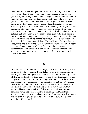Oblivious, almost entirely ignorant, he will pass from my life. And I shall pass, incredible as it seems, into other lives; this is only an escapade perhaps, a prelude only. I feel already, though I cannot endure the Doctor's pompous mummery and faked emotions, that things we have only dimly perceived draw near. I shall be free to enter the garden where Fenwick raises his mallet. Those who have despised me shall acknowledge my sovereignty. But by some inscrutable law of my being sovereignty and the possession of power will not be enough; I shall always push through curtains to privacy, and want some whispered words alone. Therefore I go, dubious, but elate; apprehensive of intolerable pain; yet I think bound in my adventuring to conquer after huge suffering, bound, surely, to discover my desire in the end. There, for the last time, I see the statue of our pious founder with the doves about his head. They will wheel for ever about his head, whitening it, while the organ moans in the chapel. So I take my seat; and, when I have found my place in the comer of our reserved compartment, I will shade my eyes with a book to hide one tear; I will shade my eyes to observe; to peep at one face. It is the first day of the summer holidays.'

## **X**

'It is the first day of the summer holidays,' said Susan. 'But the day is still rolled up. I will not examine it until I step out on to the platform in the evening. I will not let myself even smell it until I smell the cold green air off the fields. But already these are not school fields; these are not school hedges; the men in these fields are doing real things; they fill carts with real hay; and those are real cows, not school cows. But the carbolic smell of corridors and the chalky smell of schoolrooms is still in my nostrils. The glazed, shiny look of matchboard is still in my eyes. I must wait for fields and hedges, and woods and fields, and steep railway cuttings, sprinkled with gorse bushes, and trucks in sidings, and tunnels and suburban gardens with women hanging out washing, and then fields again and children swinging on gates, to cover it over, to bury it deep, this school that I have hated.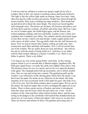'I will not send my children to school nor spend a night all my life in London. Here in this vast station everything echoes and booms hollowly. The light is like the yellow light under an awning. Jinny lives here. Jinny takes her dog for walks on these pavements. People here shoot through the streets silently. They look at nothing but shop-windows. Their heads bob up and down all at about the same height. The streets are laced together with telegraph wires. The houses are all glass, all festoons and glitter; now all front doors and lace curtains, all pillars and white steps. But now I pass on, out of London again; the fields begin again; and the houses, and women hanging washing, and trees and fields. London is now veiled, now vanished, now crumbled, now fallen. The carbolic and the pitch-pine begin to lose their savour. I smell corn and turnips. I undo a paper packet tied with a piece of white cotton. The egg shells slide into the cleft between my knees. Now we stop at station after station, rolling out milk cans. Now women kiss each other and help with baskets. Now I will let myself lean out of the window. The air rushes down my nose and throat—the cold air, the salt air with the smell of turnip fields in it. And there is my father, with his back turned, talking to a farmer. I tremble, I cry. There is my father in gaiters. There is my father.'

'I sit snug in my own corner going North,' said Jinny, 'in this roaring express which is yet so smooth that it flattens hedges, lengthens hills. We flash past signal-boxes; we make the earth rock slightly from side to side. The distance closes for ever in a point; and we for ever open the distance wide again. The telegraph poles bob up incessantly; one is felled, another rises. Now we roar and swing into a tunnel. The gentleman pulls up the window. I see reflections on the shining glass which lines the tunnel. I see him lower his paper. He smiles at my reflection in the tunnel. My body instantly of its own accord puts forth a frill under his gaze. My body lives a life of its own. Now the black window glass is green again. We are out of the tunnel. He reads his paper. But we have exchanged the approval of our bodies. There is then a great society of bodies, and mine is introduced; mine has come into the room where the gilt chairs are. Look—all the windows of the villas and their white-tented curtains dance; and the men sitting in the hedges in the cornfields with knotted blue handkerchiefs are aware too, as I am aware, of heat and rapture. One waves as we pass him. There are bowers and arbours in these villa gardens and young men in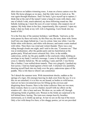shirt-sleeves on ladders trimming roses. A man on a horse canters over the field. His horse plunges as we pass. And the rider turns to look at us. We roar again through blackness. And I lie back; I give myself up to rapture; I think that at the end of the tunnel I enter a lamp-lit room with chairs, into one of which I sink, much admired, my dress billowing round me. But behold, looking up, I meet the eyes of a sour woman, who suspects me of rapture. My body shuts in her face, impertinently, like a parasol. I open my body, I shut my body at my will. Life is beginning. I now break into my hoard of life.'

'It is the first day of the summer holidays,' said Rhoda. 'And now, as the train passes by these red rocks, by this blue sea, the term, done with, forms itself into one shape behind me. I see its colour. June was white. I see the fields white with daisies, and white with dresses; and tennis courts marked with white. Then there was wind and violent thunder. There was a star riding through clouds one night, and I said to the star, "Consume me." That was at midsummer, after the garden party and my humiliation at the garden party. Wind and storm coloured July. Also, in the middle, cadaverous, awful, lay the grey puddle in the courtyard, when, holding an envelope in my hand, I carried a message. I came to the puddle. I could not cross it. Identity failed me. We are nothing, I said, and fell. I was blown like a feather, I was wafted down tunnels. Then very gingerly, I pushed my foot across. I laid my hand against a brick wall. I returned very painfully, drawing myself back into my body over the grey, cadaverous space of the puddle. This is life then to which I am committed.

'So I detach the summer term. With intermittent shocks, sudden as the springs of a tiger, life emerges heaving its dark crest from the sea. It is to this we are attached; it is to this we are bound, as bodies to wild horses. And yet we have invented devices for filling up the crevices and disguising these fissures. Here is the ticket collector. Here are two men; three women; there is a cat in a basket; myself with my elbow on the window-sill—this is here and now. We draw on, we make off, through whispering fields of golden corn. Women in the fields are surprised to be left behind there, hoeing. The train now stamps heavily, breathes stertorously, as it climbs up and up. At last we are on the top of the moor. Only a few wild sheep live here; a few shaggy ponies; yet we are provided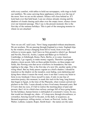with every comfort; with tables to hold our newspapers, with rings to hold our tumblers. We come carrying these appliances with us over the top of the moor. Now we are on the summit. Silence will close behind us. If I look back over that bald head, I can see silence already closing and the shadows of clouds chasing each other over the empty moor; silence closes over our transient passage. This I say is the present moment; this is the first day of the summer holidays. This is part of the emerging monster to whom we are attached.'

#### **XI**

'Now we are off,' said Louis. 'Now I hang suspended without attachments. We are nowhere. We are passing through England in a train. England slips by the window, always changing from hill to wood, from rivers and willows to towns again. And I have no firm ground to which I go. Bernard and Neville, Percival, Archie, Larpent and Baker go to Oxford or Cambridge, to Edinburgh, Rome, Paris, Berlin, or to some American University. I go vaguely, to make money vaguely. Therefore a poignant shadow, a keen accent, falls on these golden bristles, on these poppy-red fields, this flowing corn that never overflows its boundaries; but runs rippling to the edge. This is the first day of a new life, another spoke of the rising wheel. But my body passes vagrant as a bird's shadow. I should be transient as the shadow on the meadow, soon fading, soon darkening and dying there where it meets the wood, were it not that I coerce my brain to form in my forehead; I force myself to state, if only in one line of unwritten poetry, this moment; to mark this inch in the long, long history that began in Egypt, in the time of the Pharaohs, when women carried red pitchers to the Nile. I seem already to have lived many thousand years. But if I now shut my eyes, if I fail to realize the meeting-place of past and present, that I sit in a third-class railway carriage full of boys going home for the holidays, human history is defrauded of a moment's vision. Its eye, that would see through me, shuts—if I sleep now, through slovenliness, or cowardice, burying myself in the past, in the dark; or acquiesce, as Bernard acquiesces, telling stories; or boast, as Percival, Archie, John, Walter, Lathom, Larpent, Roper, Smith boast—the names are the same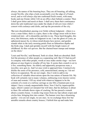always, the names of the boasting boys. They are all boasting, all talking, except Neville, who slips a look occasionally over the edge of a French novel, and so will always slip into cushioned firelit rooms, with many books and one friend, while I tilt on an office chair behind a counter. Then I shall grow bitter and mock at them. I shall envy them their continuance down the safe traditional ways under the shade of old yew trees while I consort with cockneys and clerks, and tap the pavements of the city.

'But now disembodied, passing over fields without lodgment—(there is a river; a man fishes; there is a spire, there is the village street with its bowwindowed inn)—all is dreamlike and dim to me. These hard thoughts, this envy, this bitterness, make no lodgment in me. I am the ghost of Louis, an ephemeral passer-by, in whose mind dreams have power, and garden sounds when in the early morning petals float on fathomless depths and the birds sing. I dash and sprinkle myself with the bright waters of childhood. Its thin veil quivers. But the chained beast stamps and stamps on the shore.'

'Louis and Neville,' said Bernard, 'both sit silent. Both are absorbed. Both feel the presence of other people as a separating wall. But if I find myself in company with other people, words at once make smoke rings—see how phrases at once begin to wreathe off my lips. It seems that a match is set to a fire; something burns. An elderly and apparently prosperous man, a traveller, now gets in. And I at once wish to approach him; I instinctively dislike the sense of his presence, cold, unassimilated, among us. I do not believe in separation. We are not single. Also I wish to add to my collection of valuable observations upon the true nature of human life. My book will certainly run to many volumes, embracing every known variety of man and woman. I fill my mind with whatever happens to be the contents of a room or a railway carriage as one fills a fountain-pen in an inkpot. I have a steady unquenchable thirst. Now I feel by imperceptible signs, which I cannot yet interpret but will later, that his defiance is about to thaw. His solitude shows signs of cracking. He has passed a remark about a country house. A smoke ring issues from my lips (about crops) and circles him, bringing him into contact. The human voice has a disarming quality—(we are not single, we are one). As we exchange these few but amiable remarks about country houses, I furbish him up and make him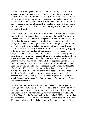concrete. He is indulgent as a husband but not faithful; a small builder who employs a few men. In local society he is important; is already a councillor, and perhaps in time will be mayor. He wears a large ornament, like a double tooth torn up by the roots, made of coral, hanging at his watch-chain. Walter J. Trumble is the sort of name that would fit him. He has been in America, on a business trip with his wife, and a double room in a smallish hotel cost him a whole month's wages. His front tooth is stopped with gold.

'The fact is that I have little aptitude for reflection. I require the concrete in everything. It is so only that I lay hands upon the world. A good phrase, however, seems to me to have an independent existence. Yet I think it is likely that the best are made in solitude. They require some final refrigeration which I cannot give them, dabbling always in warm soluble words. My method, nevertheless, has certain advantages over theirs. Neville is repelled by the grossness of Trumble. Louis, glancing, tripping with the high step of a disdainful crane, picks up words as if in sugartongs. It is true that his eyes—wild, laughing, yet desperate—express something that we have not gauged. There is about both Neville and Louis a precision, an exactitude, that I admire and shall never possess. Now I begin to be aware that action is demanded. We approach a junction; at a junction I have to change. I have to board a train for Edinburgh. I cannot precisely lay fingers on this fact—it lodges loosely among my thoughts like a button, like a small coin. Here is the jolly old boy who collects tickets. I had one—I had one certainly. But it does not matter. Either I shall find it, or I shall not find it. I examine my note-case. I look in all my pockets. These are the things that for ever interrupt the process upon which I am eternally engaged of finding some perfect phrase that fits this very moment exactly.'

'Bernard has gone,' said Neville, 'without a ticket. He has escaped us, making a phrase, waving his hand. He talked as easily to the horse-breeder or to the plumber as to us. The plumber accepted him with devotion. "If he had a son like that," he was thinking, "he would manage to send him to Oxford." But what did Bernard feel for the plumber? Did he not only wish to continue the sequence of the story which he never stops telling himself? He began it when he rolled his bread into pellets as a child. One pellet was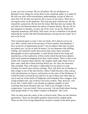a man, one was a woman. We are all pellets. We are all phrases in Bernard's story, things he writes down in his notebook under A or under B. He tells our story with extraordinary understanding, except of what we most feel. For he does not need us. He is never at our mercy. There he is, waving his arms on the platform. The train has gone without him. He has missed his connection. He has lost his ticket. But that does not matter. He will talk to the barmaid about the nature of human destiny. We are off; he has forgotten us already; we pass out of his view; we go on, filled with lingering sensations, half bitter, half sweet, for he is somehow to be pitied, breasting the world with half-finished phrases, having lost his ticket: he is also to be loved.

'Now I pretend again to read. I raise my book, till it almost covers my eyes. But I cannot read in the presence of horse-dealers and plumbers. I have no power of ingratiating myself. I do not admire that man; he does not admire me. Let me at least be honest. Let me denounce this piffling, trifling, self-satisfied world; these horse-hair seats; these coloured photographs of piers and parades. I could shriek aloud at the smug selfsatisfaction, at the mediocrity of this world, which breeds horse-dealers with coral ornaments hanging from their watch-chains. There is that in me which will consume them entirely. My laughter shall make them twist in their seats; shall drive them howling before me. No; they are immortal. They triumph. They will make it impossible for me always to read Catullus in a third-class railway carriage. They will drive me in October to take refuge in one of the universities, where I shall become a don; and go with schoolmasters to Greece; and lecture on the ruins of the Parthenon. It would be better to breed horses and live in one of those red villas than to run in and out of the skulls of Sophocles and Euripides like a maggot, with a high-minded wife, one of those University women. That, however, will be my fate. I shall suffer. I am already at eighteen capable of such contempt that horse-breeders hate me. That is my triumph; I do not compromise. I am not timid; I have no accent. I do not finick about fearing what people think of "my father a banker at Brisbane" like Louis.

'Now we draw near the centre of the civilized world. There are the familiar gasometers. There are the public gardens intersected by asphalt paths. There are the lovers lying shamelessly mouth to mouth on the burnt grass.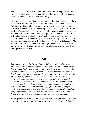Percival is now almost in Scotland; his train draws through the red moors; he sees the long line of the Border hills and the Roman wall. He reads a detective novel, yet understands everything.

The train slows and lengthens, as we approach London, the centre, and my heart draws out too, in fear, in exultation. I am about to meet—what? What extraordinary adventure waits me, among these mail vans, these porters, these swarms of people calling taxis? I feel insignificant, lost, but exultant. With a soft shock we stop. I will let the others get out before me. I will sit still one moment before I emerge into that chaos, that tumult. I will not anticipate what is to come. The huge uproar is in my ears. It sounds and resounds, under this glass roof like the surge of a sea. We are cast down on the platform with our handbags. We are whirled asunder. My sense of self almost perishes; my contempt. I become drawn in, tossed down, thrown sky-high. I step out on to the platform, grasping tightly all that I possess—one bag.'

## **XII**

*The sun rose. Bars of yellow and green fell on the shore, gilding the ribs of the eaten-out boat and making the sea-holly and its mailed leaves gleam blue as steel. Light almost pierced the thin swift waves as they raced fanshaped over the beach. The girl who had shaken her head and made all the jewels, the topaz, the aquamarine, the water-coloured jewels with sparks of fire in them, dance, now bared her brows and with wide-opened eyes drove a straight pathway over the waves. Their quivering mackerel sparkling was darkened; they massed themselves; their green hollows deepened and darkened and might be traversed by shoals of wandering fish. As they splashed and drew back they left a black rim of twigs and cork on the shore and straws and sticks of wood, as if some light shallop had foundered and burst its sides and the sailor had swum to land and bounded up the clif and left his frail cargo to be washed ashore.*

*In the garden the birds that had sung erratically and spasmodically in the dawn on that tree, on that bush, now sang together in chorus, shrill and*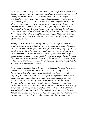*sharp; now together, as if conscious of companionship, now alone as if to the pale blue sky. They swerved, all in one flight, when the black cat moved among the bushes, when the cook threw cinders on the ash heap and startled them. Fear was in their song, and apprehension of pain, and joy to be snatched quickly now at this instant. Also they sang emulously in the clear morning air, swerving high over the elm tree, singing together as they chased each other, escaping, pursuing, pecking each other as they turned high in the air. And then tiring of pursuit and flight, lovelily they came descending, delicately declining, dropped down and sat silent on the tree, on the wall, with their bright eyes glancing, and their heads turned this way, that way; aware, awake; intensely conscious of one thing, one object in particular.*

*Perhaps it was a snail shell, rising in the grass like a grey cathedral, a swelling building burnt with dark rings and shadowed green by the grass. Or perhaps they saw the splendour of the flowers making a light of flowing purple over the beds, through which dark tunnels of purple shade were driven between the stalks. Or they fixed their gaze on the small bright apple leaves, dancing yet withheld, stiffly sparkling among the pink-tipped blossoms. Or they saw the rain drop on the hedge, pendent but not falling, with a whole house bent in it, and towering elms; or, gazing straight at the sun, their eyes became gold beads.*

*Now glancing this side, that side, they looked deeper, beneath the flowers, down the dark avenues into the unlit world where the leaf rots and the flower has fallen. Then one of them, beautifully darting, accurately alighting, spiked the soft, monstrous body of the defenceless worm, pecked again and yet again, and left it to fester. Down there among the roots where the flowers decayed, gusts of dead smells were wafted; drops formed on the bloated sides of swollen things. The skin of rotten fruit broke, and matter oozed too thick to run. Yellow excretions were exuded by slugs, and now and again an amorphous body with a head at either end swayed slowly from side to side. The gold-eyed birds darting in between the leaves observed that purulence, that wetness, quizzically. Now and then they plunged the tips of their beaks savagely into the sticky mixture.*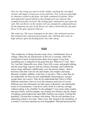*Now, too, the rising sun came in at the window, touching the red-edged curtain, and began to bring out circles and lines. Now in the growing light its whiteness settled in the plate; the blade condensed its gleam. Chairs and cupboards loomed behind so that though each was separate they seemed inextricably involved. The looking-glass whitened its pool upon the wall. The real flower on the window-sill was attended by a phantom flower. Yet the phantom was part of the flower, for when a bud broke free the paler flower in the glass opened a bud too.*

*The wind rose. The waves drummed on the shore, like turbaned warriors, like turbaned men with poisoned assegais who, whirling their arms on high, advance upon the feeding flocks, the white sheep.*

### **XIII**

'The complexity of things becomes more close,' said Bernard, 'here at college, where the stir and pressure of life are so extreme, where the excitement of mere living becomes daily more urgent. Every hour something new is unburied in the great bran pie. What am I? I ask. This? No, I am that. Especially now, when I have left a room, and people talking, and the stone flags ring out with my solitary footsteps, and I behold the moon rising, sublimely, indifferently, over the ancient chapel—then it becomes clear that I am not one and simple, but complex and many. Bernard, in public, bubbles; in private, is secretive. That is what they do not understand, for they are now undoubtedly discussing me, saying I escape them, am evasive. They do not understand that I have to effect different transitions; have to cover the entrances and exits of several different men who alternately act their parts as Bernard. I am abnormally aware of circumstances. I can never read a book in a railway carriage without asking, Is he a builder? Is she unhappy? I was aware today acutely that poor Simes, with his pimple, was feeling, how bitterly, that his chance of making a good impression upon Billy Jackson was remote. Feeling this painfully, I invited him to dinner with ardour. This he will attribute to an admiration which is not mine. That is true. But "joined to the sensibility of a woman" (I am here quoting my own biographer) "Bernard possessed the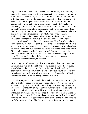logical sobriety of a man." Now people who make a single impression, and that, in the main, a good one (for there seems to be a virtue in simplicity), are those who keep their equilibrium in mid-stream. (I instantly see fish with their noses one way, the stream rushing past another.) Canon, Lycett, Peters, Hawkins, Larpent, Neville—all fish in mid-stream. But you understand, *you,* my self, who always comes at a call (that would be a harrowing experience to call and for no one to come; that would make the midnight hollow, and explains the expression of old men in clubs—they have given up calling for a self who does not come), you understand that I am only superficially represented by what I was saying tonight. Underneath, and, at the moment when I am most disparate, I am also integrated. I sympathize effusively; I also sit, like a toad in a hole, receiving with perfect coldness whatever comes. Very few of you who are now discussing me have the double capacity to feel, to reason. Lycett, you see, believes in running after hares; Hawkins has spent a most industrious afternoon in the library. Peters has his young lady at the circulating library. You are all engaged, involved, drawn in, and absolutely energized to the top of your bent—all save Neville, whose mind is far too complex to be roused by any single activity. I also am too complex. In my case something remains floating, unattached.

'Now, as a proof of my susceptibility to atmosphere, here, as I come into my room, and turn on the light, and see the sheet of paper, the table, my gown lying negligently over the back of the chair, I feel that I am that dashing yet reflective man, that bold and deleterious figure, who, lightly throwing off his cloak, seizes his pen and at once flings off the following letter to the girl with whom he is passionately in love.

'Yes, all is propitious. I am now in the mood. I can write the letter straight off which I have begun ever so many times. I have just come in; I have flung down my hat and my stick; I am writing the first thing that comes into my head without troubling to put the paper straight. It is going to be a brilliant sketch which, she must think, was written without a pause, without an erasure. Look how unformed the letters are—there is a careless blot. All must be sacrificed to speed and carelessness. I will write a quick, running, small hand, exaggerating the down stroke of the "y" and crossing the "t" thus—with a dash. The date shall be only Tuesday, the 17th, and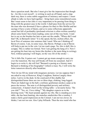then a question mark. But also I must give her the impression that though he—for this is not myself—is writing in such an off-hand, such a slapdash way, there is some subtle suggestion of intimacy and respect. I must allude to talks we have had together—bring back some remembered scene. But I must seem to her (this is very important) to be passing from thing to thing with the greatest ease in the world. I shall pass from the service for the man who was drowned (I have a phrase for that) to Mrs Moffat and her sayings (I have a note of them), and so to some reflections apparently casual but full of profundity (profound criticism is often written casually) about some book I have been reading, some out-of-the-way book. I want her to say as she brushes her hair or puts out the candle, "Where did I read that? Oh, in Bernard's letter." It is the speed, the hot, molten effect, the laval flow of sentence into sentence that I need. Who am I thinking of? Byron of course. I am, in some ways, like Byron. Perhaps a sip of Byron will help to put me in the vein. Let me read a page. No; this is dull; this is scrappy. This is rather too formal. Now I am getting the hang of it. Now I am getting his beat into my brain (the rhythm is the main thing in writing). Now, without pausing I will begin, on the very lilt of the stroke—.

'Yet it falls flat. It peters out. I cannot get up steam enough to carry me over the transition. My true self breaks off from my assumed. And if I begin to re-write it, she will feel "Bernard is posing as a literary man; Bernard is thinking of his biographer" (which is true). No, I will write the letter tomorrow directly after breakfast.

'Now let me fill my mind with imaginary pictures. Let me suppose that I am asked to stay at Restover, King's Laughton, Station Langley three miles. I arrive in the dusk. In the courtyard of this shabby but distinguished house there are two or three dogs, slinking, long-legged. There are faded rugs in the hall; a military gentleman smokes a pipe as he paces the terrace. The note is of distinguished poverty and military connections. A hunter's hoof on the writing table—a favourite horse. "Do you ride?" "Yes, sir, I love riding." "My daughter expects us in the drawing-room." My heart pounds against my ribs. She is standing at a low table; she has been hunting; she munches sandwiches like a tomboy. I make a fairly good impression on the Colonel. I am not too clever, he thinks; I am not too raw. Also I play billiards. Then the nice maid who has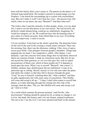been with the family thirty years comes in. The pattern on the plates is of Oriental long-tailed birds. Her mother's portrait in muslin hangs over the fireplace. I can sketch the surroundings up to a point with extraordinary ease. But can I make it work? Can I hear her voice—the precise tone with which, when we are alone, she says "Bernard"? And then what next?

'The truth is that I need the stimulus of other people. Alone, over my dead fire, I tend to see the thin places in my own stories. The real novelist, the perfectly simple human being, could go on, indefinitely, imagining. He would not integrate, as I do. He would not have this devastating sense of grey ashes in a burnt-out grate. Some blind flaps in my eyes. Everything becomes impervious. I cease to invent.

'Let me recollect. It has been on the whole a good day. The drop that forms on the roof of the soul in the evening is round, many-coloured. There was the morning, fine; there was the afternoon, walking. I like views of spires across grey fields. I like glimpses between people's shoulders. Things kept popping into my head. I was imaginative, subtle. After dinner, I was dramatic. I put into concrete form many things that we had dimly observed about our common friends. I made my transitions easily. But now let me ask myself the final question, as I sit over this grey fire, with its naked promontories of black coal, which of these people am I? It depends so much upon the room. When I say to myself, "Bernard", who comes? A faithful, sardonic man, disillusioned, but not embittered. A man of no particular age or calling. Myself, merely. It is he who now takes the poker and rattles the cinders so that they fall in showers through the grate. "Lord," he says to himself, watching them fall, "what a pother!" and then he adds, lugubriously, but with some sense of consolation, "Mrs Moffat will come and sweep it all up—" I fancy I shall often repeat to myself that phrase, as I rattle and bang through life, hitting first this side of the carriage, then the other, "Oh, yes, Mrs Moffat will come and sweep it all up." And so to bed.'

'In a world which contains the present moment,' said Neville, 'why discriminate? Nothing should be named lest by so doing we change it. Let it exist, this bank, this beauty, and I, for one instant, steeped in pleasure. The sun is hot. I see the river. I see trees specked and burnt in the autumn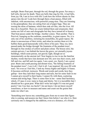sunlight. Boats float past, through the red, through the green. Far away a bell tolls, but not for death. There are bells that ring for life. A leaf falls, from joy. Oh, I am in love with life! Look how the willow shoots its fine sprays into the air! Look how through them a boat passes, filled with indolent, with unconscious, with powerful young men. They are listening to the gramophone; they are eating fruit out of paper bags. They are tossing the skins of bananas, which then sink eel-like, into the river. All they do is beautiful. There are cruets behind them and ornaments; their rooms are full of oars and oleographs but they have turned all to beauty. That boat passes under the bridge. Another comes. Then another. That is Percival, lounging on the cushions, monolithic, in giant repose. No, it is only one of his satellites, imitating his monolithic, his giant repose. He alone is unconscious of their tricks, and when he catches them at it he buffets them good-humouredly with a blow of his paw. They, too, have passed under the bridge through 'the fountains of the pendant trees', through its fine strokes of yellow and plum colour. The breeze stirs; the curtain quivers; I see behind the leaves the grave, yet eternally joyous buildings, which seem porous, not gravid; light, though set so immemorially on the ancient turf. Now begins to rise in me the familiar rhythm; words that have lain dormant now lift, now toss their crests, and fall and rise, and fall and rise again. I am a poet, yes. Surely I am a great poet. Boats and youth passing and distant trees, "the falling fountains of the pendant trees". I see it all. I feel it all. I am inspired. My eyes fill with tears. Yet even as I feel this, I lash my frenzy higher and higher. It foams. It becomes artificial, insincere. Words and words and words, how they gallop—how they lash their long manes and tails, but for some fault in me I cannot give myself to their backs; I cannot fly with them, scattering women and string bags. There is some flaw in me—some fatal hesitancy, which, if I pass it over, turns to foam and falsity. Yet it is incredible that I should not be a great poet. What did I write last night if it was not good poetry? Am I too fast, too facile? I do not know. I do not know myself sometimes, or how to measure and name and count out the grains that make me what I am.

'Something now leaves me; something goes from me to meet that figure who is coming, and assures me that I know him before I see who it is. How curiously one is changed by the addition, even at a distance, of a friend.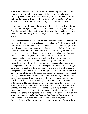How useful an office one's friends perform when they recall us. Yet how painful to be recalled, to be mitigated, to have one's self adulterated, mixed up, become part of another. As he approaches I become not myself but Neville mixed with somebody—with whom?—with Bernard? Yes, it is Bernard, and it is to Bernard that I shall put the question, Who am I?'

'How strange,' said Bernard, 'the willow looks seen together. I was Byron, and the tree was Byron's tree, lachrymose, down-showering, lamenting. Now that we look at the tree together, it has a combined look, each branch distinct, and I will tell you what I feel, under the compulsion of your clarity.

'I feel your disapproval, I feel your force. I become, with you, an untidy, an impulsive human being whose bandanna handkerchief is for ever stained with the grease of crumpets. Yes, I hold Gray's *Elegy* in one hand; with the other I scoop out the bottom crumpet, that has absorbed all the butter and sticks to the bottom of the plate. This offends you; I feel your distress acutely. Inspired by it and anxious to regain your good opinion, I proceed to tell you how I have just pulled Percival out of bed; I describe his slippers, his table, his guttered candle; his surly and complaining accents as I pull the blankets off his feet; he burrowing like some vast cocoon meanwhile. I describe all this in such a way that, centred as you are upon some private sorrow (for a hooded shape presides over our encounter), you give way, you laugh and delight in me. My charm and flow of language, unexpected and spontaneous as it is, delights me too. I am astonished, as I draw the veil off things with words, how much, how infinitely more than I can say, I have observed. More and more bubbles into my mind as I talk, images and images. This, I say to myself, is what I need; why, I ask, can I not finish the letter that I am writing? For my room is always scattered with unfinished letters. I begin to suspect, when I am with you, that I am among the most gifted of men. I am filled with the delight of youth, with potency, with the sense of what is to come. Blundering, but fervid, I see myself buzzing round flowers, humming down scarlet cups, making blue funnels resound with my prodigious booming. How richly I shall enjoy my youth (you make me feel). And London. And freedom. But stop. You are not listening. You are making some protest, as you slide, with an inexpressibly familiar gesture, your hand along your knee. By such signs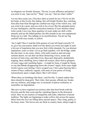we diagnose our friends' diseases. "Do not, in your affluence and plenty," you seem to say, "pass me by." "Stop," you say. "Ask me what I suffer."

'Let me then create you. (You have done as much for me.) You lie on this hot bank, in this lovely, this fading, this still bright October day, watching boat after boat float through the combed-out twigs of the willow tree. And you wish to be a poet; and you wish to be a lover. But the splendid clarity of your intelligence, and the remorseless honesty of your intellect (these Latin words I owe you; these qualities of yours make me shift a little uneasily and see the faded patches, the thin strands in my own equipment) bring you to a halt. You indulge in no mystifications. You do not fog yourself with rosy clouds, or yellow.

'Am I right? Have I read the little gesture of your left hand correctly? If so, give me your poems; hand over the sheets you wrote last night in such a fervour of inspiration that you now feel a little sheepish. For you distrust inspiration, yours or mine. Let us go back together, over the bridge, under the elm trees, to my room, where, with walls round us and red serge curtains drawn, we can shut out these distracting voices, scents and savours of lime trees, and other lives; these pert shop-girls, disdainfully tripping, these shuffling, heavy-laden old women; these furtive glimpses of some vague and vanishing figure—it might be Jinny, it might be Susan, or was that Rhoda disappearing down the avenue? Again, from some slight twitch I guess your feeling; I have escaped you; I have gone buzzing like a swarm of bees, endlessly vagrant, with none of your power of fixing remorselessly upon a single object. But I will return.'

'When there are buildings like these,' said Neville, 'I cannot endure that there should be shop-girls. Their titter, their gossip, offends me; breaks into my stillness, and nudges me, in moments of purest exultation, to remember our degradation.

'But now we have regained our territory after that brief brush with the bicycles and the lime scent and the vanishing figures in the distracted street. Here we are masters of tranquillity and order; inheritors of proud tradition. The lights are beginning to make yellow slits across the square. Mists from the river are filling these ancient spaces. They cling, gently, to the hoary stone. The leaves now are thick in country lanes, sheep cough in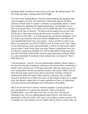the damp fields; but here in your room we are dry. We talk privately. The fire leaps and sinks, making some knob bright.

'You have been reading Byron. You have been marking the passages that seem to approve of your own character. I find marks against all those sentences which seem to express a sardonic yet passionate nature; a mothlike impetuosity dashing itself against hard glass. You thought, as you drew your pencil there, "I too throw off my cloak like that. I too snap my fingers in the face of destiny." Yet Byron never made tea as you do, who fill the pot so that when you put the lid on the tea spills over. There is a brown pool on the table—it is running among your books and papers. Now you mop it up, clumsily, with your pocket-handkerchief. You then stuff your handkerchief back into your pocket—that is not Byron; that is you; that is so essentially you that if I think of you in twenty years' time, when we are both famous, gouty and intolerable, it will be by that scene: and if you are dead, I shall weep. Once you were Tolstoi's young man; now you are Byron's young man; perhaps you will be Meredith's young man; then you will visit Paris in the Easter vacation and come back wearing a black tie, some detestable Frenchman whom nobody has ever heard of. Then I shall drop you.

'I am one person—myself. I do not impersonate Catullus, whom I adore. I am the most slavish of students, with here a dictionary, there a notebook in which I enter curious uses of the past participle. But one cannot go on for ever cutting these ancient inscriptions clearer with a knife. Shall I always draw the red serge curtain close and see my book, laid like a block of marble, pale under the lamp? That would be a glorious life, to addict oneself to perfection; to follow the curve of the sentence wherever it might lead, into deserts, under drifts of sand, regardless of lures, of seductions; to be poor always and unkempt; to be ridiculous in Piccadilly.

'But I am too nervous to end my sentence properly. I speak quickly, as I pace up and down, to conceal my agitation. I hate your greasy handkerchiefs—you will stain your copy of *Don Juan.* You are not listening to me. You are making phrases about Byron. And while you gesticulate, with your cloak, your cane, I am trying to expose a secret told to nobody yet; I am asking you (as I stand with my back to you) to take my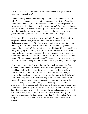life in your hands and tell me whether I am doomed always to cause repulsion in those I love?

'I stand with my back to you fidgeting. No, my hands are now perfectly still. Precisely, opening a space in the bookcase, I insert *Don Juan;* there. I would rather be loved, I would rather be famous than follow perfection through the sand. But am I doomed to cause disgust? Am I a poet? Take it. The desire which is loaded behind my lips, cold as lead, fell as a bullet, the thing I aim at shop-girls, women, the pretence, the vulgarity of life (because I love it) shoots at you as I throw—catch it—my poem.'

'He has shot like an arrow from the room,' said Bernard. 'He has left me his poem. O friendship, I too will press flowers between the pages of Shakespeare's sonnets! O friendship, how piercing are your darts—there, there, again there. He looked at me, turning to face me; he gave me his poem. All mists curl off the roof of my being. That confidence I shall keep to my dying day. Like a long wave, like a roll of heavy waters, he went over me, his devastating presence—dragging me open, laying bare the pebbles on the shore of my soul. It was humiliating; I was turned to small stones. All semblances were rolled up. "You are not Byron; you are your self." To be contracted by another person into a single being—how strange.

'How strange to feel the line that is spun from us lengthening its fine filament across the misty spaces of the intervening world. He is gone; I stand here, holding his poem. Between us is this line. But now, how comfortable, how reassuring to feel that alien presence removed, that scrutiny darkened and hooded over! How grateful to draw the blinds, and admit no other presence; to feel returning from the dark corners in which they took refuge, those shabby inmates, those familiars, whom, with his superior force, he drove into hiding. The mocking, the observant spirits who, even in the crisis and stab of the moment, watched on my behalf now come flocking home again. With their addition, I am Bernard; I am Byron; I am this, that and the other. They darken the air and enrich me, as of old, with their antics, their comments, and cloud the fine simplicity of my moment of emotion. For I am more selves than Neville thinks. We are not simple as our friends would have us to meet their needs. Yet love is simple.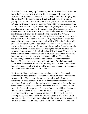'Now they have returned, my inmates, my familiars. Now the stab, the rent in my defences that Neville made with his astonishing fine rapier, is repaired. I am almost whole now; and see how jubilant I am, bringing into play all that Neville ignores in me. I feel, as I look from the window, parting the curtains, "That would give him no pleasure; but it rejoices me." (We use our friends to measure our own stature.) My scope embraces what Neville never reaches. They are shouting hunting-songs over the way. They are celebrating some run with the beagles. The, little boys in caps who always turned at the same moment when the brake went round the corner are clapping each other on the shoulder and boasting. But Neville, delicately avoiding interference, stealthily, like a conspirator, hastens back to his room. I see him sunk in his low chair gazing at the fire which has assumed for the moment an architectural solidity. If life, he thinks, could wear that permanence, if life could have that order—for above all he desires order, and detests my Byronic untidiness; and so draws his curtain; and bolts his door. His eyes (for he is in love; the sinister figure of love presided at our encounter) fill with longing; fill with tears. He snatches the poker and with one blow destroys that momentary appearance of solidity in the burning coals. All changes. And youth and love. The boat has floated through the arch of the willows and is now under the bridge. Percival, Tony, Archie, or another, will go to India. We shall not meet again. Then he stretches his hand for his copy-book—a neat volume bound in mottled paper—and writes feverishly long lines of poetry, in the manner of whomever he admires most at the moment.

'But I want to linger; to lean from the window; to listen. There again comes that rollicking chorus. They are now smashing china—that also is the convention. The chorus, like a torrent jumping rocks, brutally assaulting old trees, pours with splendid abandonment headlong over precipices. On they roll; on they gallop, after hounds, after footballs; they pump up and down attached to oars like sacks of flour. All divisions are merged—they act like one man. The gusty October wind blows the uproar in bursts of sound and silence across the court. Now again they are smashing the china—that is the convention. An old, unsteady woman carrying a bag trots home under the fire-red windows. She is half afraid that they will fall on her and tumble her into the gutter. Yet she pauses as if to warm her knobbed, her rheumaticky hands at the bonfire which flares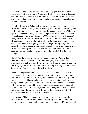away with streams of sparks and bits of blown paper. The old woman pauses against the lit window. A contrast. That I see and Neville does not see; that I feel and Neville does not feel. Hence he will reach perfection and I shall fail and shall leave nothing behind me but imperfect phrases littered with sand.

'I think of Louis now. What malevolent yet searching light would Louis throw upon this dwindling autumn evening, upon this china-smashing and trolling of hunting-songs, upon Neville, Byron and our life here? His thin lips are somewhat pursed; his cheeks are pale; he pores in an office over some obscure commercial document. "My father, a banker at Brisbane" being ashamed of him he always talks of him—failed. So he sits in an office, Louis the best scholar in the school. But I seeking contrasts often feel his eye on us, his laughing eye, his wild eye, adding us up like insignificant items in some grand total which he is for ever pursuing in his office. And one day, taking a fine pen and dipping it in red ink, the addition will be complete; our total will be known; but it will not be enough.

'Bang! They have thrown a chair now against the wall. We are damned then. My case is dubious too. Am I not indulging in unwarranted emotions? Yes, as I lean out of the window and drop my cigarette so that it twirls lightly to the ground, I feel Louis watching even my cigarette. And Louis says, "That means something. But what?"'

'People go on passing,' said Louis. They pass the window of this eatingshop incessantly. Motor-cars, vans, motor-omnibuses; and again motoromnibuses, vans, motor-cars—they pass the window. In the background I perceive shops and houses; also the grey spires of a city church. In the foreground are glass shelves set with plates of buns and ham sandwiches. All is somewhat obscured by steam from a tea-urn. A meaty, vapourish smell of beef and mutton, sausages and mash, hangs down like a damp net in the middle of the eating-house. I prop my book against a bottle of Worcester sauce and try to look like the rest.

'Yet I cannot. (They go on passing, they go on passing in disorderly procession.) I cannot read my book, or order my beef, with conviction. I repeat, "I am an average Englishman; I am an average clerk", yet I look at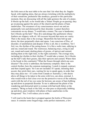the little men at the next table to be sure that I do what they do. Supplefaced, with rippling skins, that are always twitching with the multiplicity of their sensations, prehensile like monkeys, greased to this particular moment, they are discussing with all the right gestures the sale of a piano. It blocks up the hall; so he would take a Tenner. People go on passing; they go on passing against the spires of the church and the plates of ham sandwiches. The streamers of my consciousness waver out and are perpetually torn and distressed by their disorder. I cannot therefore concentrate on my dinner. "I would take a tenner. The case is handsome; but it blocks up the hall." They dive and plunge like guillemots whose feathers are slippery with oil. All excesses beyond that norm are vanity. That is the mean; that is the average. Meanwhile the hats bob up and down; the door perpetually shuts and opens. I am conscious of flux, of disorder; of annihilation and despair. If this is all, this is worthless. Yet I feel, too, the rhythm of the eating-house. It is like a waltz tune, eddying in and out, round and round. The waitresses, balancing trays, swing in and out, round and round, dealing plates of greens, of apricot and custard, dealing them at the right time, to the right customers. The average men, including her rhythm in their rhythm ("I would take a tenner; for it blocks up the hall") take their greens, take their apricots and custard. Where then is the break in this continuity? What the fissure through which one sees disaster? The circle is unbroken; the harmony complete. Here is the central rhythm; here the common mainspring. I watch it expand, contract; and then expand again. Yet I am not included. If I speak, imitating their accent, they prick their ears, waiting for me to speak again, in order that they may place me—if I come from Canada or Australia, I, who desire above all things to be taken to the arms with love, am alien, external. I, who would wish to feel close over me the protective waves of the ordinary, catch with the tail of my eye some far horizon; am aware of hats bobbing up and down in perpetual disorder. To me is addressed the plaint of the wandering and distracted spirit (a woman with bad teeth falters at the counter), "Bring us back to the fold, we who pass so disjectedly, bobbing up and down, past windows with plates of ham sandwiches in the foreground." Yes; I will reduce you to order.

'I will read in the book that is propped against the bottle of Worcester sauce. It contains some forged rings, some perfect statements, a few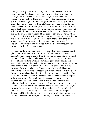words, but poetry. You, all of you, ignore it. What the dead poet said, you have forgotten. And I cannot translate it to you so that its binding power ropes you in, and makes it clear to you that you are aimless; and the rhythm is cheap and worthless; and so remove that degradation which, if you are unaware of your aimlessness, pervades you, making you senile, even while you are young. To translate that poem so that it is easily read is to be my endeavour. I, the companion of Plato, of Virgil, will knock at the grained oak door. I oppose to what is passing this ramrod of beaten steel. I will not submit to this aimless passing of billycock hats and Homburg hats and all the plumed and variegated head-dresses of women. (Susan, whom I respect, would wear a plain straw hat on a summer's day.) And the grinding and the steam that runs in unequal drops down the window pane; and the stopping and the starting with a jerk of motor-omnibuses; and the hesitations at counters; and the words that trail drearily without human meaning; I will reduce you to order.

'My roots go down through veins of lead and silver, through damp, marshy places that exhale odours, to a knot made of oak roots bound together in the centre. Sealed and blind, with earth stopping my ears, I have yet heard rumours of wars; and the nightingale; have felt the hurrying of many troops of men flocking hither and thither in quest of civilization like flocks of birds migrating seeking the summer; I have seen women carrying red pitchers to the banks of the Nile. I woke in a garden, with a blow on the nape of my neck, a hot kiss, Jinny's; remembering all this as one remembers confused cries and toppling pillars and shafts of red and black in some nocturnal conflagration. I am for ever sleeping and waking. Now I sleep; now I wake. I see the gleaming tea-urn; the glass cases full of paleyellow sandwiches; the men in round coats perched on stools at the counter; and also behind them, eternity. It is a stigma burnt on my quivering flesh by a cowled man with a red-hot iron. I see this eating-shop against the packed and fluttering birds' wings, many feathered, folded, of the past. Hence my pursed lips, my sickly pallor; my distasteful and uninviting aspect as I turn my face with hatred and bitterness upon Bernard and Neville, who saunter under yew trees; who inherit armchairs; and draw their curtains close, so that lamplight falls on their books.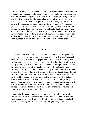'Susan, I respect; because she sits stitching. She sews under a quiet lamp in a house where the corn sighs close to the window and gives me safety. For I am the weakest, the youngest of them all. I am a child looking at his feet and the little runnels that the stream has made in the gravel. That is a snail, I say; that is a leaf. I delight in the snails; I delight in the leaf, I am always the youngest, the most innocent, the most trustful. You are all protected. I am naked. When the waitress with the plaited wreaths of hair swings past, she deals you your apricots and custard unhesitatingly, like a sister. You are her brothers. But when I get up, brushing the crumbs from my waistcoat, I slip too large a tip, a shilling, under the edge of my plate, so that she may not find it till I am gone, and her scorn, as she picks it up with laughter, may not strike on me till I am past the swing-doors.'

#### **XIV**

'Now the wind lifts the blind,' said Susan, 'jars, bowls, matting and the shabby arm-chair with the hole in it are now become distinct. The usual faded ribbons sprinkle the wallpaper. The bird chorus is over, only one bird now sings close to the bedroom window. I will pull on my stockings and go quietly past the bedroom doors, and down through the kitchen, out through the garden past the greenhouse into the field. It is still early morning. The mist is on the marshes. The day is stark and stiff as a linen shroud. But it will soften; it will warm. At this hour, this still early hour, I think I am the field, I am the barn, I am the trees; mine are the flocks of birds, and this young hare who leaps, at the last moment when I step almost on him. Mine is the heron that stretches its vast wings lazily; and the cow that creaks as it pushes one foot before another munching; and the wild, swooping swallow; and the faint red in the sky, and the green when the red fades; the silence and the bell; the call of the man fetching carthorses from the fields—all are mine.

'I cannot be divided, or kept apart. I was sent to school; I was sent to Switzerland to finish my education. I hate linoleum; I hate fir trees and mountains. Let me now fling myself on this flat ground under a pale sky where the clouds pace slowly. The cart grows gradually larger as it comes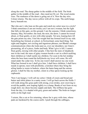along the road. The sheep gather in the middle of the field. The birds gather in the middle of the road—they need not fly yet. The wood smoke rises. The starkness of the dawn is going out of it. Now the day stirs. Colour returns. The day waves yellow with all its crops. The earth hangs heavy beneath me.

'But who am I, who lean on this gate and watch my setter nose in a circle? I think sometimes (I am not twenty yet) I am not a woman, but the light that falls on this gate, on this ground. I am the seasons, I think sometimes, January, May, November; the mud, the mist, the dawn. I cannot be tossed about, or float gently, or mix with other people. Yet now, leaning here till the gate prints my arm, I feel the weight that has formed itself in my side. Something has formed, at school, in Switzerland, some hard thing. Not sighs and laughter, not circling and ingenious phrases; not Rhoda's strange communications when she looks past us, over our shoulders; nor Jinny's pirouetting, all of a piece, limbs and body. What I give is fell. I cannot float gently, mixing with other people. I like best the stare of shepherds met in the road; the stare of gipsy women beside a cart in a ditch suckling their children as I shall suckle my children. For soon in the hot midday when the bees hum round the hollyhocks my lover will come. He will stand under the cedar tree. To his one word I shall answer my one word. What has formed in me I shall give him. I shall have children; I shall have maids in aprons; men with pitchforks; a kitchen where they bring the ailing lambs to warm in baskets, where the hams hang and the onions glisten. I shall be like my mother, silent in a blue apron locking up the cupboards.

'Now I am hungry. I will call my setter. I think of crusts and bread and butter and white plates in a sunny room. I will go back across the fields. I will walk along this grass path with strong, even strides, now swerving to avoid the puddle, now leaping lightly to a clump. Beads of wet form on my rough skirt; my shoes become supple and dark. The stiffness has gone from the day; it is shaded with grey, green and umber. The birds no longer settle on the high road.

'I return, like a cat or fox returning, whose fur is grey with rime, whose pads are hardened by the coarse earth. I push through the cabbages,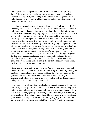making their leaves squeak and their drops spill. I sit waiting for my father's footsteps as he shuffles down the passage pinching some herb between his fingers. I pour out cup after cup while the unopened flowers hold themselves erect on the table among the pots of jam, the loaves and the butter. We are silent.

'I go then to the cupboard, and take the damp bags of rich sultanas; I lift the heavy flour on to the clean scrubbed kitchen table. I knead; I stretch; I pull, plunging my hands in the warm inwards of the dough. I let the cold water stream fanwise through my fingers. The fire roars; the flies buzz in a circle. All my currants and rices, the silver bags and the blue bags, are locked again in the cupboard. The meat is stood in the oven; the bread rises in a soft dome under the clean towel. I walk in the afternoon down to the river. All the world is breeding. The flies are going from grass to grass. The flowers are thick with pollen. The swans ride the stream in order. The clouds, warm now, sun-spotted, sweep over the hills, leaving gold in the water, and gold on the necks of the swans. Pushing one foot before the other, the cows munch their way across the field. I feel through the grass for the white-domed mushroom; and break its stalk and pick the purple orchid that grows beside it and lay the orchid by the mushroom with the earth at its root, and so home to make the kettle boil for my father among the just reddened roses on the tea-table.

'But evening comes and the lamps are lit. And when evening comes and the lamps are lit they make a yellow fire in the ivy. I sit with my sewing by the table. I think of Jinny; of Rhoda; and hear the rattle of wheels on the pavement as the farm horses plod home; I hear traffic roaring in the evening wind. I look at the quivering leaves in the dark garden and think "They dance in London. Jinny kisses Louis".'

'How strange,' said Jinny, 'that people should sleep, that people should put out the lights and go upstairs. They have taken off their dresses, they have put on white nightgowns. There are no lights in any of these houses. There is a line of chimney-pots against the sky; and a street lamp or two burning, as lamps burn when nobody needs them. The only people in the streets are poor people hurrying. There is no one coming or going in this street; the day is over. A few policemen stand at the corners. Yet night is beginning. I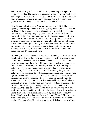feel myself shining in the dark. Silk is on my knee. My silk legs rub smoothly together. The stones of a necklace lie cold on my throat. My feet feel the pinch of shoes. I sit bolt upright so that my hair may not touch the back of the seat. I am arrayed, I am prepared. This is the momentary pause; the dark moment. The fiddlers have lifted their bows.

'Now the car slides to a stop. A strip of pavement is lighted. The door is opening and shutting. People are arriving; they do not speak; they hasten in. There is the swishing sound of cloaks falling in the hall. This is the prelude, this is the beginning. I glance, I peep, I powder. All is exact, prepared. My hair is swept in one curve. My lips are precisely red. I am ready now to join men and women on the stairs, my peers. I pass them, exposed to their gaze, as they are to mine. Like lightning we look but do not soften or show signs of recognition. Our bodies communicate. This is my calling. This is my world. All is decided and ready; the servants, standing here, and again here, take my name, my fresh, my unknown name, and toss it before me. I enter.

'Here are gilt chairs in the empty, the expectant rooms, and flowers, stiller, statelier, than flowers that grow, spread green, spread white, against the walls. And on one small table is one bound book. This is what I have dreamt; this is what I have foretold. I am native here. I tread naturally on thick carpets. I slide easily on smooth-polished floors, I now begin to unfurl, in this scent, in this radiance, as a fern when its curled leaves unfurl. I stop. I take stock of this world. I look among the groups of unknown people. Among the lustrous green, pink, pearl-grey women stand upright the bodies of men. They are black and white; they are grooved beneath their clothes with deep rills. I feel again the reflection in the window of the tunnel; it moves. The black-and-white figures of unknown men look at me as I lean forward; as I turn aside to look at a picture, they turn too. Their hands go fluttering to their ties. They touch their waistcoats, their pocket-handkerchiefs. They are very young. They are anxious to make a good impression. I feel a thousand capacities spring up in me. I am arch, gay, languid, melancholy by turns. I am rooted, but I flow. All gold, flowing that way, I say to this one, "Come." Rippling black, I say to that one, "No." One breaks off from his station under the glass cabinet. He approaches. He makes towards me. This is the most exciting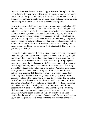moment I have ever known. I flutter. I ripple. I stream like a plant in the river, flowing this way, flowing that way, but rooted, so that he may come to me. "Come," I say, "come." Pale, with dark hair, the one who is coming is melancholy, romantic. And I am arch and fluent and capricious; for he is melancholy, he is romantic. He is here; he stands at my side.

'Now with a little jerk, like a limpet broken from a rock, I am broken off: I fall with him; I am carried off. We yield to this slow flood. We go in and out of this hesitating music. Rocks break the current of the dance; it jars, it shivers. In and out, we are swept now into this large figure; it holds us together; we cannot step outside its sinuous, its hesitating, its abrupt, its perfectly encircling walls. Our bodies, his hard, mine flowing, are pressed together within its body; it holds us together; and then lengthening out, in smooth, in sinuous folds, rolls us between it, on and on. Suddenly the music breaks. My blood runs on but my body stands still. The room reels past my eyes. It stops.

'Come, then, let us wander whirling to the gilt chairs. The body is stronger than I thought. I am dizzier than I supposed. I do not care for anything in the world. I do not care for anybody save this man whose name I do not know. Are we not acceptable, moon? Are we not lovely sitting together here, I in my satin; he in black and white? My peers may look at me now. I look straight back at you, men and women. I am one of you. This is my world. Now I take this thin-stemmed glass and sip. Wine has a drastic, an astringent taste. I cannot help wincing as I drink. Scent and flowers, radiance and heat, are distilled here to a fiery, to a yellow liquid. Just behind my shoulder-blades some dry thing, wide-eyed, gently closes, gradually lulls itself to sleep. This is rapture; this is relief. The bar at the back of my throat lowers itself. Words crowd and cluster and push forth one on top of another. It does not matter which. They jostle and mount on each other's shoulders. The single and the solitary mate, tumble and become many. It does not matter what I say. Crowding, like a fluttering bird, one sentence crosses the empty space between us. It settles on his lips. I fill my glass again. I drink. The veil drops between us. I am admitted to the warmth and privacy of another soul. We are together, high up, on some Alpine pass. He stands melancholy on the crest of the road. I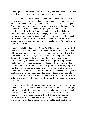stoop. I pick a blue flower and fix it, standing on tiptoe to reach him, in his coat. There! That is my moment of ecstasy. Now it is over.

'Now slackness and indifference invade us. Other people brush past. We have lost consciousness of our bodies uniting under the table. I also like fair-haired men with blue eyes. The door opens. The door goes on opening. Now I think, next time it opens the whole of my life will be changed. Who comes? But it is only a servant, bringing glasses. That is an old man—I should be a child with him. That is a great lady—with her I should dissemble. There are girls of my own age, for whom I feel the drawn swords of an honourable antagonism. For these are my peers. I am a native of this world. Here is my risk, here is my adventure. The door opens. O come, I say to this one, rippling gold from head to heels. "Come," and he comes towards me.'

'I shall edge behind them,' said Rhoda, 'as if I saw someone I know. But I know no one. I shall twitch the curtain and look at the moon. Draughts of oblivion shall quench my agitation. The door opens; the tiger leaps. The door opens; terror rushes in; terror upon terror, pursuing me. Let me visit furtively the treasures I have laid apart. Pools lie on the other side of the world reflecting marble columns. The swallow dips her wing in dark pools. But here the door opens and people come; they come towards me. Throwing faint smiles to mask their cruelty, their indifference, they seize me. The swallow dips her wings; the moon rides through the blue seas alone. I must take his hand; I must answer. But what answer shall I give? I am thrust back to stand burning in this clumsy, this ill-fitting body, to receive the shafts of his indifference and his scorn, I who long for marble columns and pools on the other side of the world where the swallow dips her wings.

'Night has wheeled a little further over the chimney-pots. I see out of the window over his shoulder some unembarrassed cat, not drowned in light, not trapped in silk, free to pause, to stretch, and to move again. I hate all details of the individual life. But I am fixed here to listen. An immense pressure is on me. I cannot move without dislodging the weight of centuries. A million arrows pierce me. Scorn and ridicule pierce me. I, who could beat my breast against the storm and let the hail choke me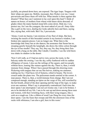joyfully, am pinned down here; am exposed. The tiger leaps. Tongues with their whips are upon me. Mobile, incessant, they flicker over me. I must prevaricate and fence them off with lies. What amulet is there against this disaster? What face can I summon to lay cool upon this heat? I think of names on boxes; of mothers from whose wide knees skirts descend; of glades where the many-backed steep hills come down. Hide me, I cry, protect me, for I am the youngest, the most naked of you all. Jinny rides like a gull on the wave, dealing her looks adroitly here and there, saying this, saying that, with truth. But I lie; I prevaricate.

'Alone, I rock my basins; I am mistress of my fleet of ships. But here, twisting the tassels of this brocaded curtain in my hostess's window, I am broken into separate pieces; I am no longer one. What then is the knowledge that Jinny has as she dances; the assurance that Susan has as, stooping quietly beneath the lamplight, she draws the white cotton through the eye of her needle? They say, Yes; they say, No; they bring their fists down with a bang on the table. But I doubt; I tremble; I see the wild thorn tree shake its shadow in the desert.

'Now I will walk, as if I had an end in view, across the room, to the balcony under the awning. I see the sky, softly feathered with its sudden effulgence of moon. I also see the railings of the square, and two people without faces, leaning like statues against the sky. There is, then, a world immune from change. When I have passed through this drawing-room flickering with tongues that cut me like knives, making me stammer, making me lie, I find faces rid of features, robed in beauty. The lovers crouch under the plane tree. The policeman stands sentinel at the corner. A man passes. There is, then, a world immune from change. But I am not composed enough, standing on tiptoe on the verge of fire, still scorched by the hot breath, afraid of the door opening and the leap of the tiger, to make even one sentence. What I say is perpetually contradicted. Each time the door opens I am interrupted. I am not yet twenty-one. I am to be broken. I am to be derided all my life. I am to be cast up and down among these men and women, with their twitching faces, with their lying tongues, like a cork on a rough sea. Like a ribbon of weed I am flung far every time the door opens. I am the foam that sweeps and fills the uttermost rims of the rocks with whiteness; I am also a girl, here in this room.'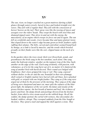*The sun, risen, no longer couched on a green mattress darting a fitful glance through watery jewels, bared its face and looked straight over the waves. They fell with a regular thud. They fell with the concussion of horses' hooves on the turf. Their spray rose like the tossing of lances and assegais over the riders' heads. They swept the beach with steel blue and diamond-tipped water. They drew in and out with the energy, the muscularity, of an engine which sweeps its force out and in again. The sun fell on cornfields and woods, rivers became blue and many-plaited, lawns that sloped down to the water's edge became green as birds' feathers softly ruffling their plumes. The hills, curved and controlled, seemed bound back by thongs, as a limb is laced by muscles; and the woods which bristled proudly on their flanks were like the curt, clipped mane on the neck of a horse.*

*In the garden where the trees stood, thick over flowerbeds, ponds, and greenhouses the birds sang in the hot sunshine, each alone. One sang under the bedroom window; another on the topmost twig of the lilac bush; another on the edge of the wall. Each sang stridently, with passion, with vehemence, as if to let the song burst out of it, no matter if it shattered the song of another bird with harsh discord. Their round eyes bulged with brightness; their claws gripped the twig or rail. They sang, exposed without shelter, to the air and the sun, beautiful in their new plumage, shell-veined or brightly mailed, here barred with soft blues, here splashed with gold, or striped with one bright feather. They sang as if the song were urged out of them by the pressure of the morning. They sang as if the edge of being were sharpened and must cut, must split the softness of the bluegreen light, the dampness of the wet earth; the fumes and steams of the greasy kitchen vapour; the hot breath of mutton and beef; the richness of pastry and fruit; the damp shreds and peelings thrown from the kitchen bucket, from which a slow steam oozed on the rubbish heap. On all the sodden, the damp-spotted, the curled with wetness, they descended, drybeaked, ruthless, abrupt. They swooped suddenly from the lilac bough or the fence. They spied a snail and tapped the shell against a stone. They*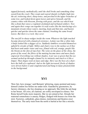*tapped furiously, methodically, until the shell broke and something slimy oozed from the crack. They swept and soared sharply in flights high into the air, twittering short, sharp notes, and perched in the upper branches of some tree, and looked down upon leaves and spires beneath, and the country white with blossom, flowing with grass, and the sea which beat like a drum that raises a regiment of plumed and turbaned soldiers. Now and again their songs ran together in swift scales like the interlacings of a mountain stream whose waters, meeting, foam and then mix, and hasten quicker and quicker down the same channel, brushing the same broad leaves. But there is a rock; they sever.*

*The sun fell in sharp wedges inside the room. Whatever the light touched became dowered with a fanatical existence. A plate was like a white lake. A knife looked like a dagger of ice. Suddenly tumblers revealed themselves upheld by streaks of light. Tables and chairs rose to the surface as if they had been sunk under water and rose, filmed with red, orange, purple like the bloom on the skin of ripe fruit. The veins on the glaze of the china, the grain of the wood, the fibres of the matting became more and more finely engraved. Everything was without shadow. A jar was so green that the eye seemed sucked up through a funnel by its intensity and stuck to it like a limpet. Then shapes took on mass and edge. Here was the boss of a chair; here the bulk of a cupboard. And as the light increased, flocks of shadow were driven before it and conglomerated and hung in many-pleated folds in the background.*

# **XVI**

'How fair, how strange,' said Bernard, 'glittering, many-pointed and manydomed London lies before me under mist. Guarded by gasometers, by factory chimneys, she lies sleeping as we approach. She folds the ant-heap to her breast. All cries, all clamour, are softly enveloped in silence. Not Rome herself looks more majestic. But we are aimed at her. Already her maternal somnolence is uneasy. Ridges, fledged with houses rise from the mist. Factories, cathedrals, glass domes, institutions and theatres erect themselves. The early train from the north is hurled at her like a missile.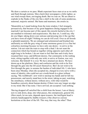We draw a curtain as we pass. Blank expectant faces stare at us as we rattle and flash through stations. Men clutch their newspapers a little tighter, as our wind sweeps them, envisaging death. But we roar on. We are about to explode in the flanks of the city like a shell in the side of some ponderous, maternal, majestic animal. She hums and murmurs; she awaits us.

'Meanwhile as I stand looking from the train window, I feel strangely, persuasively, that because of my great happiness (being engaged to be married) I am become part of this speed, this missile hurled at the city. I am numbed to tolerance and acquiescence. My dear sir, I could say, why do you fidget, taking down your suitcase and pressing into it the cap that you have worn all night? Nothing we can do will avail. Over us all broods a splendid unanimity. We are enlarged and solemnized and brushed into uniformity as with the grey wing of some enormous goose (it is a fine but colourless morning) because we have only one desire—to arrive at the station. I do not want the train to stop with a thud. I do not want the connection which has bound us together sitting opposite each other all night long to be broken. I do not want to feel that hate and rivalry have resumed their sway; and different desires. Our community in the rushing train, sitting together with only one wish, to arrive at Euston, was very welcome. But behold! It is over. We have attained our desire. We have drawn up at the platform. Hurry and confusion and the wish to be first through the gate into the lift assert themselves. But I do not wish to be first through the gate, to assume the burden of individual life. I, who have been since Monday, when she accepted me, charged in every nerve with a sense of identity, who could not see a tooth-brush in a glass without saying, "My toothbrush", now wish to unclasp my hands and let fall my possessions, and merely stand here in the street, taking no part, watching the omnibuses, without desire; without envy; with what would be boundless curiosity about human destiny if there were any longer an edge to my mind. But it has none. I have arrived; am accepted. I ask nothing.

'Having dropped off satisfied like a child from the breast, I am at liberty now to sink down, deep, into what passes, this omnipresent, general life. (How much, let me note, depends upon trousers; the intelligent head is entirely handicapped by shabby trousers.) One observes curious hesitations at the door of the lift. This way, that way, the other? Then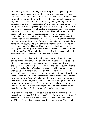individuality asserts itself. They are off. They are all impelled by some necessity. Some miserable affair of keeping an appointment, of buying a hat, severs these beautiful human beings once so united. For myself, I have no aim. I have no ambition. I will let myself be carried on by the general impulse. The surface of my mind slips along like a pale-grey stream, reflecting what passes. I cannot remember my past, my nose, or the colour of my eyes, or what my general opinion of myself is. Only in moments of emergency, at a crossing, at a kerb, the wish to preserve my body springs out and seizes me and stops me, here, before this omnibus. We insist, it seems, on living. Then again, indifference descends. The roar of the traffic, the passage of undifferentiated faces, this way and that way, drugs me into dreams; rubs the features from faces. People might walk through me. And, what is this moment of time, this particular day in which I have found myself caught? The growl of traffic might be any uproar—forest trees or the roar of wild beasts. Time has whizzed back an inch or two on its reel; our short progress has been cancelled. I think also that our bodies are in truth naked. We are only lightly covered with buttoned cloth; and beneath these pavements are shells, bones and silence.

'It is, however, true that my dreaming, my tentative advance like one carried beneath the surface of a stream, is interrupted, torn, pricked and plucked at by sensations, spontaneous and irrelevant, of curiosity, greed, desire, irresponsible as in sleep. (I covet that bag—etc.) No, but I wish to go under; to visit the profound depths; once in a while to exercise my prerogative not always to act, but to explore; to hear vague, ancestral sounds of boughs creaking, of mammoths; to indulge impossible desires to embrace the whole world with the arms of understanding—impossible to those who act. Am I not, as I walk, trembling with strange oscillations and vibrations of sympathy, which, unmoored as I am from a private being, bid me embrace these engrossed flocks; these starers and trippers; these errand-boys and furtive and fugitive girls who, ignoring their doom, look in at shop-windows? But I am aware of our ephemeral passage.

'It is, however, true that I cannot deny a sense that life for me is now mysteriously prolonged. Is it that I may have children, may cast a fling of seed wider, beyond this generation, this doom-encircled population, shuffling each other in endless competition along the street? My daughters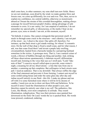shall come here, in other summers; my sons shall turn new fields. Hence we are not raindrops, soon dried by the wind; we make gardens blow and forests roar; we come up differently, for ever and ever. This, then, serves to explain my confidence, my central stability, otherwise so monstrously absurd as I breast the stream of this crowded thoroughfare, making always a passage for myself between people's bodies, taking advantage of safe moments to cross. It is not vanity; for I am emptied of ambition; I do not remember my special gifts, or idiosyncrasy, or the marks I bear on my person; eyes, nose or mouth. I am not, at this moment, myself.

'Yet behold, it returns. One cannot extinguish that persistent smell. It steals in through some crack in the structure—one's identity. I am not part of the street—no, I observe the street. One splits off, therefore. For instance, up that back street a girl stands waiting; for whom? A romantic story. On the wall of that shop is fixed a small crane, and for what reason, I ask, was that crane fixed there? and invent a purple lady swelling, circumambient, hauled from a barouche landau by a perspiring husband sometime in the sixties. A grotesque story. That is, I am a natural coiner of words, a blower of bubbles through one thing and another. And, striking off these observations spontaneously, I elaborate myself; differentiate myself and, listening to the voice that says as I stroll past, "Look! Take note of that!" I conceive myself called upon to provide, some winter's night, a meaning for all my observations—a line that runs from one to another, a summing up that completes. But soliloquies in back streets soon pall. I need an audience. That is my downfall. That always ruffles the edge of the final statement and prevents it from forming. I cannot seat myself in some sordid eating-house and order the same glass day after day and imbue myself entirely in one fluid—this life. I make my phrase and run off with it to some furnished room where it will be lit by dozens of candles. I need eyes on me to draw out these frills and furbelows. To be myself (I note) I need the illumination of other people's eyes, and therefore cannot be entirely sure what is my self. The authentics, like Louis, like Rhoda, exist most completely in solitude. They resent illumination, reduplication. They toss their pictures once painted face downward on the field. On Louis' words the ice is packed thick. His words issue pressed, condensed, enduring.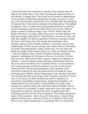'I wish, then, after this somnolence to sparkle, many-faceted under the light of my friends' faces. I have been traversing the sunless territory of non-identity. A strange land. I have heard in my moment of appeasement, in my moment of obliterating satisfaction, the sigh, as it goes in, comes out, of the tide that draws beyond this circle of bright light, this drumming of insensate fury. I have had one moment of enormous peace. This perhaps is happiness. Now I am drawn back by pricking sensations; by curiosity, greed (I am hungry) and the irresistible desire to be myself. I think of people to whom I could say things: Louis, Neville, Susan, Jinny and Rhoda. With them I am many-sided. They retrieve me from darkness. We shall meet tonight, thank Heaven. Thank Heaven, I need not be alone. We shall dine together. We shall say good-bye to Percival, who goes to India. The hour is still distant, but I feel already those harbingers, those outriders, figures of one's friends in absence. I see Louis, stone-carved, sculpturesque; Neville, scissor-cutting, exact; Susan with eyes like lumps of crystal; Jinny dancing like a flame, febrile, hot, over dry earth; and Rhoda the nymph of the fountain always wet. These are fantastic pictures —these are figments, these visions of friends in absence, grotesque, dropsical, vanishing at the first touch of the toe of a real boot. Yet they drum me alive. They brush off these vapours. I begin to be impatient of solitude—to feel its draperies hang sweltering, unwholesome about me. Oh, to toss them off and be active! Anybody will do. I am not fastidious. The crossing-sweeper will do; the postman; the waiter in this French restaurant; better still the genial proprietor, whose geniality seems reserved for oneself. He mixes the salad with his own hands for some privileged guest. Which is the privileged guest, I ask, and why? And what is he saying to the lady in ear-rings; is she a friend or a customer? I feel at once, as I sit down at a table, the delicious jostle of confusion, of uncertainty, of possibility, of speculation. Images breed instantly. I am embarrassed by my own fertility. I could describe every chair, table, luncher here copiously, freely. My mind hums hither and thither with its veil of words for everything. To speak, about wine even to the waiter, is to bring about an explosion. Up goes the rocket. Its golden grain falls, fertilizing, upon the rich soil of my imagination. The entirely unexpected nature of this explosion—that is the joy of intercourse. I, mixed with an unknown Italian waiter—what am I? There is no stability in this world. Who is to say what meaning there is in anything? Who is to foretell the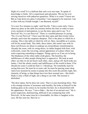flight of a word? It is a balloon that sails over tree-tops. To speak of knowledge is futile. All is experiment and adventure. We are for ever mixing ourselves with unknown quantities. What is to come? I know not. But as I put down my glass I remember: I am engaged to be married. I am to dine with my friends tonight. I am Bernard, myself.'

'It is now five minutes to eight,' said Neville. 'I have come early. I have taken my place at the table ten minutes before the time in order to taste every moment of anticipation; to see the door open and to say, "Is it Percival? No; it is not Percival." There is a morbid pleasure in saying: "No, it is not Percival." I have seen the door open and shut twenty times already; each time the suspense sharpens. This is the place to which he is coming. This is the table at which he will sit. Here, incredible as it seems, will be his actual body. This table, these chairs, this metal vase with its three red flowers are about to undergo an extraordinary transformation. Already the room, with its swing-doors, its tables heaped with fruit, with cold joints, wears the wavering, unreal appearance of a place where one waits expecting something to happen. Things quiver as if not yet in being. The blankness of the white table-cloth glares. The hostility, the indifference of other people dining here is oppressive. We look at each other; see that we do not know each other, stare, and go off. Such looks are lashes. I feel the whole cruelty and indifference of the world in them. If he should not come I could not bear it. I should go. Yet somebody must be seeing him now. He must be in some cab; he must be passing some shop. And every moment he seems to pump into this room this prickly light, this intensity of being, so that things have lost their normal uses—this knifeblade is only a flash of light, not a thing to cut with. The normal is abolished.

'The door opens, but he does not come. That is Louis hesitating there. That is his strange mixture of assurance and timidity. He looks at himself in the looking-glass as he comes in; he touches his hair; he is dissatisfied with his appearance. He says, "I am a Duke—the last of an ancient race." He is acrid, suspicious, domineering, difficult (I am comparing him with Percival). At the same time he is formidable, for there is laughter in his eyes. He has seen me. Here he is.'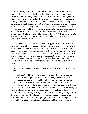'There is Susan,' said Louis. 'She does not see us. She has not dressed, because she despises the futility of London. She stands for a moment at the swing-door, looking about her like a creature dazed by the light of a lamp. Now she moves. She has the stealthy yet assured movements (even among tables and chairs) of a wild beast. She seems to find her way by instinct in and out among these little tables, touching no one, disregarding waiters, yet comes straight to our table in the corner. When she sees us (Neville, and myself) her face assumes a certainty which is alarming, as if she had what she wanted. To be loved by Susan would be to be impaled by a bird's sharp beak, to be nailed to a barnyard door. Yet there are moments when I could wish to be speared by a beak, to be nailed to a barnyard door, positively, once and for all.

'Rhoda comes now, from nowhere, having slipped in while we were not looking. She must have made a tortuous course, taking cover now behind a waiter, now behind some ornamental pillar, so as to put off as long as possible the shock of recognition, so as to be secure for one more moment to rock her petals in her basin. We wake her. We torture her. She dreads us, she despises us, yet comes cringing to our sides because for all our cruelty there is always some name, some face, which sheds a radiance, which lights up her pavements and makes it possible for her to replenish her dreams.'

'The door opens, the door goes on opening,' said Neville, 'yet he does not come.'

'There is Jinny,' said Susan. 'She stands in the door. Everything seems stayed. The waiter stops. The diners at the table by the door look. She seems to centre everything; round her tables, lines of doors, windows, ceilings, ray themselves, like rays round the star in the middle of a smashed window-pane. She brings things to a point, to order. Now she sees us, and moves, and all the rays ripple and flow and waver over us, bringing in new tides of sensation. We change. Louis puts his hand to his tie. Neville, who sits waiting with agonized intensity, nervously straightens the forks in front of him. Rhoda sees her with surprise, as if on some far horizon a fire blazed. And I, though I pile my mind with damp grass, with wet fields, with the sound of rain on the roof and the gusts of wind that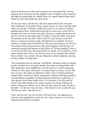batter at the house in winter and so protect my soul against her, feel her derision steal round me, feel her laughter curl its tongues of fire round me and light up unsparingly my shabby dress, my square-tipped finger-nails, which I at once hide under the table-cloth.'

'He has not come,' said Neville. The door opens and he does not come. That is Bernard. As he pulls off his coat he shows, of course, the blue shirt under his arm-pits. And then, unlike the rest of us, he comes in without pushing open a door, without knowing that he comes into a room full of strangers. He does not look in the glass. His hair is untidy, but he does not know it. He has no perception that we differ, or that this table is his goal. He hesitates on his way here. Who is that? he asks himself, as he half knows a woman in an opera cloak. He half knows everybody; he knows nobody (I compare him with Percival). But now, perceiving us, he waves a benevolent salute; he bears down with such benignity, with such love of mankind (crossed with humour at the futility of "loving mankind"), that, if it were not for Percival, who turns all this to vapour, one would feel, as the others already feel: Now is our festival; now we are together. But without Percival there is no solidity. We are silhouettes, hollow phantoms moving mistily without a background.'

'The swing-door goes on opening,' said Rhoda. 'Strangers keep on coming, people we shall never see again, people who brush us disagreeably with their familiarity, their indifference, and the sense of a world continuing without us. We cannot sink down, we cannot forget our faces. Even I who have no face, who make no difference when I come in (Susan and Jinny change bodies and faces), flutter unattached, without anchorage anywhere, unconsolidated, incapable of composing any blankness or continuity or wall against which these bodies move. It is because of Neville and his misery. The sharp breath of his misery scatters my being. Nothing can settle; nothing can subside. Every time the door opens he looks fixedly at the table—he dare not raise his eyes—then looks for one second and says, "He has not come." But here he is.'

'Now,' said Neville, 'my tree flowers. My heart rises. All oppression is relieved. All impediment is removed. The reign of chaos is over. He has imposed order. Knives cut again.'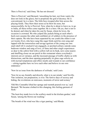'Here is Percival,' said Jinny. 'He has not dressed.'

'Here is Percival,' said Bernard, 'smoothing his hair, not from vanity (he does not look in the glass), but to propitiate the god of decency. He is conventional; he is a hero. The little boys trooped after him across the playing-fields. They blew their noses as he blew his nose, but unsuccessfully, for he is Percival. Now, when he is about to leave us, to go to India, all these trifles come together. He is a hero. Oh yes, that is not to be denied, and when he takes his seat by Susan, whom he loves, the occasion is crowned. We who yelped like jackals biting at each other's heels now assume the sober and confident air of soldiers in the presence of their captain. We who have been separated by our youth (the oldest is not yet twenty-five), who have sung like eager birds each his own song and tapped with the remorseless and savage egotism of the young our own snail-shell till it cracked (I am engaged), or perched solitary outside some bedroom window and sang of love, of fame and other single experiences so dear to the callow bird with a yellow tuft on its beak, now come nearer; and shuffling closer on our perch in this restaurant where everybody's interests are at variance, and the incessant passage of traffic chafes us with distractions, and the door opening perpetually its glass cage solicits us with myriad temptations and offers insults and wounds to our confidence —sitting together here we love each other and believe in our own endurance.'

'Now let us issue from the darkness of solitude,' said Louis.

'Now let us say, brutally and directly, what is in our minds,' said Neville. 'Our isolation, our preparation, is over. The furtive days of secrecy and hiding, the revelations on staircases, moments of terror and ecstasy.'

'Old Mrs Constable lifted her sponge and warmth poured over us,' said Bernard. 'We became clothed in this changing, this feeling garment of flesh.'

'The boot-boy made love to the scullery-maid in the kitchen garden,' said Susan, 'among the blown-out washing.'

'The breath of the wind was like a tiger panting,' said Rhoda.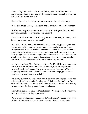'The man lay livid with his throat cut in the gutter,' said Neville. 'And going upstairs I could not raise my foot against the immitigable apple tree with its silver leaves held stiff.'

The leaf danced in the hedge without anyone to blow it,' said Jinny.

'In the sun-baked corner,' said Louis, 'the petals swam on depths of green.'

'At Elvedon the gardeners swept and swept with their great brooms, and the woman sat at a table writing,' said Bernard.

'From these close-furled balls of string we draw now every filament,' said Louis, 'remembering, when we meet.'

'And then,' said Bernard, 'the cab came to the door, and, pressing our new bowler hats tightly over our eyes to hide our unmanly tears, we drove through streets in which even the housemaids looked at us, and our names painted in white letters on our boxes proclaimed to all the world that we were going to school with the regulation number of socks and drawers, on which our mothers for some nights previously had stitched our initials, in our boxes. A second severance from the body of our mother.'

'And Miss Lambert, Miss Cutting and Miss Bard,' said Jinny, 'monumental ladies, white-ruffed, stone-coloured, enigmatic, with amethyst rings moving like virginal tapers, dim glow-worms over the pages of French, geography and arithmetic, presided; and there were maps, green-baize boards, and rows of shoes on a shelf.'

'Bells rang punctually,' said Susan, 'maids scuffled and giggled. There was a drawing in of chairs and a drawing out of chairs on the linoleum. But from one attic there was a blue view, a distant view of a field unstained by the corruption of this regimented, unreal existence.'

'Down from our heads veils fell,' said Rhoda. 'We clasped the flowers with their green leaves rustling in garlands.'

'We changed, we became unrecognizable,' said Louis. 'Exposed to all these different lights, what we had in us (for we are all so different) came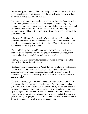intermittently, in violent patches, spaced by blank voids, to the surface as if some acid had dropped unequally on the plate. I was this, Neville that, Rhoda different again, and Bernard too.'

'Then canoes slipped through palely tinted yellow branches,' said Neville, 'and Bernard, advancing in his casual way against breadths of green, against houses of very ancient foundation, tumbled in a heap on the ground beside me. In an access of emotion—winds are not more raving, nor lightning more sudden—I took my poem, I flung my poem, I slammed the door behind me.'

'I, however,' said Louis, 'losing sight of you, sat in my office and tore the date from the calendar, and announced to the world of ship-brokers, cornchandlers and actuaries that Friday the tenth, or Tuesday the eighteenth, had dawned on the city of London.'

'Then,' said Jinny, 'Rhoda and I, exposed in bright dresses, with a few precious stones nestling on a cold ring round our throats, bowed, shook hands and took a sandwich from a plate with a smile.'

'The tiger leapt, and the swallow dipped her wings in dark pools on the other side of the world,' said Rhoda.

'But here and now we are together,' said Bernard. 'We have come together, at a particular time, to this particular spot. We are drawn into this communion by some deep, some common emotion. Shall we call it, conveniently, "love"? Shall we say "love of Percival" because Percival is going to India?

'No, that is too small, too particular a name. We cannot attach the width and spread of our feelings to so small a mark. We have come together (from the North, from the South, from Susan's farm, from Louis' house of business) to make one thing, not enduring—for what endures?—but seen by many eyes simultaneously. There is a red carnation in that vase. A single flower as we sat here waiting, but now a seven-sided flower, manypetalled, red, puce, purple-shaded, stiff with silver-tinted leaves—a whole flower to which every eye brings its own contribution.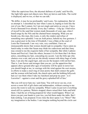'After the capricious fires, the abysmal dullness of youth,' said Neville, 'the light falls upon real objects now. Here are knives and forks. The world is displayed, and we too, so that we can talk.'

'We differ, it may be too profoundly,' said Louis, 'for explanation. But let us attempt it. I smoothed my hair when I came in, hoping to look like the rest of you. But I cannot, for I am not single and entire as you are. I have lived a thousand lives already. Every day I unbury—I dig up. I find relics of myself in the sand that women made thousands of years ago, when I heard songs by the Nile and the chained beast stamping. What you see beside you, this man, this Louis, is only the cinders and refuse of something once splendid. I was an Arab prince; behold my free gestures. I was a great poet in the time of Elizabeth. I was a Duke at the court of Louis the Fourteenth. I am very vain, very confident; I have an immeasurable desire that women should sigh in sympathy. I have eaten no lunch today in order that Susan may think me cadaverous and that Jinny may extend to me the exquisite balm of her sympathy. But while I admire Susan and Percival, I hate the others, because it is for them that I do these antics, smoothing my hair, concealing my accent. I am the little ape who chatters over a nut, and you are the dowdy women with shiny bags of stale buns; I am also the caged tiger, and you are the keepers with red-hot bars. That is, I am fiercer and stronger than you are, yet the apparition that appears above ground after ages of nonentity will be spent in terror lest you should laugh at me, in veerings with the wind against the soot storms, in efforts to make a steel ring of clear poetry that shall connect the gulls and the women with bad teeth, the church spire and the bobbing billycock hats as I see them when I take my luncheon and prop my poet—is it Lucretius?—against a cruet and the gravy-splashed bill of fare.'

'But you will never hate me,' said Jinny. 'You will never see me, even across a room full of gilt chairs and ambassadors, without coming to me across the room to seek my sympathy. When I came in just now everything stood still in a pattern. Waiters stopped, diners raised their forks and held them. I had the air of being prepared for what would happen. When I sat down you put your hands to your ties, you hid them under the table. But I hide nothing. I am prepared. Every time the door opens I cry "More!" But my imagination is the bodies. I can imagine nothing beyond the circle cast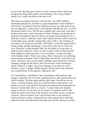by my body. My body goes before me, like a lantern down a dark lane, bringing one thing after another out of darkness into a ring of light. I dazzle you; I make you believe that this is all.'

'But when you stand in the door,' said Neville, 'you inflict stillness, demanding admiration, and that is a great impediment to the freedom of intercourse. You stand in the door making us notice you. But none of you saw me approach. I came early; I came quickly and directly, *here,* to sit by the person whom I love. My life has a rapidity that yours lack. I am like a hound on the scent. I hunt from dawn to dusk. Nothing, not the pursuit of perfection through the sand, nor fame, nor money, has meaning for me. I shall have riches; I shall have fame. But I shall never have what I want, for I lack bodily grace and the courage that comes with it. The swiftness of my mind is too strong for my body. I fail before I reach the end and fall in a heap, damp, perhaps disgusting. I excite pity in the crises of life, not love. Therefore I suffer horribly. But I do not suffer, as Louis does, to make myself a spectacle. I have too fine a sense of fact to allow myself these juggleries, these pretences. I see everything—except one thing with complete clarity. That is my saving. That is what gives my suffering an unceasing excitement. That is what makes me dictate, even when I am silent. And since I am, in one respect, deluded, since the person is always changing, though not the desire, and I do not know in the morning by whom I shall sit at night, I am never stagnant; I rise from my worst disasters, I turn, I change. Pebbles bounce off the mail of my muscular, my extended body. In this pursuit I shall grow old.'

'If I could believe,' said Rhoda, 'that I should grow old in pursuit and change, I should be rid of my fear: nothing persists. One moment does not lead to another. The door opens and the tiger leaps. You did not see me come. I circled round the chairs to avoid the horror of the spring. I am afraid of you all. I am afraid of the shock of sensation that leaps upon me, because I cannot deal with it as you do—I cannot make one moment merge in the next. To me they are all violent, all separate; and if I fall under the shock of the leap of the moment you will be on me, tearing me to pieces. I have no end in view. I do not know how to run minute to minute and hour to hour, solving them by some natural force until they make the whole and indivisible mass that you call life. Because you have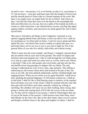an end in view—one person, is it, to sit beside, an idea is it, your beauty is it? I do not know—your days and hours pass like the boughs of forest trees and the smooth green of forest rides to a hound running on the scent. But there is no single scent, no single body for me to follow. And I have no face. I am like the foam that races over the beach or the moonlight that falls arrowlike here on a tin can, here on a spike of the mailed sea holly, or a bone or a half-eaten boat. I am whirled down caverns, and flap like paper against endless corridors, and must press my hand against the wall to draw myself back.

'But since I wish above all things to have lodgment, I pretend, as I go upstairs lagging behind Jinny and Susan, to have an end in view. I pull on my stockings as I see them pull on theirs. I wait for you to speak and then speak like you. I am drawn here across London to a particular spot, to a particular place, not to see you or you or you, but to light my fire at the general blaze of you who live wholly, indivisibly and without caring.'

'When I came into the room tonight,' said Susan, 'I stopped, I peered about like an animal with its eyes near to the ground. The smell of carpets and furniture and scent disgusts me. I like to walk through the wet fields alone, or to stop at a gate and watch my setter nose in a circle, and to ask: Where is the hare? I like to be with people who twist herbs, and spit into the fire, and shuffle down long passages in slippers like my father. The only sayings I understand are cries of love, hate, rage and pain. This talking is undressing an old woman whose dress had seemed to be part of her, but now, as we talk, she turns pinkish underneath, and has wrinkled thighs and sagging breasts. When you are silent you are again beautiful. I shall never have anything but natural happiness. It will almost content me. I shall go to bed tired. I shall lie like a field bearing crops in rotation; in the summer heat will dance over me; in the winter I shall be cracked with the cold. But heat and cold will follow each other naturally without my willing or unwilling. My children will carry me on; their teething, their crying, their going to school and coming back will be like the waves of the sea under me. No day will be without its movement. I shall be lifted higher than any of you on the backs of the seasons. I shall possess more than Jinny, more than Rhoda, by the time I die. But on the other hand, where you are various and dimple a million times to the ideas and laughter of others, I shall be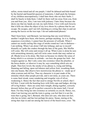sullen, storm-tinted and all one purple. I shall be debased and hide-bound by the bestial and beautiful passion of maternity. I shall push the fortunes of my children unscrupulously. I shall hate those who see their faults. I shall lie basely to help them. I shall let them wall me away from you, from you and from you. Also, I am torn with jealousy. I hate Jinny because she shows me that my hands are red, my nails bitten. I love with such ferocity that it kills me when the object of my love shows by a phrase that he can escape. He escapes, and I am left clutching at a string that slips in and out among the leaves on the tree-tops. I do not understand phrases.'

'Had I been born,' said Bernard, 'not knowing that one word follows another I might have been, who knows, perhaps anything. As it is, finding sequences everywhere, I cannot bear the pressure of solitude. When I cannot see words curling like rings of smoke round me I am in darkness— I am nothing. When I am alone I fall into lethargy, and say to myself dismally as I poke the cinders through the bars of the grate, Mrs Moffat will come. She will come and sweep it all up. When Louis is alone he sees with astonishing intensity, and will write some words that may outlast us all. Rhoda loves to be alone. She fears us because we shatter the sense of being which is so extreme in solitude—see how she grasps her fork—her weapon against us. But I only come into existence when the plumber, or the horse-dealer, or whoever it may be, says something which sets me alight. Then how lovely the smoke of my phrase is, rising and falling, flaunting and falling, upon red lobsters and yellow fruit, wreathing them into one beauty. But observe how meretricious the phrase is—made up of what evasions and old lies. Thus my character is in part made of the stimulus which other people provide, and is not mine, as yours are. There is some fatal streak, some wandering and irregular vein of silver, weakening it. Hence the fact that used to enrage Neville at school, that I left him. I went with the boasting boys with little caps and badges, driving off in big brakes—there are some here tonight, dining together, correctly dressed, before they go off in perfect concord to the music hall; I loved them. For they bring me into existence as certainly as you do. Hence, too, when I am leaving you and the train is going, you feel that it is not the train that is going, but I, Bernard, who does not care, who does not feel, who has no ticket, and has lost perhaps his purse. Susan, staring at the string that slips in and out among the leaves of the beech trees, cries: "He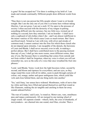is gone! He has escaped me!" For there is nothing to lay hold of. I am made and remade continually. Different people draw different words from me.

'Thus there is not one person but fifty people whom I want to sit beside tonight. But I am the only one of you who is at home here without taking liberties. I am not gross; I am not a snob. If I lie open to the pressure of society I often succeed with the dexterity of my tongue in putting something difficult into the currency. See my little toys, twisted out of nothing in a second, how they entertain. I am no hoarder—I shall leave only a cupboard of old clothes when I die—and I am almost indifferent to the minor vanities of life which cause Louis so much torture. But I have sacrificed much. Veined as I am with iron, with silver and streaks of common mud, I cannot contract into the firm fist which those clench who do not depend upon stimulus. I am incapable of the denials, the heroisms of Louis and Rhoda. I shall never succeed, even in talk, in making a perfect phrase. But I shall have contributed more to the passing moment than any of you; I shall go into more rooms, more different rooms, than any of you. But because there is something that comes from outside and not from within I shall be forgotten; when my voice is silent you will not remember me, save as the echo of a voice that once wreathed the fruit into phrases.'

'Look,' said Rhoda; 'listen. Look how the light becomes richer, second by second, and bloom and ripeness lie everywhere; and our eyes, as they range round this room with all its tables, seem to push through curtains of colour, red, orange, umber and queer ambiguous tints, which yield like veils and close behind them, and one thing melts into another.'

'Yes,' said Jinny, 'our senses have widened. Membranes, webs of nerve that lay white and limp, have filled and spread themselves and float round us like filaments, making the air tangible and catching in them far-away sounds unheard before.'

'The roar of London,' said Louis, 'is round us. Motor-cars, vans, omnibuses pass and repass continuously. All are merged in one turning wheel of single sound. All separate sounds—wheels, bells, the cries of drunkards, of merrymakers—are churned into one sound, steel blue, circular. Then a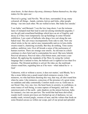siren hoots. At that shores slip away, chimneys flatten themselves, the ship makes for the open sea.'

'Percival is going,' said Neville. 'We sit here, surrounded, lit up, many coloured; all things—hands, curtains, knives and forks, other people dining—run into each other. We are walled in here. But India lies outside.'

'I see India,' said Bernard. 'I see the low, long shore; I see the tortuous lanes of stamped mud that lead in and out among ramshackle pagodas; I see the gilt and crenellated buildings which have an air of fragility and decay as if they were temporarily run up buildings in some Oriental exhibition. I see a pair of bullocks who drag a low cart along the sunbaked road. The cart sways incompetently from side to side. Now one wheel sticks in the rut, and at once innumerable natives in loin-cloths swarm round it, chattering excitedly. But they do nothing. Time seems endless, ambition vain. Over all broods a sense of the uselessness of human exertion. There are strange sour smells. An old man in a ditch continues to chew betel and to contemplate his navel. But now, behold, Percival advances; Percival rides a flea-bitten mare, and wears a sunhelmet. By applying the standards of the West, by using the violent language that is natural to him, the bullock-cart is righted in less than five minutes. The Oriental problem is solved. He rides on; the multitude cluster round him, regarding him as if he were—what indeed he is—a God.'

'Unknown, with or without a secret, it does not matter,' said Rhoda, 'he is like a stone fallen into a pond round which minnows swarm. Like minnows, we who had been shooting this way, that way, all shot round him when he came. Like minnows, conscious of the presence of a great stone, we undulate and eddy contentedly. Comfort steals over us. Gold runs in our blood. One, two; one, two; the heart beats in serenity, in confidence, in some trance of well-being, in some rapture of benignity; and look—the outermost parts of the earth—pale shadows on the utmost horizon, India for instance, rise into our purview. The world that had been shrivelled, rounds itself; remote provinces are fetched up out of darkness; we see muddy roads, twisted jungle, swarms of men, and the vulture that feeds on some bloated carcass as within our scope, part of our proud and splendid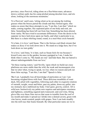province, since Percival, riding alone on a flea-bitten mare, advances down a solitary path, has his camp pitched among desolate trees, and sits alone, looking at the enormous mountains.'

'It is Percival,' said Louis, 'sitting silent as he sat among the tickling grasses when the breeze parted the clouds and they formed again, who makes us aware that these attempts to say, "I am this, I am that," which we make, coming together, like separated parts of one body and soul, are false. Something has been left out from fear. Something has been altered, from vanity. We have tried to accentuate differences. From the desire to be separate we have laid stress upon our faults, and what is particular to us. But there is a chain whirling round, round, in a steel-blue circle beneath.'

'It is hate, it is love,' said Susan. That is the furious coal-black stream that makes us dizzy if we look down into it. We stand on a ledge here, but if we look down we turn giddy.'

'It is love,' said Jinny, 'it is hate, such as Susan feels for me because I kissed Louis once in the garden; because equipped as I am, I make her think when I come in, "My hands are red," and hide them. But our hatred is almost indistinguishable from our love.'

'Yet these roaring waters,' said Neville, 'upon which we build our crazy platforms are more stable than the wild, the weak and inconsequent cries that we utter when, trying to speak, we rise; when we reason and jerk out these false sayings, "I am this; I am that!" Speech is false.

'But I eat. I gradually lose all knowledge of particulars as I eat. I am becoming weighed down with food. These delicious mouthfuls of roast duck, fitly piled with vegetables, following each other in exquisite rotation of warmth, weight, sweet and bitter, past my palate, down my gullet, into my stomach, have stabilized my body. I feel quiet, gravity, control. All is solid now. Instinctively my palate now requires and anticipates sweetness and lightness, something sugared and evanescent; and cool wine, fitting glove-like over those finer nerves that seem to tremble from the roof of my mouth and make it spread (as I drink) into a domed cavern, green with vine leaves, musk-scented, purple with grapes. Now I can look steadily into the mill-race that foams beneath. By what particular name are we to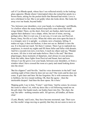call it? Let Rhoda speak, whose face I see reflected mistily in the lookingglass opposite; Rhoda whom I interrupted when she rocked her petals in a brown basin, asking for the pocket-knife that Bernard had stolen. Love is not a whirlpool to her. She is not giddy when she looks down. She looks far away over our heads, beyond India.'

'Yes, between your shoulders, over your heads, to a landscape,' said Rhoda, 'to a hollow where the many-backed steep hills come down like birds' wings folded. There, on the short, firm turf, are bushes, dark leaved, and against their darkness I see a shape, white, but not of stone, moving, perhaps alive. But it is not you, it is not you, it is not you; not Percival, Susan, Jinny, Neville or Louis. When the white arm rests upon the knee it is a triangle; now it is upright—a column; now a fountain, falling. It makes no sign, it does not beckon, it does not see us. Behind it roars the sea. It is beyond our reach. Yet there I venture. There I go to replenish my emptiness, to stretch my nights and fill them fuller and fuller with dreams. And for a second even now, even here, I reach my object and say, "Wander no more. All else is trial and make-believe. Here is the end." But these pilgrimages, these moments of departure, start always in your presence, from this table, these lights from Percival and Susan, here and now. Always I see the grove over your heads, between your shoulders, or from a window when I have crossed the room at a party and stand looking down into the street.'

'But his slippers?' said Neville. 'And his voice downstairs in the hall? And catching sight of him when he does not see one? One waits and he does not come. It gets later and later. He has forgotten. He is with someone else. He is faithless, his love meant nothing. Oh, then the agony—then the intolerable despair! And then the door opens. He is here.'

'Ripping gold, I say to him, "Come",' said Jinny. 'And he comes; he crosses the room to where I sit, with my dress like a veil billowing round me on the gilt chair. Our hands touch, our bodies burst into fire. The chair, the cup, the table—nothing remains unlit. All quivers, all kindles, all burns clear.'

('Look, Rhoda,' said Louis, 'they have become nocturnal, rapt. Their eyes are like moths' wings moving so quickly that they do not seem to move at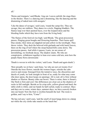all.'

'Horns and trumpets,' said Rhoda, 'ring out. Leaves unfold; the stags blare in the thicket. There is a dancing and a drumming, like the dancing and the drumming of naked men with assegais.'

'Like the dance of savages,' said Louis, 'round the camp-fire. They are savage; they are ruthless. They dance in a circle, flapping bladders. The flames leap over their painted faces, over the leopard skins and the bleeding limbs which they have torn from the living body.'

'The flames of the festival rise high,' said Rhoda. 'The great procession passes, flinging green boughs and flowering branches. Their horns spill blue smoke; their skins are dappled red and yellow in the torchlight. They throw violets. They deck the beloved with garlands and with laurel leaves, there on the ring of turf where the steep-backed hills come down. The procession passes. And while it passes, Louis, we are aware of downfalling, we forebode decay. The shadow slants. We who are conspirators, withdrawn together to lean over some cold urn, note how the purple flame flows downwards.'

'Death is woven in with the violets,' said Louis. 'Death and again death.')

'How proudly we sit here,' said Jinny, 'we who are not yet twenty-five! Outside the trees flower; outside the women linger; outside the cabs swerve and sweep. Emerged from the tentative ways, the obscurities and dazzle of youth, we look straight in front of us, ready for what may come (the door opens, the door keeps on opening). All is real; all is firm without shadow or illusion. Beauty rides our brows. There is mine, there is Susan's. Our flesh is firm and cool. Our differences are clear-cut as the shadows of rocks in full sunlight. Beside us lie crisp rolls, yellow-glazed and hard; the table-cloth is white; and our hands lie half curled, ready to contract. Days and days are to come; winter days, summer days; we have scarcely broken into our hoard. Now the fruit is swollen beneath the leaf. The room is golden, and I say to him, "Come".'

'He has red ears,' said Louis, 'and the smell of meat hangs down in a damp net while the city clerks take snacks at the lunch bar.'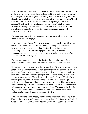'With infinite time before us,' said Neville, 'we ask what shall we do? Shall we loiter down Bond Street, looking here and there, and buying perhaps a fountain-pen because it is green, or asking how much is the ring with the blue stone? Or shall we sit indoors and watch the coals turn crimson? Shall we stretch our hands for books and read here a passage and there a passage? Shall we shout with laughter for no reason? Shall we push through flowering meadows and make daisy chains? Shall we find out when the next train starts for the Hebrides and engage a reserved compartment? All is to come.'

'For you,' said Bernard, 'but yesterday I walked bang into a pillar-box. Yesterday I became engaged.'

'How strange,' said Susan, 'the little heaps of sugar look by the side of our plates. Also the mottled peelings of pears, and the plush rims to the looking-glasses. I had not seen them before. Everything is now set; everything is fixed. Bernard is engaged. Something irrevocable has happened. A circle has been cast on the waters; a chain is imposed. We shall never flow freely again.'

'For one moment only,' said Louis. 'Before the chain breaks, before disorder returns, see us fixed, see us displayed, see us held in a vice.

'But now the circle breaks. Now the current flows. Now we rush faster than before. Now passions that lay in wait down there in the dark weeds which grow at the bottom rise and pound us with their waves. Pain and jealousy, envy and desire, and something deeper than they are, stronger than love and more subterranean. The voice of action speaks. Listen, Rhoda (for we are conspirators, with our hands on the cold urn), to the casual, quick, exciting voice of action, of hounds running on the scent. They speak now without troubling to finish their sentences. They talk a little language such as lovers use. An imperious brute possesses them. The nerves thrill in their thighs. Their hearts pound and churn in their sides. Susan screws her pocket-handkerchief. Jinny's eyes dance with fire.'

'They are immune,' said Rhoda, 'from picking fingers and searching eyes. How easily they turn and glance; what poses they take of energy and pride! What life shines in Jinny's eyes; how fell, how entire Susan's glance is,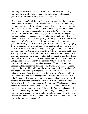searching for insects at the roots! Their hair shines lustrous. Their eyes burn like the eyes of animals brushing through leaves on the scent of the prey. The circle is destroyed. We are thrown asunder.'

'But soon, too soon,' said Bernard, 'this egotistic exultation fails. Too soon the moment of ravenous identity is over, and the appetite for happiness, and happiness, and still more happiness is glutted. The stone is sunk; the moment is over. Round me there spreads a wide margin of indifference. Now open in my eyes a thousand eyes of curiosity. Anyone now is at liberty to murder Bernard, who is engaged to be married, so long as they leave untouched this margin of unknown territory, this forest of the unknown world. Why, I ask (whispering discreetly), do women dine alone together there? Who are they? And what has brought them on this particular evening to this particular spot? The youth in the corner, judging from the nervous way in which he puts his hand from time to time to the back of his head, is from the country. He is suppliant, and so anxious to respond suitably to the kindness of his father's friend, his host, that he can scarcely enjoy now what he will enjoy very much at about half-past eleven tomorrow morning. I have also seen that lady powder her nose three times in the midst of an absorbing conversation—about love, perhaps, about the unhappiness of their dearest friend perhaps. "Ah, but the state of my nose!" she thinks, and out comes her powder-puff, obliterating in its passage all the most fervent feelings of the human heart. There remains, however, the insoluble problem of the solitary man with the eyeglass; of the elderly lady drinking champagne alone. Who and what are these unknown people? I ask. I could make a dozen stories of what he said, of what she said—I can see a dozen pictures. But what are stories? Toys I twist, bubbles I blow, one ring passing through another. And sometimes I begin to doubt if there are stories. What is my story? What is Rhoda's? What is Neville's? There are facts, as, for example: "The handsome young man in the grey suit, whose reserve contrasted so strangely with the loquacity of the others, now brushed the crumbs from his waistcoat and, with a characteristic gesture at once commanding and benign, made a sign to the waiter, who came instantly and returned a moment later with the bill discreetly folded upon a plate." That is the truth; that is a fact, but beyond it all is darkness and conjecture.'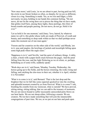'Now once more,' said Louis, 'as we are about to part, having paid our bill, the circle in our blood, broken so often, so sharply, for we are so different, closes in a ring. Something is made. Yes, as we rise and fidget, a little nervously, we pray, holding in our hands this common feeling, "Do not move, do not let the swing door cut to pieces the thing that we have made, that globes itself here, among these lights, these peelings, this litter of bread crumbs and people passing. Do not move, do not go. Hold it for ever."'

'Let us hold it for one moment,' said Jinny; 'love, hatred, by whatever name we call it, this globe whose walls are made of Percival, of youth and beauty, and something so deep sunk within us that we shall perhaps never make this moment out of one man again.'

'Forests and far countries on the other side of the world,' said Rhoda, 'are in it; seas and jungles; the howlings of jackals and moonlight falling upon some high peak where the eagle soars.'

'Happiness is in it,' said Neville, 'and the quiet of ordinary things. A table, a chair, a book with a paper-knife stuck between the pages. And the petal falling from the rose, and the light flickering as we sit silent, or, perhaps, bethinking us of some trifle, suddenly speak.'

'Week-days are in it,' said Susan, 'Monday, Tuesday, Wednesday; the horses going up to the fields, and the horses returning; the rooks rising and falling, and catching the elm-trees in their net, whether it is April, whether it is November.'

'What is to come is in it,' said Bernard. 'That is the last drop and the brightest that we let fall like some supernal quicksilver into the swelling and splendid moment created by us from Percival. What is to come? I ask, brushing the crumbs from my waistcoat, what is outside? We have proved, sitting eating, sitting talking, that we can add to the treasury of moments. We are not slaves bound to suffer incessantly unrecorded petty blows on our bent backs. We are not sheep either, following a master. We are creators. We too have made something that will join the innumerable congregations of past time. We too, as we put on our hats and push open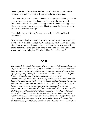the door, stride not into chaos, but into a world that our own force can subjugate and make part of the illumined and everlasting road.

'Look, Percival, while they fetch the taxi, at the prospect which you are so soon to lose. The street is hard and burnished with the churning of innumerable wheels. The yellow canopy of our tremendous energy hangs like a burning cloth above our heads. Theatres, music halls and lamps in private houses make that light.'

'Peaked clouds,' said Rhoda, 'voyage over a sky dark like polished whalebone.'

'Now the agony begins; now the horror has seized me with its fangs,' said Neville. 'Now the cab comes; now Percival goes. What can we do to keep him? How bridge the distance between us? How fan the fire so that it blazes for ever? How signal to all time to come that we, who stand in the street, in the lamplight, loved Percival? Now Percival is gone.'

## **XVII**

*The sun had risen to its full height. It was no longer half seen and guessed at, from hints and gleams, as if a girl couched on her green-sea mattress tired her brows with water-globed jewels that sent lances of opal-tinted light falling and flashing in the uncertain air like the flanks of a dolphin leaping, or the flash of a falling blade. Now the sun burnt uncompromising, undeniable. It struck upon the hard sand, and the rocks became furnaces of red heat; it searched each pool and caught the minnow hiding in the cranny, and showed the rusty cartwheel, the white bone, or the boot without laces stuck, black as iron, in the sand. It gave to everything its exact measure of colour; to the sandhills their innumerable glitter, to the wild grasses their glancing green; or it fell upon the arid waste of the desert, here wind-scourged into furrows, here swept into desolate cairns, here sprinkled with stunted dark-green jungle trees. It lit up the smooth gilt mosque, the frail pink-and-white card houses of the southern village, and the long-breasted, white-haired women who knelt in*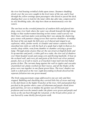*the river bed beating wrinkled cloths upon stones. Steamers thudding slowly over the sea were caught in the level stare of the sun, and it beat through the yellow awnings upon passengers who dozed or paced the deck, shading their eyes to look for the land, while day after day, compressed in its oily throbbing sides, the ship bore them on monotonously over the waters.*

*The sun beat on the crowded pinnacles of southern hills and glared into deep, stony river beds where the water was shrunk beneath the high slung bridge so that washerwomen kneeling on hot stones could scarcely wet their linen; and lean mules went picking their way among the chattering grey stones with panniers slung across their narrow shoulders. At midday the heat of the sun made the hills grey as if shaved and singed in an explosion, while, further north, in cloudier and rainier countries hills smoothed into slabs as with the back of a spade had a light in them as if a warder, deep within, went from chamber to chamber carrying a green lamp. Through atoms of grey-blue air the sun struck at English fields and lit up marshes and pools, a white gull on a stake, the slow sail of shadows over blunt-headed woods and young corn and flowing hayfields. It beat on the orchard wall, and every pit and grain of the brick was silver pointed, purple, fiery as if soft to touch, as if touched it must melt into hot-baked grains of dust. The currants hung against the wall in ripples and cascades of polished red; plums swelled out their leaves, and all the blades of the grass were run together in one fluent green blaze. The trees' shadow was sunk to a dark pool at the root. Light descending in floods dissolved the separate foliation into one green mound.*

*The birds sang passionate songs addressed to one ear only and then stopped. Bubbling and chuckling they carried little bits of straw and twig to the dark knots in the higher branches of the trees. Gilt and purpled they perched in the garden where cones of laburnum and purple shook down gold and lilac, for now at midday the garden was all blossom and profusion and even the tunnels under the plants were green and purple and tawny as the sun beat through the red petal, or the broad yellow petal, or was barred by some thickly furred green stalk.*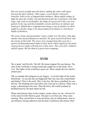*The sun struck straight upon the house, making the white walls glare between the dark windows. Their panes, woven thickly with green branches, held circles of impenetrable darkness. Sharp-edged wedges of light lay upon the window-sill and showed inside the room plates with blue rings, cups with curved handles, the bulge of a great bowl, the crisscross pattern in the rug, and the formidable corners and lines of cabinets and bookcases. Behind their conglomeration hung a zone of shadow in which might be a further shape to be disencumbered of shadow or still denser depths of darkness.*

*The waves broke and spread their waters swiftly over the shore. One after another they massed themselves and fell; the spray tossed itself back with the energy of their fall. The waves were steeped deep-blue save for a pattern of diamond-pointed light on their backs which rippled as the backs of great horses ripple with muscles as they move. The waves fell; withdrew and fell again, like the thud of a great beast stamping.*

## **XVIII**

'He is dead,' said Neville. 'He fell. His horse tripped. He was thrown. The sails of the world have swung round and caught me on the head. All is over. The lights of the world have gone out. There stands the tree which I cannot pass.

'Oh, to crumple this telegram in my fingers—to let the light of the world flood back—to say this has not happened! But why turn one's head hither and thither? This is the truth. This is the fact. His horse stumbled; he was thrown. The flashing trees and white rails went up in a shower. There was a surge; a drumming in his ears. Then the blow; the world crashed; he breathed heavily. He died where he fell.

'Barns and summer days in the country, rooms where we sat—all now lie in the unreal world which is gone. My past is cut from me. They came running. They carried him to some pavilion, men in riding-boots, men in sun helmets; among unknown men he died. Loneliness and silence often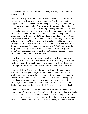surrounded him. He often left me. And then, returning, "See where he comes!" I said.

'Women shuffle past the window as if there were no gulf cut in the street, no tree with stiff leaves which we cannot pass. We deserve then to be tripped by molehills. We are infinitely abject, shuffling past with our eyes shut. But why should I submit? Why try to lift my foot and mount the stair? This is where I stand; here, holding the telegram. The past, summer days and rooms where we sat, stream away like burnt paper with red eyes in it. Why meet and resume? Why talk and eat and make up other combinations with other people? From this moment I am solitary. No one will know me now. I have three letters, "I am about to play quoits with a colonel, so no more," thus he ends our friendship, shouldering his way through the crowd with a wave of his hand. This farce is worth no more formal celebration. Yet if someone had but said: "Wait"; had pulled the strap three holes tighter—he would have done justice for fifty years, and sat in Court and ridden alone at the head of troops and denounced some monstrous tyranny, and come back to us.

'Now I say there is a grinning, there is a subterfuge. There is something sneering behind our backs. That boy almost lost his footing as he leapt on the bus. Percival fell; was killed; is buried; and I watch people passing; holding tight to the rails of omnibuses; determined to save their lives.

'I will not lift my foot to climb the stair. I will stand for one moment beneath the immitigable tree, alone with the man whose throat is cut, while downstairs the cook shoves in and out the dampers. I will not climb the stair. We are doomed, all of us. Women shuffle past with shoppingbags. People keep on passing. Yet you shall not destroy me. For this moment, this one moment, we are together. I press you to me. Come, pain, feed on me. Bury your fangs in my flesh. Tear me asunder. I sob, I sob.'

'Such is the incomprehensible combination,' said Bernard, 'such is the complexity of things, that as I descend the staircase I do not know which is sorrow, which joy. My son is born; Percival is dead. I am upheld by pillars, shored up on either side by stark emotions; but which is sorrow, which is joy? I ask, and do not know, only that I need silence, and to be alone and to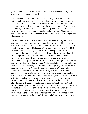go out, and to save one hour to consider what has happened to my world, what death has done to my world.

'This then is the world that Percival sees no longer. Let me look. The butcher delivers meat next door; two old men stumble along the pavement; sparrows alight. The machine then works; I note the rhythm, the throb, but as a thing in which I have no part, since he sees it no longer. (He lies pale and bandaged in some room.) Now then is my chance to find out what is of great importance, and I must be careful, and tell no lies. About him my feeling was: he sat there in the centre. Now I go to that spot no longer. The place is empty.

'Oh yes, I can assure you, men in felt hats and women carrying baskets you have lost something that would have been very valuable to you. You have lost a leader whom you would have followed; and one of you has lost happiness and children. He is dead who would have given you that. He lies on a camp-bed, bandaged, in some hot Indian hospital while coolies squatted on the floor agitate those fans—I forget how they call them. But this is important; "You are well out of it," I said, while the doves descended over the roofs and my son was born, as if it were a fact. I remember, as a boy, his curious air of detachment. And I go on to say (my eyes fill with tears and then are dry), "But this is better than one had dared to hope." I say, addressing what is abstract, facing me eyeless at the end of the avenue, in the sky, "Is this the utmost you can do?" Then we have triumphed. You have done your utmost, I say, addressing that blank and brutal face (for he was twenty-five and should have lived to be eighty) without avail. I am not going to lie down and weep away a life of care. (An entry to be made in my pocket-book; contempt for those who inflict meaningless death.) Further, this is important; that I should be able to place him in trifling and ridiculous situations, so that he may not feel himself absurd, perched on a great horse. I must be able to say, "Percival, a ridiculous name." At the same time let me tell you, men and women, hurrying to the tube station, you would have had to respect him. You would have had to form up and follow behind him. How strange to oar one's way through crowds seeing life through hollow eyes, burning eyes.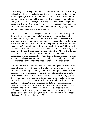'Yet already signals begin, beckonings, attempts to lure me back. Curiosity is knocked out for only a short time. One cannot live outside the machine for more perhaps than half an hour. Bodies, I note, already begin to look ordinary; but what is behind them differs—the perspective. Behind that newspaper placard is the hospital; the long room with black men pulling ropes; and then they bury him. Yet since it says a famous actress has been divorced, I ask instantly Which? Yet I cannot take out my penny; I cannot buy a paper; I cannot suffer interruption yet.

'I ask, if I shall never see you again and fix my eyes on that solidity, what form will our communication take? You have gone across the court, further and further, drawing finer and finer the thread between us. But you exist somewhere. Something of you remains. A judge. That is, if I discover a new vein in myself I shall submit it to you privately. I shall ask, What is your verdict? You shall remain the arbiter. But for how long? Things will become too difficult to explain: there will be new things; already my son. I am now at the zenith of an experience. It will decline. Already I no longer cry with conviction, "What luck!" Exaltation, the flight of doves descending, is over. Chaos, detail return. I am no longer amazed by names written over shop-windows. I do not feel Why hurry? Why catch trains? The sequence returns; one thing leads to another—the usual order.

'Yes, but I still resent the usual order. I will not let myself be made yet to accept the sequence of things. I will walk; I will not change the rhythm of my mind by stopping, by looking; I will walk. I will go up these steps into the gallery and submit myself to the influence of minds like mine outside the sequence. There is little time left to answer the question; my powers flag; I become torpid. Here are pictures. Here are cold madonnas among their pillars. Let them lay to rest the incessant activity of the mind's eye, the bandaged head, the men with ropes, so that I may find something unvisual beneath. Here are gardens; and Venus among her flowers; here are saints and blue madonnas. Mercifully these pictures make no reference; they do not nudge; they do not point. Thus they expand my consciousness of him and bring him back to me differently. I remember his beauty. "Look, where he comes," I said.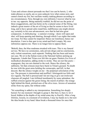'Lines and colours almost persuade me that I too can be heroic, I, who make phrases so easily, am so soon seduced, love what comes next, and cannot clench my fist, but vacillate weakly making phrases according to my circumstances. Now, through my own infirmity I recover what he was to me: my opposite. Being naturally truthful, he did not see the point of these exaggerations, and was borne on by a natural sense of the fitting, was indeed a great master of the art of living so that he seems to have lived long, and to have spread calm round him, indifference one might almost say, certainly to his own advancement, save that he had also great compassion. A child playing—a summer evening—doors will open and shut, will keep opening and shutting, through which I see sights that make me weep. For they cannot be imparted. Hence our loneliness; hence our desolation. I turn to that spot in my mind and find it empty. My own infirmities oppress me. There is no longer him to oppose them.

'Behold, then, the blue madonna streaked with tears. This is my funeral service. We have no ceremonies, only private dirges and no conclusions, only violent sensations, each separate. Nothing that has been said meets our case. We sit in the Italian room at the National Gallery picking up fragments. I doubt that Titian ever felt this rat gnaw. Painters live lives of methodical absorption, adding stroke to stroke. They are not like poets scapegoats; they are not chained to the rock. Hence the silence, the sublimity. Yet that crimson must have burnt in Titian's gizzard. No doubt he rose with the great arms holding the cornucopia, and fell, in that descent. But the silence weighs on me—the perpetual solicitation of the eye. The pressure is intermittent and muffled. I distinguish too little and too vaguely. The bell is pressed and I do not ring or give out irrelevant clamours all jangled. I am titillated inordinately by some splendour; the ruffled crimson against the green lining; the march of pillars: the orange light behind the black, pricked ears of the olive trees. Arrows of sensation strike from my spine, but without order.

'Yet something is added to my interpretation. Something lies deeply buried. For one moment I thought to grasp it. But bury it, bury it; let it breed, hidden in the depths of my mind some day to fructify. After a long lifetime, loosely, in a moment of revelation, I may lay hands on it, but now the idea breaks in my hand. Ideas break a thousand times for once that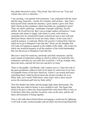they globe themselves entire. They break: they fall over me. "Line and colours they survive, therefore … "

'I am yawning. I am glutted with sensations. I am exhausted with the strain and the long, long time—twenty-five minutes, half an hour—that I have held myself alone outside the machine. I grow numb; I grow stiff. How shall I break up this numbness which discredits my sympathetic heart? There are others suffering—multitudes of people suffering. Neville suffers. He loved Percival. But I can no longer endure extremities; I want someone with whom to laugh, with whom to yawn, with whom to remember how he scratched his head; someone he was at ease with and liked (not Susan, whom he loved, but Jinny rather). In her room also I could do penance. I could ask, Did he tell you how I refused him when he asked me to go to Hampton Court that day? Those are the thoughts that will wake me leaping in anguish in the middle of the night—the crimes for which one would do penance in all the markets of the world bareheaded; that one did not go to Hampton Court that day.

'But now I want life round me, and books and little ornaments, and the usual sounds of tradesmen calling on which to pillow my head after this exhaustion, and shut my eyes after this revelation. I will go straight, then, down the stairs, and hail the first taxi and drive to Jinny.'

'There is the puddle,' said Rhoda, 'and I cannot cross it. I hear the rush of the great grindstone within an inch of my head. Its wind roars in my face. All palpable forms of life have failed me. Unless I can stretch and touch something hard, I shall be blown down the eternal corridors for ever. What, then, can I touch? What brick, what stone? and so draw myself across the enormous gulf into my body safely?

'Now the shadow has fallen and the purple light slants downwards. The figure that was robed in beauty is now clothed in ruin. The figure that stood in the grove where the steep-backed hills come down falls in ruin, as I told them when they said they loved his voice on the stair, and his old shoes and moments of being together.

'Now I will walk down Oxford Street envisaging a world rent by lightning; I will look at oaks cracked asunder and red where the flowering branch has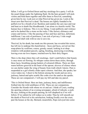fallen. I will go to Oxford Street and buy stockings for a party. I will do the usual things under the lightning flash. On the bare ground I will pick violets and bind them together and offer them to Percival, something given him by me. Look now at what Percival has given me. Look at the street now that Percival is dead. The houses are lightly founded to be puffed over by a breath of air. Reckless and random the cars race and roar and hunt us to death like bloodhounds. I am alone in a hostile world. The human face is hideous. This is to my liking. I want publicity and violence and to be dashed like a stone on the rocks. I like factory chimneys and cranes and lorries. I like the passing of face and face and face, deformed, indifferent. I am sick of prettiness; I am sick of privacy. I ride rough waters and shall sink with no one to save me.

'Percival, by his death, has made me this present, has revealed this terror, has left me to undergo this humiliation—faces and faces, served out like soup-plates by scullions; coarse, greedy, casual; looking in at shopwindows with pendent parcels; ogling, brushing, destroying everything, leaving even our love impure, touched now by their dirty fingers.

'Here is the shop where they sell stockings. And I could believe that beauty is once more set flowing. Its whisper comes down these aisles, through these laces, breathing among baskets of coloured ribbons. There are then warm hollows grooved in the heart of the uproar; alcoves of silence where we can shelter under the wing of beauty from truth which I desire. Pain is suspended as a girl silently slides open a drawer. And then, she speaks; her voice wakes me. I shoot to the bottom among the weeds and see envy, jealousy, hatred and spite scuttle like crabs over the sand as she speaks. These are our companion's. I will pay my bill and take my parcel.

'This is Oxford Street. Here are hate, jealousy, hurry, and indifference frothed into the wild semblance of life. These are our companions. Consider the friends with whom we sit and eat. I think of Louis, reading the sporting column of an evening newspaper, afraid of ridicule; a snob. He says, looking at the people passing, he will shepherd us if we will follow. If we submit he will reduce us to order. Thus he will smooth out the death of Percival to his satisfaction, looking fixedly over the cruet, past the houses at the sky. Bernard, meanwhile, flops red-eyed into some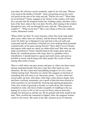arm-chair. He will have out his notebook; under D, he will enter "Phrases to be used on the deaths of friends". Jinny, pirouetting across the room, will perch on the arm of his chair and ask, "Did he love me?" "More than he loved Susan?" Susan, engaged to her farmer in the country, will stand for a second with the telegram before her, holding a plate; and then, with a kick of her heel, slam to the oven door. Neville, after staring at the window through his tears, will see through his tears, and ask, "Who passes the window?"—"What lovely boy?" This is my tribute to Percival; withered violets, blackened violets.

'Where shall I go then? To some museum, where they keep rings under glass cases, where there are cabinets, and the dresses that queens have worn? Or shall I go to Hampton Court and look at the red walls and courtyards and the seemliness of herded yew trees making black pyramids symmetrically on the grass among flowers? There shall I recover beauty, and impose order upon my raked, my dishevelled soul? But what can one make in loneliness? Alone I should stand on the empty grass and say, Rooks fly; somebody passes with a bag; there is a gardener with a wheelbarrow. I should stand in a queue and smell sweat, and scent as horrible as sweat; and be hung with other people like a joint of meat among other joints of meat.

'Here is a hall where one pays money and goes in, where one hears music among somnolent people who have come here after lunch on a hot afternoon. We have eaten beef and pudding enough to live for a week without tasting food. Therefore we cluster like maggots on the back of something that will carry us on. Decorous, portly—we have white hair waved under our hats; slim shoes; little bags; clean-shaven cheeks; here and there a military moustache; not a speck of dust has been allowed to settle anywhere on our broadcloth. Swaying and opening programmes, with a few words of greeting to friends, we settle down, like walruses stranded on rocks, like heavy bodies incapable of waddling to the sea, hoping for a wave to lift us, but we are too heavy, and too much dry shingle lies between us and the sea. We lie gorged with food, torpid in the heat. Then, swollen but contained in slippery satin, the seagreen woman comes to our rescue. She sucks in her lips, assumes an air of intensity,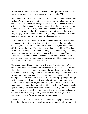inflates herself and hurls herself precisely at the right moment as if she saw an apple and her voice was the arrow into the note, "Ah!"

'An axe has split a tree to the core; the core is warm; sound quivers within the bark. "Ah!" cried a woman to her lover, leaning from her window in Venice. "Ah, ah!" she cried, and again she cries "Ah!" She has provided us with a cry. But only a cry. And what is a cry? Then the beetle-shaped men come with their violins; wait; count; nod; down come their bows. And there is ripple and laughter like the dance of olive trees and their myriadtongued grey leaves when a seafarer, biting a twig between his lips where the many-backed steep hills come down, leaps on shore.

'"Like" and "like" and "like"—but what is the thing that lies beneath the semblance of the thing? Now that lightning has gashed the tree and the flowering branch has fallen and Percival, by his death, has made me this gift, let me see the thing. There is a square; there is an oblong. The players take the square and place it upon the oblong. They place it very accurately; they make a perfect dwelling-place. Very little is left outside. The structure is now visible; what is inchoate is here stated; we are not so various or so mean; we have made oblongs and stood them upon squares. This is our triumph; this is our consolation.

The sweetness of this content overflowing runs down the walls of my mind, and liberates understanding. Wander no more, I say; this is the end. The oblong has been set upon the square; the spiral is on top. We have been hauled over the shingle, down to the sea. The players come again. But they are mopping their faces. They are no longer so spruce or so debonair. I will go. I will set aside this afternoon. I will make a pilgrimage. I will go to Greenwich. I will fling myself fearlessly into trams, into omnibuses. As we lurch down Regent Street, and I am flung upon this woman, upon this man, I am not injured, I am not outraged by the collision. A square stands upon an oblong. Here are mean streets where chaffering goes on in street markets, and every sort of iron rod, bolt and screw is laid out, and people swarm off the pavement, pinching raw meat with thick fingers. The structure is visible. We have made a dwelling-place.

'These, then, are the flowers that grow among the rough grasses of the field which the cows trample, wind-bitten, almost deformed, without fruit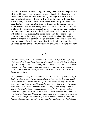or blossom. These are what I bring, torn up by the roots from the pavement of Oxford Street, my penny bunch, my penny bunch of violets. Now from the window of the tram I see masts among chimneys; there is the river; there are ships that sail to India. I will walk by the river. I will pace this embankment, where an old man reads a newspaper in a glass shelter. I will pace this terrace and watch the ships bowling down the tide. A woman walks on deck, with a dog barking round her. Her skirts are blown; her hair is blown; they are going out to sea; they are leaving us; they are vanishing this summer evening. Now I will relinquish; now I will let loose. Now I will at last free the checked, the jerked-back desire to be spent, to be consumed. We will gallop together over desert hills where the swallow dips her wings in dark pools and the pillars stand entire. Into the wave that dashes upon the shore, into the wave that flings its white foam to the uttermost corners of the earth, I throw my violets, my offering to Percival.'

## **XIX**

*The sun no longer stood in the middle of the sky. Its light slanted, falling obliquely. Here it caught on the edge of a cloud and burnt it into a slice of light, a blazing island on which no foot could rest. Then another cloud was caught in the light and another and another, so that the waves beneath were arrow-struck with fiery feathered darts that shot erratically across the quivering blue.*

*The topmost leaves of the tree were crisped in the sun. They rustled stiffly in the random breeze. The birds sat still save that they flicked their heads sharply from side to side. Now they paused in their song as if glutted with sound, as if the fullness of midday had gorged them. The dragon-fly poised motionless over a reed, then shot its blue stitch further through the air. The far hum in the distance seemed made of the broken tremor of fine wings dancing up and down on the horizon. The river water held the reeds now fixed as if glass had hardened round them; and then the glass wavered and the reeds swept low. Pondering, sunken headed, the cattle stood in the fields and cumbrously moved one foot and then another. In the bucket near*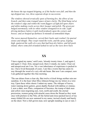*the house the tap stopped dripping, as if the bucket were full, and then the tap dripped one, two, three separate drops in succession.*

*The windows showed erratically spots of burning fire, the elbow of one branch, and then some tranquil space of pure clarity. The blind hung red at the window's edge and within the room daggers of light fell upon chairs and tables making cracks across their lacquer and polish. The green pot bulged enormously, with its white window elongated in its side. Light driving darkness before it spilt itself profusely upon the corners and bosses; and yet heaped up darkness in mounds of unmoulded shape.*

*The waves massed themselves, curved their backs and crashed. Up spurted stones and shingle. They swept round the rocks, and the spray, leaping high, spattered the walls of a cave that had been dry before, and left pools inland, where some fish stranded lashed its tail as the wave drew back.*

## **XX**

'I have signed my name,' said Louis, 'already twenty times. I, and again I, and again I. Clear, firm, unequivocal, there it stands, my name. Clear-cut and unequivocal am I too. Yet a vast inheritance of experience is packed in me. I have lived thousands of years. I am like a worm that has eaten its way through the wood of a very old oak beam. But now I am compact; now I am gathered together this fine morning.

'The sun shines from a clear sky. But twelve o'clock brings neither rain nor sunshine. It is the hour when Miss Johnson brings me my letters in a wire tray. Upon these white sheets I indent my name. The whisper of leaves, water running down gutters, green depths flecked with dahlias or zinnias; I, now a duke, now Plato, companion of Socrates; the tramp of dark men and yellow men migrating east, west, north and south; the eternal procession, women going with attaché cases down the Strand as they went once with pitchers to the Nile; all the furled and close-packed leaves of my many-folded life are now summed in my name; incised cleanly and barely on the sheet. Now a full-grown man; now upright standing in sun or rain. I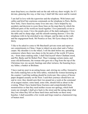must drop heavy as a hatchet and cut the oak with my sheer weight, for if I deviate, glancing this way, or that way, I shall fall like snow and be wasted.

'I am half in love with the typewriter and the telephone. With letters and cables and brief but courteous commands on the telephone to Paris, Berlin, New York, I have fused my many lives into one; I have helped by my assiduity and decision to score those lines on the map there by which the different parts of the world are laced together. I love punctually at ten to come into my room; I love the purple glow of the dark mahogany; I love the table and its sharp edge; and the smooth-running drawers. I love the telephone with its lip stretched to my whisper, and the date on the wall; and the engagement book. Mr Prentice at four; Mr Eyres sharp at fourthirty.

'I like to be asked to come to Mr Burchard's private room and report on our commitments to China. I hope to inherit an arm-chair and a Turkey carpet. My shoulder is to the wheel; I roll the dark before me, spreading commerce where there was chaos in the far parts of the world. If I press on,—from chaos making order, I shall find myself where Chatham stood, and Pitt, Burke and Sir Robert Peel. Thus I expunge certain stains, and erase old defilements; the woman who gave me a flag from the top of the Christmas tree; my accent; beatings and other tortures; the boasting boys; my father, a banker at Brisbane.

'I have read my poet in an eating-house, and, stirring my coffee, listened to the clerks making bets at the little tables, watched the women hesitating at the counter. I said that nothing should be irrelevant, like a piece of brown paper dropped casually on the floor. I said their journeys should have an end in view; they should earn their two pound ten a week at the command of an august master; some hand, some robe, should fold us about in the evening. When I have healed these fractures and comprehended these monstrosities so that they need neither excuse nor apology, which both waste our strength, I shall give back to the street and the eating-shop what they lost when they fell on these hard times and broke on these stony beaches. I shall assemble a few words and forge round us a hammered ring of beaten steel.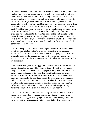'But now I have not a moment to spare. There is no respite here, no shadow made of quivering leaves, or alcove to which one can retreat from the sun, to sit, with a lover, in the cool of the evening. The weight of the world is on our shoulders; its vision is through our eyes; if we blink or look aside, or turn back to finger what Plato said or remember Napoleon and his conquests, we inflict on the world the injury of some obliquity. This is life; Mr Prentice at four; Mr Eyres at four-thirty. I like to hear the soft rush of the lift and the thud with which it stops on my landing and the heavy male tread of responsible feet down the corridors. So by dint of our united exertions we send ships to the remotest parts of the globe; replete with lavatories and gymnasiums. The weight of the world is on our shoulders. This is life. If I press on, I shall inherit a chair and a rug; a place in Surrey with glass houses, and some rare conifer, melon or flowering tree which other merchants will envy.

'Yet I still keep my attic room. There I open the usual little book; there I watch the rain glisten on the tiles till they shine like a policeman's waterproof; there I see the broken windows in poor people's houses; the lean cats; some slattern squinting in a cracked looking-glass as she arranges her face for the street corner; there Rhoda sometimes comes. For we are lovers.

'Percival has died (he died in Egypt; he died in Greece; all deaths are one death). Susan has children; Neville mounts rapidly to the conspicuous heights. Life passes. The clouds change perpetually over our houses. I do this, do that, and again do this and then that. Meeting and parting, we assemble different forms, make different patterns. But if I do not nail these impressions to the board and out of the many men in me make one; exist here and now and not in streaks and patches, like scattered snow wreaths on far mountains; and ask Miss Johnson as I pass through the office about the movies and take my cup of tea and accept also my favourite biscuit, then I shall fall like snow and be wasted.

'Yet when six o'clock comes and I touch my hat to the commissionaire, being always too effusive in ceremony since I desire so much to be accepted; and struggle, leaning against the wind, buttoned up, with my jaws blue and my eyes running water, I wish that a little typist would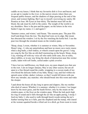cuddle on my knees; I think that my favourite dish is liver and bacon; and so am apt to wander to the river, to the narrow streets where there are frequent public-houses, and the shadows of ships passing at the end of the street, and women fighting. But I say to myself, recovering my sanity, Mr Prentice at four; Mr Eyres at four-thirty. The hatchet must fall on the block; the oak must be cleft to the centre. The weight of the world is on my shoulders. Here is the pen and the paper; on the letters in the wire basket I sign my name, I, I, and again I.'

'Summer comes, and winter,' said Susan. 'The seasons pass. The pear fills itself and drops from the tree. The dead leaf rests on its edge. But steam has obscured the window. I sit by the fire watching the kettle boil. I see the pear tree through the streaked steam on the window-pane.

'Sleep, sleep, I croon, whether it is summer or winter, May or November. Sleep I sing—I, who am unmelodious and hear no music save rustic music when a dog barks, a bell tinkles, or wheels crunch upon the gravel. I sing my song by the fire like an old shell murmuring on the beach. Sleep, sleep, I say, warning off with my voice all who rattle milk-cans, fire at rooks, shoot rabbits, or in any way bring the shock of destruction near this wicker cradle, laden with soft limbs, curled under a pink coverlet.

'I have lost my indifference, my blank eyes, my pear-shaped eyes that saw to the root. I am no longer January, May or any other season, but am all spun to a fine thread round the cradle, wrapping in a cocoon made of my own blood the delicate limbs of my baby. Sleep, I say, and feel within me uprush some wilder, darker violence, so that I would fell down with one blow any intruder, any snatcher, who should break into this room and wake the sleeper.

'I pad about the house all day long in apron and slippers, like my mother who died of cancer. Whether it is summer, whether it is winter, I no longer know by the moor grass, and the heath flower; only by the steam on the window-pane, or the frost on the window-pane. When the lark peels high his ring of sound and it falls through the air like an apple paring, I stoop; I feed my baby. I, who used to walk through beech woods noting the jay's feather turning blue as it falls, past the shepherd and the tramp, who stared at the woman squatted beside a tilted cart in a ditch, go from room to room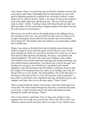with a duster. Sleep, I say, desiring sleep to fall like a blanket of down and cover these weak limbs; demanding that life shall sheathe its claws and gird its lightning and pass by, making of my own body a hollow, a warm shelter for my child to sleep in. Sleep, I say, sleep. Or I go to the window, I look at the rook's high nest; and the pear tree. "His eyes will see when mine are shut," I think. "I shall go mixed with them beyond my body and shall see India. He will come home, bringing trophies to be laid at my feet. He will increase my possessions."

'But I never rise at dawn and see the purple drops in the cabbage leaves; the red drops in the roses. I do not watch the setter nose in a circle, or lie at night watching the leaves hide the stars and the stars move and the leaves hang still. The butcher calls; the milk has to be stood under a shade lest it should sour.

'Sleep, I say, sleep, as the kettle boils and its breath comes thicker and thicker issuing in one jet from the spout. So life fills my veins. So life pours through my limbs. So I am driven forward, till I could cry, as I move from dawn to dusk opening and shutting, "No more. I am glutted with natural happiness." Yet more will come, more children; more cradles, more baskets in the kitchen and hams ripening; and onions glistening; and more beds of lettuce and potatoes. I am blown like a leaf by the gale; now brushing the wet grass, now whirled up. I am glutted with natural happiness; and wish sometimes that the fullness would pass from me and the weight of the sleeping house rise, when we sit reading, and I stay the thread at the eye of my needle. The lamp kindles a fire in the dark pane. A fire burns in the heart of the ivy. I see a lit-up street in the evergreens. I hear traffic in the brush of the wind down the lane, and broken voices, and laughter, and Jinny who cries as the door opens, "Come! Come!"

'But no sound breaks the silence of our house, where the fields sigh close to the door. The wind washes through the elm trees; a moth hits the lamp; a cow lows; a crack of sound starts in the rafter, and I push my head through the needle and murmur, "Sleep".'

'Now is the moment,' said Jinny. 'Now we have met, and have come together. Now let us talk, let us tell stories. Who is he? Who is she? I am infinitely curious and do not know what is to come. If you, whom I meet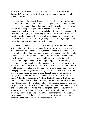for the first time, were to say to me, "The coach starts at four from Piccadilly," I would not stay to fling a few necessaries in a bandbox, but would come at once.

'Let us sit here under the cut flowers, on the sofa by the picture. Let us decorate our Christmas tree with facts and again with facts. People are so soon gone; let us catch them. That man there, by the cabinet; he lives you say, surrounded by china pots. Break one and you shatter a thousand pounds. And he loved a girl in Rome and she left him. Hence the pots, old junk found in lodging-houses or dug from the desert sands. And since beauty must be broken daily to remain beautiful, and he is static, his life stagnates in a china sea. It is strange though; for once as a young man, he sat on damp ground and drank rum with soldiers.

'One must be quick and add facts deftly, like toys to a tree, fixing them with a twist of the fingers. He stoops, how he stoops, even over an azalea. He stoops over the old woman even, because she wears diamonds in her ears, and, bundling about her estate in a pony carriage, directs who is to be helped, what tree felled, and who turned out tomorrow. (I have lived my life, I must tell you, all these years, and I am now past thirty, perilously, like a mountain goat, leaping from crag to crag; I do not settle long anywhere; I do not attach myself to one person in particular; but you will find that if I raise my arm, some figure at once breaks off and will come.) And that man is a judge; and that man is a millionaire, and that man, with the eyeglass, shot his governess through the heart with an arrow when he was ten years old. Afterwards he rode through deserts with despatches, took part in revolutions and now collects materials for a history of his mother's family, long settled in Norfolk. That little man with a blue chin has a right hand that is withered. But why? We do not know. That woman, you whisper discreetly, with the pearl pagodas hanging from her ears, was the pure flame who lit the life of one of our statesmen; now since his death she sees ghosts, tells fortunes, and has adopted a coffee-coloured youth whom she calls the Messiah. That man with the drooping moustache, like a cavalry officer, lived a life of the utmost debauchery (it is all in some memoir) until one day he met a stranger in a train who converted him between Edinburgh and Carlisle by reading the Bible.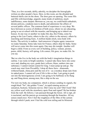'Thus, in a few seconds, deftly, adroitly, we decipher the hieroglyphs written on other people's faces. Here, in this room, are the abraded and battered shells cast on the shore. The door goes on opening. The room fills and fills with knowledge, anguish, many kinds of ambition, much indifference, some despair. Between us, you say, we could build cathedrals, dictate policies, condemn men to death, and administer the affairs of several public offices. The common fund of experience is very deep. We have between us scores of children of both sexes, whom we are educating, going to see at school with the measles, and bringing up to inherit our houses. In one way or another we make this day, this Friday, some by going to the Law Courts; others to the city; others to the nursery; others by marching and forming fours. A million hands stitch, raise hods with bricks. The activity is endless. And tomorrow it begins again; tomorrow we make Saturday. Some take train for France; others ship for India. Some will never come into this room again. One may die tonight. Another will beget a child. From us every sort of building, policy, venture, picture, poem, child, factory, will spring. Life comes; life goes; we make life. So you say.

'But we who live in the body see with the body's imagination things in outline. I see rocks in bright sunshine. I cannot take these facts into some cave and, shading my eyes, grade their yellows, blues, umbers into one substance. I cannot remain seated for long. I must jump up and go. The coach may start from Piccadilly. I drop all these facts—diamonds, withered hands, china pots and the rest of it—as a monkey drops nuts from its naked paws. I cannot tell you if life is this or that. I am going to push out into the heterogeneous crowd. I am going to be buffeted; to be flung up, and flung down, among men, like a ship on the sea.

'For now my body, my companion, which is always sending its signals, the rough black "No", the golden "Come", in rapid running arrows of sensation, beckons. Someone moves. Did I raise my arm? Did I look? Did my yellow scarf with the strawberry spots float and signal? He has broken from the wall. He follows. I am pursued through the forest. All is rapt, all is nocturnal, and the parrots go screaming through the branches. All my senses stand erect. Now I feel the roughness of the fibre of the curtain through which I push; now I feel the cold iron railing and its blistered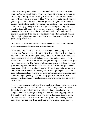paint beneath my palm. Now the cool tide of darkness breaks its waters over me. We are out of doors. Night opens; night traversed by wandering moths; night hiding lovers roaming to adventure. I smell roses; I smell violets; I see red and blue just hidden. Now gravel is under my shoes; now grass. Up reel the tall backs of houses guilty with lights. All London is uneasy with flashing lights. Now let us sing our love song—Come, come, come. Now my gold signal is like a dragonfly flying taut. Jug, jug, jug, I sing like the nightingale whose melody is crowded in the too narrow passage of her throat. Now I hear crash and rending of boughs and the crack of antlers as if the beasts of the forest were all hunting, all rearing high and plunging down among the thorns. One has pierced me. One is driven deep within me.

'And velvet flowers and leaves whose coolness has been stood in water wash me round, and sheathe me, embalming me.'

'Why, look,' said Neville, 'at the clock ticking on the mantelpiece? Time passes, yes. And we grow old. But to sit with you, alone with you, here in London, in this firelit room, you there, I here, is all. The world ransacked to its uttermost ends, and all its heights stripped and gathered of their flowers, holds no more. Look at the firelight running up and down the gold thread in the curtain. The fruit it circles droops heavy. It falls on the toe of your boot, it gives your face a red rim—I think it is the firelight and not your face; I think those are books against the wall, and that a curtain, and that perhaps an armchair. But when you come everything changes. The cups and saucers changed when you came in this morning. There can be no doubt, I thought, pushing aside the newspaper, that our mean lives, unsightly as they are, put on splendour and have meaning only under the eyes of love.

'I rose. I had done my breakfast. There was the whole day before us, and as it was fine, tender, non-committal, we walked through the Park to the Embankment, along the Strand to St Paul's, then to the shop where I bought an umbrella, always talking, and now and then stopping to look. But can this last? I said to myself, by a lion in Trafalgar Square, by the lion seen once and for ever;—so I revisit my past life, scene by scene; there is an elm tree, and there lies Percival. For ever and ever, I swore.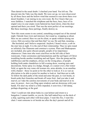Then darted in the usual doubt. I clutched your hand. You left me. The descent into the Tube was like death. We were cut up, we were dissevered by all those faces and the hollow wind that seemed to roar down there over desert boulders. I sat staring in my own room. By five I knew that you were faithless. I snatched the telephone and the buzz, buzz, buzz of its stupid voice in your empty room battered my heart down, when the door opened and there you stood. That was the most perfect of our meetings. But these meetings, these partings, finally destroy us.

'Now this room seems to me central, something scooped out of the eternal night. Outside lines twist and intersect, but round us, wrapping us about. Here we are centred. Here we can be silent, or speak without raising our voices. Did you notice that and then that? we say. He said that, meaning… . She hesitated, and I believe suspected. Anyhow, I heard voices, a sob on the stair late at night. It is the end of their relationship. Thus we spin round us infinitely fine filaments and construct a system. Plato and Shakespeare are included, also quite obscure people, people of no importance whatsoever. I hate men who wear crucifixes on the left side of their waistcoats. I hate ceremonies and lamentations and the sad figure of Christ trembling beside another trembling and sad figure. Also the pomp and the indifference and the emphasis, always on the wrong place, of people holding forth under chandeliers in full evening dress, wearing stars and decorations. Some spray in a hedge, though, or a sunset over a flat winter field, or again the way some old woman sits, arms akimbo, in an omnibus with a basket—those we point at for the other to look at. It is so vast an alleviation to be able to point for another to look at. And then not to talk. To follow the dark paths of the mind and enter the past, to visit books, to brush aside their branches and break off some fruit. And you take it and marvel, as I take the careless movements of your body and marvel at its ease, its power—how you fling open windows and are dexterous with your hands. For alas! my mind is a little impeded, it soon tires; I fall damp, perhaps disgusting, at the goal.

'Alas! I could not ride about India in a sun helmet and return to a bungalow. I cannot tumble, as you do, like half-naked boys on the deck of a ship, squirting each other with hose-pipes. I want this fire, I want this chair. I want someone to sit beside me after the day's pursuit and all its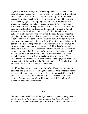anguish, after its listenings, and its waitings, and its suspicions. After quarrelling and reconciliation I need privacy—to be alone with you, to set this hubbub in order. For I am as neat as a cat in my habits. We must oppose the waste and deformity of the world, its crowds eddying round and round disgorged and trampling. One must slip paper-knives, even, exactly through the pages of novels, and tie up packets of letters neatly with green silk, and brush up the cinders with a hearth broom. Everything must be done to rebuke the horror of deformity. Let us read writers of Roman severity and virtue; let us seek perfection through the sand. Yes, but I love to slip the virtue and severity of the noble Romans under the grey light of your eyes, and dancing grasses and summer breezes and the laughter and shouts of boys at play—of naked cabin-boys squirting each other with hosepipes on the decks of ships. Hence I am not a disinterested seeker, like Louis, after perfection through the sand. Colours always stain the page; clouds pass over it. And the poem, I think, is only your voice speaking. Alcibiades, Ajax, Hector and Percival are also you. They loved riding, they risked their lives wantonly, they were not great readers either. But you are not Ajax or Percival. They did not wrinkle their noses and scratch their foreheads with your precise gesture. You are you. That is what consoles me for the lack of many things—I am ugly, I am weak—and the depravity of the world, and the flight of youth and Percival's death, and bitterness and rancour and envies innumerable.

'But if one day you do not come after breakfast, if one day I see you in some looking-glass perhaps looking after another, if the telephone buzzes and buzzes in your empty room, I shall then, after unspeakable anguish, I shall then—for there is no end to the folly of the human heart—seek another, find another, you. Meanwhile, let us abolish the ticking of time's clock with one blow. Come closer.'

## **XXI**

*The sun had now sunk lower in the sky. The islands of cloud had gained in density and drew themselves across the sun so that the rocks went suddenly black, and the trembling sea holly lost its blue and turned silver,*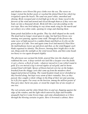*and shadows were blown like grey cloths over the sea. The waves no longer visited the further pools or reached the dotted black line which lay irregularly upon the beach. The sand was pearl white, smoothed and shining. Birds swooped and circled high up in the air. Some raced in the furrows of the wind and turned and sliced through them as if they were one body cut into a thousand shreds. Birds fell like a net descending on the tree-tops. Here one bird taking its way alone made wing for the marsh and sat solitary on a white stake, opening its wings and shutting them.*

*Some petals had fallen in the garden. They lay shell-shaped on the earth. The dead leaf no longer stood upon its edge, but had been blown, now running, now pausing, against some stalk. Through all the flowers the same wave of light passed in a sudden flaunt and flash as if a fin cut the green glass of a lake. Now and again some level and masterly blast blew the multitudinous leaves up and down and then, as the wind flagged, each blade regained its identity. The flowers, burning their bright discs in the sun, flung aside the sunlight as the wind tossed them, and then some heads too heavy to rise again drooped slightly.*

*The afternoon sun warmed the fields, poured blue into the shadows and reddened the corn. A deep varnish was laid like a lacquer over the fields. A cart, a horse, a flock of rooks—whatever moved in it was rolled round in gold. If a cow moved a leg it stirred ripples of red gold, and its horns seemed lined with light. Sprays of flaxen-haired corn lay on the hedges, brushed from the shaggy carts that came up from the meadows short legged and primeval looking. The round-headed clouds never dwindled as they bowled along, but kept every atom of their rotundity. Now, as they passed, they caught a whole village in the fling of their net and, passing, let it fly free again. Far away on the horizon, among the million grains of blue-grey dust, burnt one pane, or stood the single line of one steeple or one tree.*

*The red curtains and the white blinds blew in and out, flapping against the edge of the window, and the light which entered by flaps and breadths unequally had in it some brown tinge, and some abandonment as it blew through the blowing curtains in gusts. Here it browned a cabinet, there*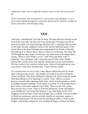*reddened a chair, here it made the window waver in the side of the green jar.*

*All for a moment wavered and bent in uncertainty and ambiguity, as if a great moth sailing through the room had shadowed the immense solidity of chairs and tables with floating wings.*

## **XXII**

'And time,' said Bernard, 'lets fall its drop. The drop that has formed on the roof of the soul falls. On the roof of my mind time, forming, lets fall its drop. Last week, as I stood shaving, the drop fell. I, standing with my razor in my hand, became suddenly aware of the merely habitual nature of my action (this is the drop forming) and congratulated my hands, ironically, for keeping at it. Shave, shave, shave, I said. Go on shaving. The drop fell. All through the day's work, at intervals, my mind went to an empty place, saying, "What is lost? What is over?" And "Over and done with," I muttered, "over and done with," solacing myself with words. People noticed the vacuity of my face and the aimlessness of my conversation. The last words of my sentence tailed away. And as I buttoned on my coat to go home I said more dramatically, "I have lost my youth."

'It is curious how, at every crisis, some phrase which does not fit insists upon coming to the rescue—the penalty of living in an old civilization with a notebook. This drop falling has nothing to do with losing my youth. This drop falling is time tapering to a point. Time, which is a sunny pasture covered with a dancing light, time, which is widespread as a field at midday, becomes pendant. Time tapers to a point. As a drop falls from a glass heavy with some sediment, time falls. These are the true cycles, these are the true events. Then as if all the luminosity of the atmosphere were withdrawn I see to the bare bottom. I see what habit covers. I lie sluggish in bed for days. I dine out and gape like a codfish. I do not trouble to finish my sentences, and my actions, usually so uncertain, acquire a mechanical precision. On this occasion, passing an office, I went in and bought, with all the composure of a mechanical figure, a ticket for Rome.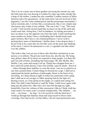'Now I sit on a stone seat in these gardens surveying the eternal city, and the little man who was shaving in London five days ago looks already like a heap of old clothes. London has also crumbled. London consists of fallen factories and a few gasometers. At the same time I am not involved in this pageantry. I see the violet-sashed priests and the picturesque nursemaids; I notice externals only. I sit here like a convalescent, like a very simple man who knows only words of one syllable. "The sun is hot," I say. "The wind is cold." I feel myself carried round like an insect on top of the earth and could swear that, sitting here, I feel its hardness, its turning movement. I have no desire to go the opposite way from the earth. Could I prolong this sense another six inches I have a foreboding that I should touch some queer territory. But I have a very limited proboscis. I never wish to prolong these states of detachment; I dislike them; I also despise them. I do not wish to be a man who sits for fifty years on the same spot thinking of his navel. I wish to be harnessed to a cart, a vegetable-cart that rattles over the cobbles.

'The truth is that I am not one of those who find their satisfaction in one person, or in infinity. The private room bores me, also the sky. My being only glitters when all its facets are exposed to many people. Let them fail and I am full of holes, dwindling like burnt paper. Oh, Mrs Moffat, Mrs Moffat, I say, come and sweep it all up. Things have dropped from me. I have outlived certain desires; I have lost friends, some by death—Percival —others through sheer inability to cross the street. I am not so gifted as at one time seemed likely. Certain things lie beyond my scope. I shall never understand the harder problems of philosophy. Rome is the limit of my travelling. As I drop asleep at night it strikes me sometimes with a pang that I shall never see savages in Tahiti spearing fish by the light of a blazing cresset, or a lion spring in the jungle, or a naked man eating raw flesh. Nor shall I learn Russian or read the Vedas. I shall never again walk bang into the pillar-box. (But still a few stars fall through my night, beautifully, from the violence of that concussion.) But as I think, truth has come nearer. For many years I crooned complacently, "My children … my wife ... my house ... my dog." As I let myself in with the latch-key I would go through that familiar ritual and wrap myself in those warm coverings. Now that lovely veil has fallen. I do not want possessions now.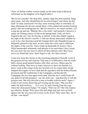(Note: an Italian washer-woman stands on the same rung of physical refinement as the daughter of an English duke.)

'But let me consider. The drop falls; another stage has been reached. Stage upon stage. And why should there be an end of stages? and where do they lead? To what conclusion? For they come wearing robes of solemnity. In these dilemmas the devout consult those violet-sashed and sensual-looking gentry who are trooping past me. But for ourselves, we resent teachers. Let a man get up and say, "Behold, this is the truth," and instantly I perceive a sandy cat filching a piece of fish in the background. Look, you have forgotten the cat, I say. So Neville, at school, in the dim chapel, raged at the sight of the doctor's crucifix. I, who am always distracted, whether by a cat or by a bee buzzing round the bouquet that Lady Hampden keeps so diligently pressed to her nose, at once make up a story and so obliterate the angles of the crucifix. I have made up thousands of stories; I have filled innumerable notebooks with phrases to be used when I have found the true story, the one story to which all these phrases refer. But I have never yet found that story. And I begin to ask, Are there stories?

'Look now from this terrace at the swarming population beneath. Look at the general activity and clamour. That man is in difficulties with his mule. Half a dozen good-natured loafers offer their services. Others pass by without looking. They have as many interests as there are threads in a skein. Look at the sweep of the sky, bowled over by round white clouds. Imagine the leagues of level land and the aqueducts and the broken Roman pavement and the tombstones in the Campagna, and beyond the Campagna, the sea, then again more land, then the sea. I could break off any detail in all that prospect—say the mule-cart—and describe it with the greatest ease. But why describe a man in trouble with his mule? Again, I could invent stories about that girl coming up the steps. "She met him under the dark archway… . 'It is over,' he said, turning from the cage where the china parrot hangs." Or simply, "That was all." But why impose my arbitrary design? Why stress this and shape that and twist up little figures like the toys men sell in trays in the street? Why select this, out of all that—one detail?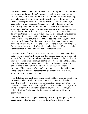'Here am I shedding one of my life-skins, and all they will say is, "Bernard is spending ten days in Rome." Here am I marching up and down this terrace alone, unoriented. But observe how dots and dashes are beginning, as I walk, to run themselves into continuous lines, how things are losing the bald, the separate identity that they had as I walked up those steps. The great red pot is now a reddish streak in a wave of yellowish green. The world is beginning to move past me like the banks of a hedge when the train starts, like the waves of the sea when a steamer moves. I am moving too, am becoming involved in the general sequence when one thing follows another and it seems inevitable that the tree should come, then the telegraph-pole, then the break in the hedge. And as I move, surrounded, included and taking part, the usual phrases begin to bubble up, and I wish to free these bubbles from the trap-door in my head, and direct my steps therefore towards that man, the back of whose head is half familiar to me. We were together at school. We shall undoubtedly meet. We shall certainly lunch together. We shall talk. But wait, one moment wait.

'These moments of escape are not to be despised. They come too seldom. Tahiti becomes possible. Leaning over this parapet I see far out a waste of water. A fin turns. This bare visual impression is unattached to any line of reason, it springs up as one might see the fin of a porpoise on the horizon. Visual impressions often communicate thus briefly statements that we shall in time to come uncover and coax into words. I note under F., therefore, "Fin in a waste of waters." I, who am perpetually making notes in the margin of my mind for some final statement, make this mark, waiting for some winter's evening.

'Now I shall go and lunch somewhere, I shall hold my glass up, I shall look through the wine, I shall observe with more than my usual detachment, and when a pretty woman enters the restaurant and comes down the room between the tables I shall say to myself, "Look where she comes against a waste of waters." A meaningless observation, but to me, solemn, slatecoloured, with a fatal sound of ruining worlds and waters falling to destruction.

'So, Bernard (I recall you, you the usual partner in my enterprises), let us begin this new chapter, and observe the formation of this new, this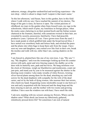unknown, strange, altogether unidentified and terrifying experience—the new drop—which is about to shape itself. Larpent is that man's name.'

'In this hot afternoon,' said Susan, 'here in this garden, here in this field where I walk with my son, I have reached the summit of my desires. The hinge of the gate is rusty; he heaves it open. The violent passions of childhood, my tears in the garden when Jinny kissed Louis, my rage in the schoolroom, which smelt of pine, my loneliness in foreign places, when the mules came clattering in on their pointed hoofs and the Italian women chattered at the fountain, shawled, with carnations twisted in their hair, are rewarded by security, possession, familiarity. I have had peaceful, productive years. I possess all I see. I have grown trees from the seed. I have made ponds in which goldfish hide under the broad-leaved lilies. I have netted over strawberry beds and lettuce beds, and stitched the pears and the plums into white bags to keep them safe from the wasps. I have seen my sons and daughters, once netted over like fruit in their cots, break the meshes and walk with me, taller than I am, casting shadows on the grass.

'I am fenced in, planted here like one of my own trees. I say, "My son," I say, "My daughter," and even the ironmonger looking up from his counter strewn with nails, paint and wire-fencing respects the shabby car at the door with its butterfly nets, pads and bee-hives. We hang mistletoe over the clock at Christmas, weigh our blackberries and mushrooms, count out jam-pots, and stand year by year to be measured against the shutter in the drawing-room window. I also make wreaths of white flowers, twisting silver-leaved plants among them for the dead, attaching my card with sorrow for the dead shepherd, with sympathy for the wife of the dead carter; and sit by the beds of dying women, who murmur their last terrors, who clutch my hand; frequenting rooms intolerable except to one born as I was and early acquainted with the farmyard and the dung-heap and the hens straying in and out, and the mother with two rooms and growing children. I have seen the windows run with heat, I have smelt the sink.

'I ask now, standing with my scissors among my flowers, Where can the shadow enter? What shock can loosen my laboriously gathered, relentlessly pressed down life? Yet sometimes I am sick of natural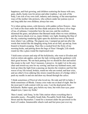happiness, and fruit growing, and children scattering the house with oars, guns, skulls, books won for prizes and other trophies. I am sick of the body, I am sick of my own craft, industry and cunning, of the unscrupulous ways of the mother who protects, who collects under her jealous eyes at one long table her own children, always her own.

'It is when spring comes, cold showery, with sudden yellow flowers—then as I look at the meat under the blue shade and press the heavy silver bags of tea, of sultanas, I remember how the sun rose, and the swallows skimmed the grass, and phrases that Bernard made when we were children, and the leaves shook over us, many-folded, very light, breaking the blue of the sky, scattering wandering lights upon the skeleton roots of the beech trees where I sat, sobbing. The pigeon rose. I jumped up and ran after the words that trailed like the dangling string from an air ball, up and up, from branch to branch escaping. Then like a cracked bowl the fixity of my morning broke, and putting down the bags of flour I thought, Life stands round me like a glass round the imprisoned reed.

'I hold some scissors and snip off the hollyhocks, who went to Elvedon and trod on rotten oak-apples, and saw the lady writing and the gardeners with their great brooms. We ran back panting lest we should be shot and nailed like stoats to the wall. Now I measure, I preserve. At night I sit in the armchair and stretch my arm for my sewing; and hear my husband snore; and look up when the light from a passing car dazzles the windows and feel the waves of my life tossed, broken, round me who am rooted; and hear cries, and see other's lives eddying like straws round the piers of a bridge while I push my needle in and out and draw my thread through the calico.

'I think sometimes of Percival who loved me. He rode and fell in India. I think sometimes of Rhoda. Uneasy cries wake me at dead of night. But for the most part I walk content with my sons. I cut the dead petals from hollyhocks. Rather squat, grey before my time, but with clear eyes, pearshaped eyes, I pace my fields.'

'Here I stand,' said Jinny, 'in the Tube station where everything that is desirable meets—Piccadilly South Side, Piccadilly North Side, Regent Street and the Haymarket. I stand for a moment under the pavement in the heart of London. Innumerable wheels rush and feet press just over my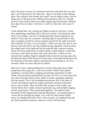head. The great avenues of civilization meet here and strike this way and that. I am in the heart of life. But look—there is my body in that looking glass. How solitary, how shrunk, how aged! I am no longer young. I am no longer part of the procession. Millions descend those stairs in a terrible descent. Great wheels churn inexorably urging them downwards. Millions have died. Percival died. I still move. I still live. But who will come if I signal?

'Little animal that I am, sucking my flanks in and out with fear, I stand here, palpitating, trembling. But I will not be afraid. I will bring the whip down on my flanks. I am not a whimpering little animal making for the shadow. It was only for a moment, catching sight of myself before I had time to prepare myself as I always prepare myself for the sight of myself, that I quailed. It is true; I am not young—I shall soon raise my arm in vain and my scarf will fall to my side without having signalled. I shall not hear the sudden sigh in the night and feel through the dark someone coming. There will be no reflections in window-panes in dark tunnels. I shall look into faces, and I shall see them seek some other face. I admit for one moment the soundless flight of upright bodies down the moving stairs like the pinioned and terrible descent of some army of the dead downwards and the churning of the great engines remorselessly forwarding us, all of us, onwards, made me cower and run for shelter.

'But now I swear, making deliberately in front of the glass those slight preparations that equip me, I will not be afraid. Think of the superb omnibuses, red and yellow, stopping and starting, punctually in order. Think of the powerful and beautiful cars that now slow to a foot's pace and now shoot forward; think of men, think of women, equipped, prepared, driving onward. This is the triumphant procession; this is the army of victory with banners and brass eagles and heads crowned with laurelleaves won in battle. They are better than savages in loin-cloths, and women whose hair is dank, whose long breasts sag, with children tugging at their long breasts. These broad thoroughfares—Piccadilly South, Piccadilly North, Regent Street and the Haymarket—are sanded paths of victory driven through the jungle. I too, with my little patent-leather shoes, my handkerchief that is but a film of gauze, my reddened lips and my finely pencilled eyebrows, march to victory with the band.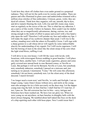'Look how they show off clothes here even under ground in a perpetual radiance. They will not let the earth even lie wormy and sodden. There are gauzes and silks illumined in glass cases and underclothes trimmed with a million close stitches of fine embroidery. Crimson, green, violet, they are dyed all colours. Think how they organize, roll out, smooth, dip in dyes, and drive tunnels blasting the rock. Lifts rise and fall; trains stop, trams start as regularly as the waves of the sea. This is what has my adhesion. I am a native of this world, I follow its banners. How could I run for shelter when they are so magnificently adventurous, daring, curious, too, and strong enough in the midst of effort to pause and scrawl with a free hand a joke upon the wall? Therefore I will powder my face and redden my lips. I will make the angle of my eyebrows sharper than usual. I will rise to the surface, standing erect with the others in Piccadilly Circus. I will sign with a sharp gesture to a cab whose driver will signify by some indescribable alacrity his understanding of my signals. For I still excite eagerness. I still feel the bowing of men in the street like the silent stoop of the corn when the light wind blows, ruffling it red.

'I will drive to my own house. I will fill the vases with lavish, with luxurious, with extravagant flowers nodding in great bunches. I will place one chair there, another here. I will put ready cigarettes, glasses and some gaily covered new unread book in case Bernard comes, or Neville or Louis. But perhaps it will not be Bernard, Neville or Louis, but somebody new, somebody unknown, somebody I passed on a staircase and, just turning as we passed, I murmured, "Come." He will come this afternoon; somebody I do not know, somebody new. Let the silent army of the dead descend. I march forward.'

'I no longer need a room now,' said Neville, 'or walls and firelight. I am no longer young. I pass Jinny's house without envy, and smile at the young man who arranges his tie a little nervously on the door-step. Let the dapper young man ring the bell; let him find her. I shall find her if I want her; if not, I pass on. The old corrosion has lost its bite—envy, intrigue and bitterness have been washed out. We have lost our glory too. When we were young we sat anywhere, on bare benches in draughty halls with the doors always banging. We tumbled about half naked like boys on the deck of a ship squirting each other with hose-pipes. Now I could swear that I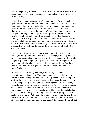like people pouring profusely out of the Tube when the day's work is done, unanimous, indiscriminate, uncounted. I have picked my own fruit. I look dispassionately.

'After all, we are not responsible. We are not judges. We are not called upon to torture our fellows with thumb-screws and irons; we are not called upon to mount pulpits and lecture them on pale Sunday afternoons. It is better to look at a rose, or to read Shakespeare as I read him here in Shaftesbury Avenue. Here's the fool, here's the villain, here in a car comes Cleopatra, burning on her barge. Here are figures of the damned too, noseless men by the police-court wall, standing with their feet in fire, howling. This is poetry if we do not write it. They act their parts infallibly, and almost before they open their lips I know what they are going to say, and wait the divine moment when they speak the word that must have been written. If it were only for the sake of the play, I could walk Shaftesbury Avenue for ever.

'Then coming from the street, entering some room, there are people talking, or hardly troubling to talk. He says, she says, somebody else says things have been said so often that one word is now enough to lift a whole weight. Argument, laughter, old grievances—they fall through the air, thickening it. I take a book and read half a page of anything. They have not mended the spout of the teapot yet. The child dances, dressed in her mother's clothes.

'But then Rhoda, or it may be Louis, some fasting and anguished spirit, passes through and out again. They want a plot, do they? They want a reason? It is not enough for them, this ordinary scene. It is not enough to wait for the thing to be said as if it were written; to see the sentence lay its dab of clay precisely on the right place, making character; to perceive, suddenly, some group in outline against the sky. Yet if they want violence, I have seen death and murder and suicide all in one room. One comes in, one goes out. There are sobs on the staircase. I have heard threads broken and knots tied and the quiet stitching of white cambric going on and on on the knees of a woman. Why ask, like Louis, for a reason, or fly like Rhoda to some far grove and part the leaves of the laurels and look for statues? They say that one must beat one's wings against the storm in the belief that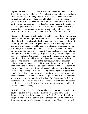beyond this welter the sun shines; the sun falls sheer into pools that are fledged with willows. (Here it is November; the poor hold out matchboxes in wind-bitten fingers.) They say truth is to be found there entire, and virtue, that shuffles along here, down blind alleys, is to be had there perfect. Rhoda flies with her neck outstretched and blind fanatic eyes, past us. Louis, now so opulent, goes to his attic window among the blistered roofs and gazes where she has vanished, but must sit down in his office among the typewriters and the telephone and work it all out for our instruction, for our regeneration, and the reform of an unborn world.

'But now in this room, which I enter without knocking, things are said as if they had been written. I go to the bookcase. If I choose, I read half a page of anything. I need not speak. But I listen. I am marvellously on the alert. Certainly, one cannot read this poem without effort. The page is often corrupt and mud-stained, and torn and stuck together with faded leaves, with scraps of verbena or geranium. To read this poem one must have myriad eyes, like one of those lamps that turn on slabs of racing water at midnight in the Atlantic, when perhaps only a spray of seaweed pricks the surface, or suddenly the waves gape and up shoulders a monster. One must put aside antipathies and jealousies and not interrupt. One must have patience and infinite care and let the light sound, whether of spiders' delicate feet on a leaf or the chuckle of water in some irrelevant drainpipe, unfold too. Nothing is to be rejected in fear or horror. The poet who has written this page (what I read with people talking) has withdrawn. There are no commas or semi-colons. The lines do not run in convenient lengths. Much is sheer nonsense. One must be sceptical, but throw caution to the winds and when the door opens accept absolutely. Also sometimes weep; also cut away ruthlessly with a slice of the blade soot, bark, hard accretions of all sorts. And so (while they talk) let down one's net deeper and deeper and gently draw in and bring to the surface what he said and she said and make poetry.

'Now I have listened to them talking. They have gone now. I am alone. I could be content to watch the fire burn for ever, like a dome, like a furnace; now some spike of wood takes the look of a scaffold, or pit, or happy valley; now it is a serpent curled crimson with white scales. The fruit on the curtain swells beneath the parrot's beak. Cheep, cheep, creaks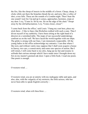the fire, like the cheep of insects in the middle of a forest. Cheep, cheep, it clicks while out there the branches thrash the air, and now, like a volley of shot, a tree falls. These are the sounds of a London night. Then I hear the one sound I wait for. Up and up it comes, approaches, hesitates, stops at my door. I cry, "Come in. Sit by me. Sit on the edge of the chair." Swept away by the old hallucination, I cry, "Come closer, closer".'

'I come back from the office,' said Louis. 'I hang my coat here, place my stick there—I like to fancy that Richelieu walked with such a cane. Thus I divest myself of my authority. I have been sitting at the right hand of a director at a varnished table. The maps of our successful undertakings confront us on the wall. We have laced the world together with our ships. The globe is strung with our lines. I am immensely respectable. All the young ladies in the office acknowledge my entrance. I can dine where I like now, and without vanity may suppose that I shall soon acquire a house in Surrey, two cars, a conservatory and some rare species of melon. But I still return, I still come back to my attic, hang up my hat and resume in solitude that curious attempt which I have made since I brought down my fist on my master's grained oak door. I open a little book. I read one poem. One poem is enough.

O western wind …

O western wind, you are at enmity with my mahogany table and spats, and also, alas, with the vulgarity of my mistress, the little actress, who has never been able to speak English correctly—

O western wind, when wilt thou blow …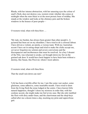Rhoda, with her intense abstraction, with her unseeing eyes the colour of snail's flesh, does not destroy you, western wind, whether she comes at midnight when the stars blaze or at the most prosaic hour of midday. She stands at the window and looks at the chimney-pots and the broken windows in the houses of poor people—

O western wind, when wilt thou blow …

'My task, my burden, has always been greater than other people's. A pyramid has been set on my shoulders. I have tried to do a colossal labour. I have driven a violent, an unruly, a vicious team. With my Australian accent I have sat in eating-shops and tried to make the clerks accept me, yet never forgotten my solemn and severe convictions and the discrepancies and incoherences that must be resolved. As a boy I dreamt of the Nile, was reluctant to awake, yet brought down my fist on the grained oak door. It would have been happier to have been born without a destiny, like Susan, like Percival, whom I most admire.

O western wind, when wilt thou blow.

That the small rain down can rain?

'Life has been a terrible affair for me. I am like some vast sucker, some glutinous, some adhesive, some insatiable mouth. I have tried to draw from the living flesh the stone lodged at the centre. I have known little natural happiness, thought I chose my mistress in order that, with her cockney accent, she might make me feel at my ease. But she only tumbled the floor with dirty under-linen, and the charwoman and the shop-boys called after me a dozen times a day, mocking my prim and supercilious gait.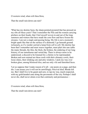O western wind, when wilt thou blow,

That the small rain down can rain?

'What has my destiny been, the sharp-pointed pyramid that has pressed on my ribs all these years? That I remember the Nile and the women carrying pitchers on their heads; that I feel myself woven in and out of the long summers and winters that have made the corn flow and have frozen the streams. I am not a single and passing being. My life is not a moment's bright spark like that on the surface of a diamond. I go beneath ground tortuously, as if a warder carried a lamp from cell to cell. My destiny has been that I remember and must weave together, must plait into one cable the many threads, the thin, the thick, the broken, the enduring of our long history, of our tumultuous and varied day. There is always more to be understood; a discord to be listened for; a falsity to be reprimanded. Broken and soot-stained are these roofs with their chimney cowls, their loose slates, their slinking cats and attic windows. I pick my way over broken glass, among blistered tiles, and see only vile and famished faces.

'Let us suppose that I make reason of it all—one poem on a page, and then die. I can assure you it will not be unwillingly. Percival died. Rhoda left me. But I shall live to be gaunt and sere, to tap my way, much respected, with my gold-headed cane along the pavements of the city. Perhaps I shall never die, shall never attain even that continuity and permanence—

O western wind, when wilt thou blow,

That the small rain down can rain?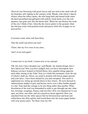'Percival was flowering with green leaves and was laid in the earth with all his branches still sighing in the summer wind. Rhoda, with whom I shared silence when the others spoke, she who hung back and turned aside when the herd assembled and galloped with orderly, sleek backs over the rich pastures, has gone now like the desert heat. When the sun blisters the roofs of the city I think of her; when the dry leaves patter to the ground; when the old men come with pointed sticks and pierce little bits of paper as we pierced her—

O western wind, when wilt thou blow,

That the small rain down can rain?

Christ, that my love were in my arms,

And I in my bed again!

I return now to my book; I return now to my attempt.'

'Oh, life, how I have dreaded you,' said Rhoda, 'oh, human beings, how I have hated you! How you have nudged, how you have interrupted, how hideous you have looked in Oxford Street, how squalid sitting opposite each other staring in the Tube! Now as I climb this mountain, from the top of which I shall see Africa, my mind is printed with brown-paper parcels and your faces. I have been stained by you and corrupted. You smelt so unpleasant too, lining up outside doors to buy tickets. All were dressed in indeterminate shades of grey and brown, never even a blue feather pinned to a hat. None had the courage to be one thing rather than another. What dissolution of the soul you demanded in order to get through one day, what lies, bowings, scrapings, fluency and servility! How you chained me to one spot, one hour, one chair, and sat yourselves down opposite! How you snatched from me the white spaces that lie between hour and hour and rolled them into dirty pellets and tossed them into the waste-paper basket with your greasy paws. Yet those were my life.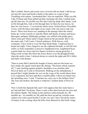'But I yielded. Sneers and yawns were covered with my hand. I did not go out into the street and break a bottle in the gutter as a sign of rage. Trembling with ardour, I pretended that I was not surprised. What you did, I did. If Susan and Jinny pulled up their stockings like that, I pulled mine up like that also. So terrible was life that I held up shade after shade. Look at life through this, look at life through that; let there be rose leaves, let there be vine leaves—I covered the whole street, Oxford Street, Piccadilly Circus, with the blaze and ripple of my mind, with vine leaves and rose leaves. There were boxes too, standing in the passage when the school broke up. I stole secretly to read the labels and dream of names and faces. Harrogate, perhaps, Edinburgh, perhaps, was ruffled with golden glory where some girl whose name I forget stood on the pavement. But it was the name only. I left Louis; I feared embraces. With fleeces, with vestments, I have tried to cover the blue-black blade. I implored day to break into night. I have longed to see the cupboard dwindle, to feel the bed soften, to float suspended, to perceive lengthened trees, lengthened faces, a green bank on a moor and two figures in distress saying good-bye. I flung words in fans like those the sower throws over the ploughed fields when the earth is bare. I desired always to stretch the night and fill it fuller and fuller with dreams.

'Then in some Hall I parted the boughs of music and saw the house we have made; the square stood upon the oblong. "The house which contains all," I said, lurching against people's shoulders in an omnibus after Percival died; yet I went to Greenwich. Walking on the embankment, I prayed that I might thunder for ever on the verge of the world where there is no vegetation, but here and there a marble pillar. I threw my bunch into the spreading wave. I said, "Consume me, carry me to the furthest limit." The wave has broken; the bunch is withered. I seldom think of Percival now.

'Now I climb this Spanish hill; and I will suppose that this mule-back is my bed and that I lie dying. There is only a thin sheet between me now and the infinite depths. The lumps in the mattress soften beneath me. We stumble up—we stumble on. My path has been up and up, towards some solitary tree with a pool beside it on the very top. I have sliced the waters of beauty in the evening when the hills close themselves like birds' wings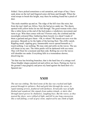folded. I have picked sometimes a red carnation, and wisps of hay. I have sunk alone on the turf and fingered some old bone and thought: When the wind stoops to brush this height, may there be nothing found but a pinch of dust.

'The mule stumbles up and on. The ridge of the hill rises like mist, but from the top I shall see Africa. Now the bed gives under me. The sheets spotted with yellow holes let me fall through. The good woman with a face like a white horse at the end of the bed makes a valedictory movement and turns to go. Who then comes with me? Flowers only, the cowbind and the moonlight-coloured May. Gathering them loosely in a sheaf I made of them a garland and gave them—Oh, to whom? We launch out now over the precipice. Beneath us lie the lights of the herring fleet. The cliffs vanish. Rippling small, rippling grey, innumerable waves spread beneath us. I touch nothing. I see nothing. We may sink and settle on the waves. The sea will drum in my ears. The white petals will be darkened with sea water. They will float for a moment and then sink. Rolling me over the waves will shoulder me under. Everything falls in a tremendous shower, dissolving me.

'Yet that tree has bristling branches; that is the hard line of a cottage roof. Those bladder shapes painted red and yellow are faces. Putting my foot to the ground I step gingerly and press my hand against the hard door of a Spanish inn.'

## **XXIII**

*The sun was sinking. The hard stone of the day was cracked and light poured through its splinters. Red and gold shot through the waves, in rapid running arrows, feathered with darkness. Erratically rays of light flashed and wandered, like signals from sunken islands, or darts shot through laurel groves by shameless, laughing boys. But the waves, as they neared the shore, were robbed of light, and fell in one long concussion, like a wall falling, a wall of grey stone, unpierced by any chink of light.*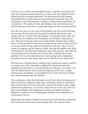*A breeze rose; a shiver ran through the leaves; and thus stirred they lost their brown density and became grey or white as the tree shifted its mass, winked and lost its domed uniformity. The hawk poised on the topmost branch flicked its eyelids and rose and sailed and soared far away. The wild plover cried in the marshes, evading, circling, and crying further off in loneliness. The smoke of trains and chimneys was stretched and torn and became part of the fleecy canopy that hung over the sea and the fields.*

*Now the corn was cut. Now only a brisk stubble was left of all its flowing and waving. Slowly a great owl launched itself from the elm tree and swung and rose, as if on a line that dipped, to the height of the cedar. On the hills the slow shadows now broadened, now shrank, as they passed over. The pool on the top of the moor looked blank. No furry face looked there, or hoof splashed, or hot muzzle seethed in the water. A bird, perched on an ash-coloured twig, sipped a beak full of cold water. There was no sound of cropping, and no sound of wheels, but only the sudden roar of the wind letting its sails fill and brushing the tops of the grasses. One bone lay rain-pocked and sun-bleached till it shone like a twig that the sea has polished. The tree, that had burnt foxy red in spring and in midsummer bent pliant leaves to the south wind, was now black as iron, and as bare.*

*The land was so distant that no shining roof or glittering window could be any longer seen. The tremendous weight of the shadowed earth had engulfed such frail fetters, such snail-shell encumbrances. Now there was only the liquid shadow of the cloud, the buffeting of the rain, a single darting spear of sunshine, or the sudden bruise of the rainstorm. Solitary trees marked distant hills like obelisks.*

*The evening sun, whose heat had gone out of it and whose burning spot of intensity had been dif used, made chairs and tables mellower and inlaid them with lozenges of brown and yellow. Lined with shadows their weight seemed more ponderous, as if colour, tilted, had run to one side. Here lay knife, fork and glass, but lengthened, swollen, and made portentous. Rimmed in a gold circle the looking-glass held the scene immobile as if everlasting in its eye.*

*Meanwhile the shadows lengthened on the beach; the blackness deepened. The iron black boot became a pool of deep blue. The rocks lost their*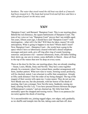*hardness. The water that stood round the old boat was dark as if mussels had been steeped in it. The foam had turned livid and left here and there a white gleam of pearl on the misty sand.*

## **XXIV**

'Hampton Court,' said Bernard. 'Hampton Court. This is our meeting-place. Behold the red chimneys, the square battlements of Hampton Court. The tone of my voice as I say "Hampton Court" proves that I am middle-aged. Ten years, fifteen years ago, I should have said "Hampton Court?" with interrogation—what will it be like? Will there be lakes, mazes? Or with anticipation, What is going to happen to me here? Whom shall I meet? Now, Hampton Court—Hampton Court—the words beat a gong in the space which I have so laboriously cleared with half a dozen telephone messages and post cards, give off ring after ring of sound, booming, sonorous: and pictures rise—summer afternoons, boats, old ladies holding their skirts up, one urn in winter, some daffodils in March—these all float to the top of the waters that now lie deep on every scene.

There at the door by the Inn, our meeting-place, they are already standing —Susan, Louis, Rhoda, Jinny and Neville. They have come together already. In a moment, when I have joined them, another arrangement will form, another pattern. What now runs to waste, forming scenes profusely, will be checked, stated. I am reluctant to suffer that compulsion. Already at fifty yards distance I feel the order of my being changed. The tug of the magnet of their society tells upon me. I come nearer. They do not see me. Now Rhoda sees me, but she pretends, with her horror of the shock of meeting, that I am a stranger. Now Neville turns. Suddenly, raising my hand, saluting Neville I cry, "I too have pressed flowers between the pages of Shakespeare's sonnets," and am churned up. My little boat bobs unsteadily upon the chopped and tossing waves. There is no panacea (let me note) against the shock of meeting.

'It is uncomfortable too, joining ragged edges, raw edges; only gradually, as we shuffle and trample into the Inn, taking coats and hats off, does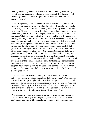meeting become agreeable. Now we assemble in the long, bare diningroom that overlooks some park, some green space still fantastically lit by the setting sun so that there is a gold bar between the trees, and sit ourselves down.'

'Now sitting side by side,' said Neville, 'at this narrow table, now before the first emotion is worn smooth, what do we feel? Honestly now, openly and directly as befits old friends meeting with difficulty, what do we feel on meeting? Sorrow. The door will not open; he will not come. And we are laden. Being now all of us middle-aged, loads are on us. Let us put down our loads. What have you made of life, we ask, and I? You, Bernard; you, Susan; you, Jinny; and Rhoda and Louis? The lists have been posted on the doors. Before we break these rolls, and help ourselves to fish and salad, I feel in my private pocket and find my credentials—what I carry to prove my superiority. I have passed. I have papers in my private pocket that prove it. But your eyes, Susan, full of turnips and cornfields, disturb me. These papers in my private pocket—the clamour that proves that I have passed—make a faint sound like that of a man clapping in an empty field to scare away rooks. Now it has died down altogether, under Susan's stare (the clapping, the reverberation that I have made), and I hear only the wind sweeping over the ploughed land and some bird singing—perhaps some intoxicated lark. Has the waiter heard of me, or those furtive everlasting couples, now loitering, now holding back and looking at the trees which are not yet dark enough to shelter their prostrate bodies? No; the sound of clapping has failed.

'What then remains, when I cannot pull out my papers and make you believe by reading aloud my credentials that I have passed? What remains is what Susan brings to light under the acid of her green eyes, her crystal, pear-shaped eyes. There is always somebody, when we come together, and the edges of meeting are still sharp, who refuses to be submerged; whose identity therefore one wishes to make crouch beneath one's own. For me now, it is Susan. I talk to impress Susan. Listen to me, Susan.

'When someone comes in at breakfast, even the embroidered fruit on my curtain swells so that parrots can peck it; one can break it off between one's thumb and finger. The thin, skimmed milk of early morning turns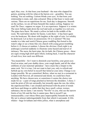opal, blue, rose. At that hour your husband—the man who slapped his gaiters, pointing with his whip at the barren cow—grumbles. You say nothing. You see nothing. Custom blinds your eyes. At that hour your relationship is mute, null, dun-coloured. Mine at that hour is warm and various. There are no repetitions for me. Each day is dangerous. Smooth on the surface, we are all bone beneath like snakes coiling. Suppose we read *The Times;* suppose we argue. It is an experience. Suppose it is winter. The snow falling loads down the roof and seals us together in a red cave. The pipes have burst. We stand a yellow tin bath in the middle of the room. We rush helter-skelter for basins. Look there—it has burst again over the bookcase. We shout with laughter at the sight of ruin. Let solidity be destroyed. Let us have no possessions. Or is it summer? We may wander to a lake and watch Chinese geese waddling flat-footed to the water's edge or see a bone-like city church with young green trembling before it. (I choose at random; I choose the obvious.) Each sight is an arabesque scrawled suddenly to illustrate some hazard and marvel of intimacy. The snow, the burst pipe, the tin bath, the Chinese goose—these are signs swung high aloft upon which, looking back, I read the character of each love; how each was different.

'You meanwhile—for I want to diminish your hostility, your green eyes fixed on mine, and your shabby dress, your rough hands, and all the other emblems of your maternal splendour—have stuck like a limpet to the same rock. Yet it is true, I do not want to hurt you; only to refresh and furbish up my own belief in myself that failed at your entry. Change is no longer possible. We are committed. Before, when we met in a restaurant in London with Percival, all simmered and shook; we could have been anything. We have chosen now, or sometimes it seems the choice was made for us—a pair of tongs pinched us between the shoulders. I chose. I took the print of life not outwardly, but inwardly upon the raw, the white, the unprotected fibre. I am clouded and bruised with the print of minds and faces and things so subtle that they have smell, colour, texture, substance, but no name. I am merely "Neville" to you, who see the narrow limits of my life and the line it cannot pass. But to myself I am immeasurable; a net whose fibres pass imperceptibly beneath the world. My net is almost indistinguishable from that which it surrounds. It lifts whales—huge leviathans and white jellies, what is amorphous and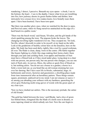wandering; I detect, I perceive. Beneath my eyes opens—a book; I see to the bottom; the heart—I see to the depths. I know what loves are trembling into fire; how jealousy shoots its green flashes hither and thither; how intricately love crosses love; love makes knots; love brutally tears them apart. I have been knotted; I have been torn apart.

'But there was another glory once, when we watched for the door to open, and Percival came; when we flung ourselves unattached on the edge of a hard bench in a public room.'

'There was the beech wood,' said Susan, 'Elvedon, and the gilt hands of the clock sparkling among the trees. The pigeons broke the leaves. The changing travelling lights wandered over me. They escaped me. Yet look, Neville, whom I discredit in order to be myself, at my hand on the table. Look at the gradations of healthy colour here on the knuckles, here on the palm. My body has been used daily, rightly, like a tool by a good workman, all over. The blade is clean, sharp, worn in the centre. (We battle together like beasts fighting in a field, like stags making their horns clash.) Seen through your pale and yielding flesh, even apples and bunches of fruit must have a filmed look as if they stood under glass. Lying deep in a chair with one person, one person only, but one person who changes, you see one inch of flesh only; its nerves, fibres, the sullen or quick flow of blood on it; but nothing entire. You do not see a house in a garden; a horse in a field; a town laid out, as you bend like an old woman straining her eyes over her darning. But I have seen life in blocks, substantial, huge; its battlements and towers, factories and gasometers; a dwelling-place made from time immemorial after an hereditary pattern. These things remain square, prominent, undissolved in my mind. I am not sinuous or suave; I sit among you abrading your softness with my hardness, quenching the silver-grey flickering moth-wing quiver of words with the green spurt of my clear eyes.

'Now we have clashed our antlers. This is the necessary prelude; the salute of old friends.'

'The gold has faded between the trees,' said Rhoda, 'and a slice of green lies behind them, elongated like the blade of a knife seen in dreams, or some tapering island on which nobody sets foot. Now the cars begin to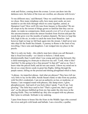wink and flicker, coming down the avenue. Lovers can draw into the darkness now; the boles of the trees are swollen, are obscene with lovers.'

'It was different once,' said Bernard. 'Once we could break the current as we chose. How many telephone calls, how many post cards, are now needed to cut this hole through which we come together, united, at Hampton Court? How swift life runs from January to December! We are all swept on by the torrent of things grown so familiar that they cast no shade; we make no comparisons; think scarcely ever of I or of you; and in this unconsciousness attain the utmost freedom from friction and part the weeds that grow over the mouths of sunken channels. We have to leap like fish, high in the air, in order to catch the train from Waterloo. And however high we leap we fall back again into the stream. I shall never now take ship for the South Sea Islands. A journey to Rome is the limit of my travelling. I have sons and daughters. I am wedged into my place in the puzzle.

'But it is only my body—this elderly man here whom you call Bernard that is fixed irrevocably—so I desire to believe. I think more disinterestedly than I could when I was young and must dig furiously like a child rummaging in a bran-pie to discover my self. "Look, what is this? And this? Is this going to be a fine present? Is that all?" and so on. Now I know what the parcels hold; and do not care much. I throw my mind out in the air as a man throws seeds in great fan-flights, falling through the purple sunset, falling on the pressed and shining ploughland which is bare.

'A phrase. An imperfect phrase. And what are phrases? They have left me very little to lay on the table, beside Susan's hand; to take from my pocket, with Neville's credentials. I am not an authority on law, or medicine, or finance. I am wrapped round with phrases, like damp straw; I glow, phosphorescent. And each of you feels when I speak, "I am lit up. I am glowing." The little boys used to feel "That's a good one, that's a good one", as the phrases bubbled up from my lips under the elm trees in the playing-fields. They too bubbled up; they also escaped with my phrases. But I pine in solitude. Solitude is my undoing.

'I pass from house to house like the friars in the Middle Ages who cozened the wives and girls with beads and ballads. I am a traveller, a pedlar,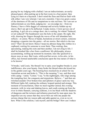paying for my lodging with a ballad; I am an indiscriminate, an easily pleased guest; often putting up in the best room in a four-poster; then lying in a barn on a haystack. I don't mind the fleas and find no fault with silk either. I am very tolerant. I am not a moralist. I have too great a sense of the shortness of life and its temptations to rule red lines. Yet I am not so indiscriminate as you think, judging me—as you judge me—from my fluency. I have a little dagger of contempt and severity hidden up my sleeve. But I am apt to be deflected. I make stories. I twist up toys out of anything. A girl sits at a cottage door; she is waiting; for whom? Seduced, or not seduced? The headmaster sees the hole in the carpet. He sighs. His wife, drawing her fingers through the waves of her still abundant hair, reflects—et cetera. Waves of hands, hesitations at street corners, someone dropping a cigarette into the gutter—all are stories. But which is the true story? That I do not know. Hence I keep my phrases hung like clothes in a cupboard, waiting for someone to wear them. Thus waiting, thus speculating, making this note and then another, I do not cling to life. I shall be brushed like a bee from a sunflower. My philosophy, always accumulating, welling up moment by moment, runs like quicksilver a dozen ways at once. But Louis, wild-eyed but severe, in his attic, in his office, has formed unalterable conclusions upon the true nature of what is to be known.'

'It breaks,' said Louis, 'the thread I try to spin; your laughter breaks it, your indifference, also your beauty. Jinny broke the thread when she kissed me in the garden years ago. The boasting boys mocked me at school for my Australian accent and broke it. "This is the meaning," I say; and then start with a pang—vanity. "Listen," I say, "to the nightingale, who sings among the trampling feet; the conquests and migrations. Believe—" and then am twitched asunder. Over broken tiles and splinters of glass I pick my way. Different lights fall, making the ordinary leopard spotted and strange. This moment of reconciliation, when we meet together united, this evening moment, with its wine and shaking leaves, and youth coming up from the river in white flannels, carrying cushions, is to me black with the shadows of dungeons and the tortures and infamies practised by man upon man. So imperfect are my senses that they never blot out with one purple the serious charge that my reason adds and adds against us, even as we sit here. What is the solution, I ask myself, and the bridge? How can I reduce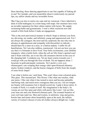these dazzling, these dancing apparitions to one line capable of linking all in one? So I ponder; and you meanwhile observe maliciously my pursed lips, my sallow cheeks and my invariable frown.

'But I beg you also to notice my cane and my waistcoat. I have inherited a desk of solid mahogany in a room hung with maps. Our steamers have won an enviable reputation for their cabins replete with luxury. We supply swimming-baths and gymnasiums. I wear a white waistcoat now and consult a little book before I make an engagement.

'This is the arch and ironical manner in which I hope to distract you from my shivering, my tender, and infinitely young and unprotected soul. For I am always the youngest; the most naïvely surprised; the one who runs in advance in apprehension and sympathy with discomfort or ridicule should there be a smut on a nose, or a button undone. I suffer for all humiliations. Yet I am also ruthless, marmoreal. I do not see how you can say that it is fortunate to have lived. Your little excitements, your childish transports, when a kettle boils, when the soft air lifts Jinny's spotted scarf and it floats web-like, are to me like silk streamers thrown in the eyes of the charging bull. I condemn you. Yet my heart yearns towards you. I would go with you through the fires of death. Yet am happiest alone. I luxuriate in gold and purple vestments. Yet I prefer a view over chimneypots; cats scraping their mangy sides upon blistered chimneystacks; broken windows; and the hoarse clangour of bells from the steeple of some brick chapel.'

'I see what is before me,' said Jinny. 'This scarf, these wine-coloured spots. This glass. This mustard pot. This flower. I like what one touches, what one tastes. I like rain when it has turned to snow and become palatable. And being rash, and much more courageous than you are, I do not temper my beauty with meanness lest it should scorch me. I gulp it down entire. It is made of flesh; it is made of stuff. My imagination is the body's. Its visions are not fine-spun and white with purity like Louis'. I do not like your lean cats and your blistered chimney-pots. The scrannel beauties of your roof-tops repel me. Men and women, in uniforms, wigs and gowns, bowler hats and tennis shirts beautifully open at the neck, the infinite variety of women's dresses (I note all clothes always) delight me. I eddy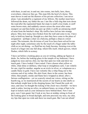with them, in and out, in and out, into rooms, into halls, here, there, everywhere, wherever they go. This man lifts the hoof of a horse. This man shoves in and out the drawers of his private collection. I am never alone. I am attended by a regiment of my fellows. My mother must have followed the drum, my father the sea. I am like a little dog that trots down the road after the regimental band, but stops to snuff a tree-trunk, to sniff some brown stain, and suddenly careers across the street after some mongrel cur and then holds one paw up while it sniffs an entrancing whiff of meat from the butcher's shop. My traffics have led me into strange places. Men, how many, have broken from the wall and come to me. I have only to hold my hand up. Straight as a dart they have come to the place of assignation—perhaps a chair on a balcony, perhaps a shop at a street corner. The torments, the divisions of your lives have been solved for me night after night, sometimes only by the touch of a finger under the tablecloth as we sat dining—so fluid has my body become, forming even at the touch of a finger into one full drop, which fills itself, which quivers, which flashes, which falls in ecstasy.

'I have sat before a looking-glass as you sit writing, adding up figures at desks. So, before the looking-glass in the temple of my bedroom, I have judged my nose and my chin; my lips that open too wide and show too much gum. I have looked. I have noted. I have chosen what yellow or white, what shine or dullness, what loop or straightness suits. I am volatile for one, rigid for another, angular as an icicle in silver, or voluptuous as a candle flame in gold. I have run violently like a whip flung out to the extreme end of my tether. His shirt front, there in the corner, has been white; then purple; smoke and flame have wrapped us about; after a furious conflagration—yet we scarcely raised our voices, sitting on the hearth-rug, as we murmured all the secrets of our hearts as into shells so that nobody might hear in the sleeping-house, but I heard the cook stir once, and once we thought the ticking of the clock was a footfall—we have sunk to ashes, leaving no relics, no unburnt bones, no wisps of hair to be kept in lockets such as your intimacies leave behind them. Now I turn grey; now I turn gaunt; but I look at my face at midday sitting in front of the looking-glass in broad daylight, and note precisely my nose, my chin, my lips that open too wide and show too much gum. But I am not afraid.'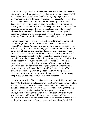'There were lamp-posts,' said Rhoda, 'and trees that had not yet shed their leaves on the way from the station. The leaves might have hidden me still. But I did not hide behind them. I walked straight up to you instead of circling round to avoid the shock of sensation as I used. But it is only that I have taught my body to do a certain trick. Inwardly I am not taught; I fear, I hate, I love, I envy and despise you, but I never join you happily. Coming up from the station, refusing to accept the shadow of the trees and the pillar-boxes, I perceived, from your coats and umbrellas, even at a distance, how you stand embedded in a substance made of repeated moments run together; are committed, have an attitude, with children, authority, fame, love, society; where I have nothing. I have no face.

'Here in this dining-room you see the antlers and the tumblers; the saltcellars; the yellow stains on the tablecloth. "Waiter!" says Bernard. "Bread!" says Susan. And the waiter comes; he brings bread. But I see the side of a cup like a mountain and only parts of antlers, and the brightness on the side of that jug like a crack in darkness with wonder and terror. Your voices sound like trees creaking in a forest. So with your faces and their prominences and hollows. How beautiful, standing at a distance immobile at midnight against the railings of some square! Behind you is a white crescent of foam, and fishermen on the verge of the world are drawing in nets and casting them. A wind ruffles the topmost leaves of primeval trees. (Yet here we sit at Hampton Court.) Parrots shrieking break the intense stillness of the jungle. (Here the trams start.) The swallow dips her wings in midnight pools. (Here we talk.) That is the circumference that I try to grasp as we sit together. Thus I must undergo the penance of Hampton Court at seven thirty precisely.

'But since these rolls of bread and wine bottles are needed by me, and your faces with their hollows and prominences are beautiful, and the table-cloth and its yellow stain, far from being allowed to spread in wider and wider circles of understanding that may at last (so I dream, falling off the edge of the earth at night when my bed floats suspended) embrace the entire world, I must go through the antics of the individual. I must start when you pluck at me with your children, your poems, your chilblains or whatever it is that you do and suffer. But I am not deluded. After all these callings hither and thither, these pluckings and searchings, I shall fall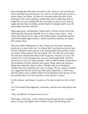alone through this thin sheet into gulfs of fire. And you will not help me. More cruel than the old torturers, you will let me fall, and will tear me to pieces when I am fallen. Yet there are moments when the walls of the mind grow thin; when nothing is unabsorbed, and I could fancy that we might blow so vast a bubble that the sun might set and rise in it and we might take the blue of midday and the black of midnight and be cast off and escape from here and now.'

'Drop upon drop,' said Bernard, 'silence falls. It forms on the roof of the mind and falls into pools beneath. For ever alone, alone, alone,—hear silence fall and sweep its rings to the farthest edges. Gorged and replete, solid with middle-aged content, I, whom loneliness destroys, let silence fall, drop by drop.

'But now silence falling pits my face, wastes my nose like a snowman stood out in a yard in the rain. As silence falls I am dissolved utterly and become featureless and scarcely to be distinguished from another. It does not matter. What matters? We have dined well. The fish, the veal cutlets, the wine have blunted the sharp tooth of egotism. Anxiety is at rest. The vainest of us, Louis perhaps, does not care what people think. Neville's tortures are at rest. Let others prosper—that is what he thinks. Susan hears the breathing of all her children safe asleep. Sleep, sleep, she murmurs. Rhoda has rocked her ships to shore. Whether they have foundered, whether they have anchored, she cares no longer. We are ready to consider any suggestion that the world may offer quite impartially. I reflect now that the earth is only a pebble flicked off accidentally from the face of the sun and that there is no life anywhere in the abysses of space.'

'In this silence,' said Susan, 'it seems as if no leaf would ever fall, or bird fly.'

'As if the miracle had happened,' said Jinny, 'and life were stayed here and now.'

'And,' said Rhoda, 'we had no more to live.'

'But listen,' said Louis, 'to the world moving through abysses of infinite space. It roars; the lighted strip of history is past and our Kings and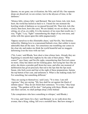Queens; we are gone; our civilization; the Nile; and all life. Our separate drops are dissolved; we are extinct, lost in the abysses of time, in the darkness.'

'Silence falls; silence falls,' said Bernard. 'But now listen; tick, tick; hoot, hoot; the world has hailed us back to it. I heard for one moment the howling winds of darkness as we passed beyond life. Then tick, tick (the clock); then hoot, hoot (the cars). We are landed; we are on shore; we are sitting, six of us, at a table. It is the memory of my nose that recalls me. I rise; "Fight," I cry, "fight!" remembering the shape of my own nose, and strike with this spoon upon this table pugnaciously.'

'Oppose ourselves to this illimitable chaos,' said Neville, 'this formless imbecility. Making love to a nursemaid behind a tree, that soldier is more admirable than all the stars. Yet sometimes one trembling star comes in the clear sky and makes me think the world beautiful and we maggots deforming even the trees with our lust.'

('Yet, Louis,' said Rhoda, 'how short a time silence lasts. Already they are beginning to smooth their napkins by the side of their plates. "Who comes?" says Jinny; and Neville sighs, remembering that Percival comes no more. Jinny has taken out her looking-glass. Surveying her face like an artist, she draws a powder-puff down her nose, and after one moment of deliberation has given precisely that red to the lips that the lips need. Susan, who feels scorn and fear at the sight of these preparations, fastens the top button of her coat, and unfastens it. What is she making ready for? For something, but something different.'

'They are saying to themselves,' said Louis, '"It is time. I am still vigorous," they are saying. "My face shall be cut against the black of infinite space." They do not finish their sentences. "It is time," they keep saying. "The gardens will be shut." And going with them, Rhoda, swept into their current, we shall perhaps drop a little behind.'

'Like conspirators who have something to whisper,' said Rhoda.)

'It is true, and I know for a fact,' said Bernard, 'as we walk down this avenue, that a King, riding, fell over a molehill here. But how strange it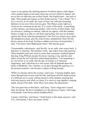seems to set against the whirling abysses of infinite space a little figure with a golden teapot on his head. Soon one recovers belief in figures: but not at once in what they put on their heads. Our English past—one inch of light. Then people put teapots on their heads and say, "I am a King!" No, I try to recover, as we walk, the sense of time, but with that streaming darkness in my eyes I have lost my grip. This Palace seems light as a cloud set for a moment on the sky. It is a trick of the mind—to put Kings on their thrones, one following another, with crowns on their heads. And we ourselves, walking six abreast, what do we oppose, with this random flicker of light in us that we call brain and feeling, how can we do battle against this flood; what has permanence? Our lives too stream away, down the unlighted avenues, past the strip of time, unidentified. Once Neville threw a poem at my head. Feeling a sudden conviction of immortality, I said, "I too know what Shakespeare knew." But that has gone.'

'Unreasonably, ridiculously,' said Neville, 'as we walk, time comes back. A dog does it, prancing. The machine works. Age makes hoary that gateway. Three hundred years now seem no more than a moment vanished against that dog. King William mounts his horse wearing a wig, and the court ladies sweep the turf with their embroidered panniers. I am beginning to be convinced, as we walk, that the fate of Europe is of immense importance, and, ridiculous as it still seems, that all depends upon the battle of Blenheim. Yes; I declare, as we pass through this gateway, it is the present moment; I am become a subject of King George.'

'While we advance down this avenue,' said Louis, 'I leaning slightly upon Jinny, Bernard arm-in-arm with Neville, and Susan with her hand in mine, it is difficult not to weep, calling ourselves little children, praying that God may keep us safe while we sleep. It is sweet to sing together, clasping hands, afraid of the dark, while Miss Curry plays the harmonium.'

'The iron gates have rolled back,' said Jinny. 'Time's fangs have ceased their devouring. We have triumphed over the abysses of space, with rouge, with powder, with flimsy pocket-handkerchiefs.'

'I grasp, I hold fast,' said Susan. 'I hold firmly to this hand, anyone's, with love, with hatred; it does not matter which.'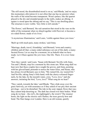'The still mood, the disembodied mood is on us,' said Rhoda, 'and we enjoy this momentary alleviation (it is not often that one has no anxiety) when the walls of the mind become transparent. Wren's palace, like the quartet played to the dry and stranded people in the stalls, makes an oblong. A square is stood upon the oblong and we say, "This is our dwelling-place. The structure is now visible. Very little is left outside."'

'The flower,' said Bernard, 'the red carnation that stood in the vase on the table of the restaurant when we dined together with Percival, is become a six-sided flower; made of six lives.'

'A mysterious illumination,' said Louis, 'visible against those yew trees.'

'Built up with much pain, many strokes,' said Jinny.

'Marriage, death, travel, friendship,' said Bernard; 'town and country; children and all that; a many-sided substance cut out of this dark; a manyfaceted flower. Let us stop for a moment; let us behold what we have made. Let it blaze against the yew trees. One life. There. It is over. Gone out.'

'Now they vanish,' said Louis. 'Susan with Bernard. Neville with Jinny. You and I, Rhoda, stop for a moment by this stone urn. What song shall we hear now that these couples have sought the groves, and Jinny, pointing with her gloved hand, pretends to notice the water-lilies, and Susan, who has always loved Bernard, says to him, "My ruined life, my wasted life." And Neville, taking Jinny's little hand, with the cherry-coloured fingernails, by the lake, by the moonlit water, cries, "Love, love," and she answers, imitating the bird, "Love, love?" What song do we hear?'

'They vanish, towards the lake,' said Rhoda. 'They slink away over the grass furtively, yet with assurance as if they asked of our pity their ancient privilege—not to be disturbed. The tide in the soul, tipped, flows that way; they cannot help deserting us. The dark has closed over their bodies. What song do we hear—the owl's, the nightingale's, the wren's? The steamer hoots; the light on the electric rails flashes; the trees gravely bow and bend. The flare hangs over London. Here is an old woman, quietly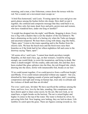returning, and a man, a late fisherman, comes down the terrace with his rod. Not a sound, not a movement must escape us.'

'A bird flies homeward,' said Louis. 'Evening opens her eyes and gives one quick glance among the bushes before she sleeps. How shall we put it together, the confused and composite message that they send back to us, and not they only, but many dead, boys and girls, grown men and women, who have wandered here, under one king or another?'

'A weight has dropped into the night,' said Rhoda, 'dragging it down. Every tree is big with a shadow that is not the shadow of the tree behind it. We hear a drumming on the roofs of a fasting city when the Turks are hungry and uncertain tempered. We hear them crying with sharp, stag-like barks, "Open, open." Listen to the trams squealing and to the flashes from the electric rails. We hear the beech trees and the birch trees raise their branches as if the bride had let her silken nightdress fall and come to the doorway saying "Open, open".'

'All seems alive,' said Louis. 'I cannot hear death anywhere tonight. Stupidity, on that man's face, age, on that woman's, would be strong enough, one would think, to resist the incantation, and bring in death. But where is death tonight? All the crudity, odds and ends, this and that, have been crushed like glass splinters into the blue, the red-fringed tide, which, drawing into the shore, fertile with innumerable fish, breaks at our feet.'

'If we could mount together, if we could perceive from a sufficient height,' said Rhoda, 'if we could remain untouched without any support—but you, disturbed by faint clapping sounds of praise and laughter, and I, resenting compromise and right and wrong on human lips, trust only in solitude and the violence of death and thus are divided.'

'For ever,' said Louis, 'divided. We have sacrificed the embrace among the ferns, and love, love, love by the lake, standing, like conspirators who have drawn apart to share some secret, by the urn. But now look, as we stand here, a ripple breaks on the horizon. The net is raised higher and higher. It comes to the top of the water. The water is broken by silver, by quivering little fish. Now leaping, now lashing, they are laid on shore. Life tumbles its catch upon the grass. There are figures coming towards us. Are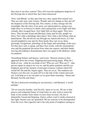they men or are they women? They still wear the ambiguous draperies of the flowing tide in which they have been immersed.'

'Now,' said Rhoda, 'as they pass that tree, they regain their natural size. They are only men, only women. Wonder and awe change as they put off the draperies of the flowing tide. Pity returns, as they emerge into the moonlight, like the relics of an army, our representatives, going every night (here or in Greece) to battle, and coming back every night with their wounds, their ravaged faces. Now light falls on them again. They have faces. They become Susan and Bernard, Jinny and Neville, people we know. Now what a shrinkage takes place! Now what a shrivelling, what an humiliation! The old shivers run through me, hatred and terror, as I feel myself grappled to one spot by these hooks they cast on us; these greetings, recognitions, pluckings of the finger and searchings of the eyes. Yet they have only to speak, and their first words, with the remembered tone and the perpetual deviation from what one expects, and their hands moving and making a thousand past days rise again in the darkness, shake my purpose.'

'Something flickers and dances,' said Louis. 'Illusion returns as they approach down the avenue. Rippling and questioning begin. What do I think of you—what do you think of me? Who are you? Who am I?—that quivers again its uneasy air over us, and the pulse quickens and the eye brightens and all the insanity of personal existence without which life would fall flat and die, begins again. They are on us. The southern sun flickers over this urn; we push off in to the tide of the violent and cruel sea. Lord help us to act our parts as we greet them returning—Susan and Bernard, Neville and Jinny.'

'We have destroyed something by our presence,' said Bernard, 'a world perhaps.'

'Yet we scarcely breathe,' said Neville, 'spent as we are. We are in that passive and exhausted frame of mind when we only wish to rejoin the body of our mother from whom we have been severed. All else is distasteful, forced and fatiguing. Jinny's yellow scarf is moth-coloured in this light; Susan's eyes are quenched. We are scarcely to be distinguished from the river. One cigarette end is the only point of emphasis among us.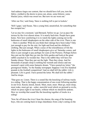And sadness tinges our content, that we should have left you, torn the fabric; yielded to the desire to press out, alone, some bitterer, some blacker juice, which was sweet too. But now we are worn out.'

'After our fire,' said Jinny, 'there is nothing left to put in lockets.'

'Still I gape,' said Susan, 'like a young bird, unsatisfied, for something that has escaped me.'

'Let us stay for a moment,' said Bernard, 'before we go. Let us pace the terrace by the river almost alone. It is nearly bed-time. People have gone home. Now how comforting it is to watch the lights coming out in the bedrooms of small shopkeepers on the other side of the river. There is one —there is another. What do you think their takings have been today? Only just enough to pay for the rent, for light and food and the children's clothing. But just enough. What a sense of the tolerableness of life the lights in the bedrooms of small shopkeepers give us! Saturday comes, and there is just enough to pay perhaps for seats at the Pictures. Perhaps before they put out the light they go into the little garden and look at the giant rabbit couched in its wooden hut. That is the rabbit they will have for Sunday dinner. Then they put out the light. Then they sleep. And for thousands of people sleep is nothing but warmth and silence and one moment's sport with some fantastic dream. "I have posted my letter," the greengrocer thinks, "to the Sunday newspaper. Suppose I win five hundred pounds in the football competition? And we shall kill the rabbit. Life is pleasant. Life is good. I have posted the letter. We shall kill the rabbit." And he sleeps.

'That goes on. Listen. There is a sound like the knocking of railway trucks in a siding. That is the happy concatenation of one event following another in our lives. Knock, knock, knock. Must, must, must. Must go, must sleep, must wake, must get up—sober, merciful word which we pretend to revile, which we press tight to our hearts, without which we should be undone. How we worship that sound like the knocking together of trucks in a siding!

'Now far off down the river I hear the chorus; the song of the boasting boys, who are coming back in large charabancs from a day's outing on the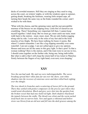decks of crowded steamers. Still they are singing as they used to sing, across the court, on winters' nights, or with the windows open in summer, getting drunk, breaking the furniture, wearing little striped caps, all turning their heads the same way as the brake rounded the corner; and I wished to be with them.

'What with the chorus, and the spinning water and the just perceptible murmur of the breeze we are slipping away. Little bits of ourselves are crumbling. There! Something very important fell then. I cannot keep myself together. I shall sleep. But we must go; must catch our train; must walk back to the station—must, must, must. We are only bodies jogging along side by side. I exist only in the soles of my feet and in the tired muscles of my thighs. We have been walking for hours it seems. But where? I cannot remember. I am like a log slipping smoothly over some waterfall. I am not a judge. I am not called upon to give my opinion. Houses and trees are all the same in this grey light. Is that a post? Is that a woman walking? Here is the station, and if the train were to cut me in two, I should come together on the further side, being one, being indivisible. But what is odd is that I still clasp the return half of my ticket to Waterloo firmly between the fingers of my right hand, even now, even sleeping.'

## **XXV**

*Now the sun had sunk. Sky and sea were indistinguishable. The waves breaking spread their white fans far out over the shore, sent white shadows into the recesses of sonorous caves and then rolled back sighing over the shingle.*

*The tree shook its branches and a scattering of leaves fell to the ground. There they settled with perfect composure on the precise spot where they would await dissolution. Black and grey were shot into the garden from the broken vessel that had once held red light. Dark shadows blackened the tunnels between the stalks. The thrush was silent and the worm sucked itself back into its narrow hole. Now and again a whitened and hollow straw was blown from an old nest and fell into the dark grasses among the*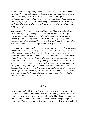*rotten apples. The light had faded from the tool-house wall and the adder's skin hung from the nail empty. All the colours in the room had overflown their banks. The precise brush stroke was swollen and lop-sided; cupboards and chairs melted their brown masses into one huge obscurity. The height from floor to ceiling was hung with vast curtains of shaking darkness. The looking-glass was pale as the mouth of a cave shadowed by hanging creepers.*

*The substance had gone from the solidity of the hills. Travelling lights drove a plumy wedge among unseen and sunken roads, but no lights opened among the folded wings of the hills, and there was no sound save the cry of a bird seeking some lonelier tree. At the cliff's edge there was an equal murmur of air that had been brushed through forests, of water that had been cooled in a thousand glassy hollows of mid-ocean.*

*As if there were waves of darkness in the air, darkness moved on, covering houses, hills, trees, as waves of water wash round the sides of some sunken ship. Darkness washed down streets, eddying round single figures, engulfing them; blotting out couples clasped under the showery darkness of elm trees in full summer foliage. Darkness rolled its waves along grassy rides and over the wrinkled skin of the turf, enveloping the solitary thorn tree and the empty snail shells at its foot. Mounting higher, darkness blew along the bare upland slopes, and met the fretted and abraded pinnacles of the mountain where the snow lodges for ever on the hard rock even when the valleys are full of running streams and yellow vine leaves, and girls, sitting on verandahs, look up at the snow, shading their faces with their fans. Them, too, darkness covered.*

## **XXVI**

'Now to sum up,' said Bernard. 'Now to explain to you the meaning of my life. Since we do not know each other (though I met you once, I think, on board a ship going to Africa), we can talk freely. The illusion is upon me that something adheres for a moment, has roundness, weight, depth, is completed. This, for the moment, seems to be my life. If it were possible, I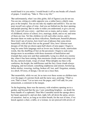would hand it to you entire. I would break it off as one breaks off a bunch of grapes. I would say, "Take it. This is my life."

'But unfortunately, what I see (this globe, full of figures) you do not see. You see me, sitting at a table opposite you, a rather heavy, elderly man, grey at the temples. You see me take my napkin and unfold it. You see me pour myself out a glass of wine. And you see behind me the door opening, and people passing. But in order to make you understand, to give you my life, I must tell you a story—and there are so many, and so many—stories of childhood, stories of school, love, marriage, death, and so on; and none of them are true. Yet like children we tell each other stories, and to decorate them we make up these ridiculous, flamboyant, beautiful phrases. How tired I am of stories, how tired I am of phrases that come down beautifully with all their feet on the ground! Also, how I distrust neat designs of life that are drawn upon half-sheets of note-paper. I begin to long for some little language such as lovers use, broken words, inarticulate words, like the shuffling of feet on the pavement. I begin to seek some design more in accordance with those moments of humiliation and triumph that come now and then undeniably. Lying in a ditch on a stormy day, when it has been raining, then enormous clouds come marching over the sky, tattered clouds, wisps of cloud. What delights me then is the confusion, the height, the indifference and the fury. Great clouds always changing, and movement; something sulphurous and sinister, bowled up, helter-skelter; towering, trailing, broken off, lost, and I forgotten, minute, in a ditch. Of story, of design, I do not see a trace then.

'But meanwhile, while we eat, let us turn over these scenes as children turn over the pages of a picture-book and the nurse says, pointing: "That's a cow. That's a boat." Let us turn over the pages, and I will add, for your amusement, a comment in the margin.

'In the beginning, there was the nursery, with windows opening on to a garden, and beyond that the sea. I saw something brighten—no doubt the brass handle of a cupboard. Then Mrs Constable raised the sponge above her head, squeezed it, and out shot, right, left, all down the spine, arrows of sensation. And so, as long as we draw breath, for the rest of time, if we knock against a chair, a table, or a woman, we are pierced with arrows of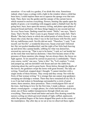sensation—if we walk in a garden, if we drink this wine. Sometimes indeed, when I pass a cottage with a light in the window where a child has been born, I could implore them not to squeeze the sponge over that new body. Then, there was the garden and the canopy of the currant leaves which seemed to enclose everything; flowers, burning like sparks upon the depths of green; a rat wreathing with maggots under a rhubarb leaf; the fly going buzz, buzz, buzz upon the nursery ceiling, and plates upon plates of innocent bread and butter. All these things happen in one second and last for ever. Faces loom. Dashing round the corner. "Hullo," one says, "there's Jinny. That's Neville. That's Louis in grey flannel with a snake belt. That's Rhoda." She had a basin in which she sailed petals of white flowers. It was Susan who cried, that day when I was in the tool-house with Neville; and I felt my indifference melt. Neville did not melt. "Therefore," I said, "I am myself, not Neville", a wonderful discovery. Susan cried and I followed her. Her wet pocket-handkerchief, and the sight of her little back heaving up and down like a pump-handle, sobbing for what was denied her, screwed my nerves up. "That is not to be borne," I said, as I sat beside her on the roots that were hard as skeletons. I then first became aware of the presence of those enemies who change, but are always there; the forces we fight against. To let oneself be carried on passively is unthinkable. "That's your course, world," one says, "mine is this." So, "Let's explore," I cried, and jumped up, and ran downhill with Susan and saw the stable-boy clattering about the yard in great boots. Down below, through the depths of the leaves, the gardeners swept the lawns with great brooms. The lady sat writing. Transfixed, stopped dead, I thought, "I cannot interfere with a single stroke of those brooms. They sweep and they sweep. Nor with the fixity of that woman writing." It is strange that one cannot stop gardeners sweeping nor dislodge a woman. There they have remained all my life. It is as if one had woken in Stonehenge surrounded by a circle of great stones, these enemies, these presences. Then a wood-pigeon flew out of the trees. And being in love for the first time, I made a phrase—a poem about a wood-pigeon—a single phrase, for a hole had been knocked in my mind, one of those sudden transparencies through which one sees everything. Then more bread and butter and more flies droning round the nursery ceiling on which quivered islands of light, ruffled, opalescent, while the pointed fingers of the lustre dripped blue pools on the corner of the mantelpiece. Day after day as we sat at tea we observed these sights.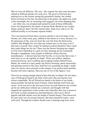'But we were all different. The wax—the virginal wax that coats the spine melted in different patches for each of us. The growl of the boot-boy making love to the tweeny among the gooseberry bushes; the clothes blown out hard on the line; the dead man in the gutter; the apple tree, stark in the moonlight; the rat swarming with maggots; the lustre dripping blue —our white wax was streaked and stained by each of these differently. Louis was disgusted by the nature of human flesh; Rhoda by our cruelty; Susan could not share; Neville wanted order; Jinny love; and so on. We suffered terribly as we became separate bodies.

'Yet I was preserved from these excesses and have survived many of my friends, am a little stout, grey, rubbed on the thorax as it were, because it is the panorama of life, seen not from the roof, but from the third-storey window, that delights me, not what one woman says to one man, even if that man is myself. How could I be bullied at school therefore? How could they make things hot for me? There was the Doctor lurching into chapel, as if he trod a battleship in a gale of wind, shouting out his commands through a megaphone, since people in authority always become melodramatic—I did not hate him like Neville, or revere him like Louis. I took notes as we sat together in chapel. There were pillars, shadows, memorial brasses, boys scuffling and swopping stamps behind Prayer Books; the sound of a rusty pump; the Doctor booming, about immortality and quitting ourselves like men; and Percival scratching his thigh. I made notes for stories; drew portraits in the margin of my pocket-book and thus became still more separate. Here are one or two of the figures I saw.

'Percival sat staring straight ahead of him that day in chapel. He also had a way of flicking his hand to the back of his neck. His movements were always remarkable. We all flicked our hands to the backs of our heads unsuccessfully. He had the kind of beauty which defends itself from any caress. As he was not in the least precocious, he read whatever was written up for our edification without any comment, and thought with that magnificent equanimity (Latin words come naturally) that was to preserve him from so many meannesses and humiliations, that Lucy's flaxen pigtails and pink cheeks were the height of female beauty. Thus preserved, his taste later was of extreme fineness. But there should be music, some wild carol. Through the window should come a hunting-song from some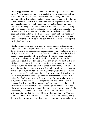rapid unapprehended life—a sound that shouts among the hills and dies away. What is startling, what is unexpected, what we cannot account for, what turns symmetry to nonsense—that comes suddenly to my mind, thinking of him. The little apparatus of observation is unhinged. Pillars go down; the Doctor floats off; some sudden exaltation possesses me. He was thrown, riding in a race, and when I came along Shaftesbury Avenue tonight, those insignificant and scarcely formulated faces that bubble up out of the doors of the Tube, and many obscure Indians, and people dying of famine and disease, and women who have been cheated, and whipped dogs and crying children—all these seemed to me bereft. He would have done justice. He would have protected. About the age of forty he would have shocked the authorities. No lullaby has ever occurred to me capable of singing him to rest.

'But let me dip again and bring up in my spoon another of these minute objects which we call optimistically, "characters of our friends"—Louis. He sat staring at the preacher. His being seemed conglobulated in his brow, his lips were pressed; his eyes were fixed, but suddenly they flashed with laughter. Also he suffered from chilblains, the penalty of an imperfect circulation. Unhappy, unfriended, in exile he would sometimes, in moments of confidence, describe how the surf swept over the beaches of his home. The remorseless eye of youth fixed itself upon his swollen joints. Yes, but we were also quick to perceive how cutting, how apt, how severe he was, how naturally, when we lay under the elm trees pretending to watch cricket, we waited his approval, seldom given. His ascendancy was resented, as Percival's was adored. Prim, suspicious, lifting his feet like a crane, there was yet a legend that he had smashed a door with his naked fist. But his peak was too bare, too stony for that kind of mist to cling to it. He was without those simple attachments by which one is connected with another. He remained aloof; enigmatic; a scholar capable of that inspired accuracy which has something formidable about it. My phrases (how to describe the moon) did not meet with his approval. On the other hand, he envied me to the point of desperation for being at my ease with servants. Not that the sense of his own deserts failed him. That was commensurate with his respect for discipline. Hence his success, finally. His life, though, was not happy. But look—his eye turns white as he lies in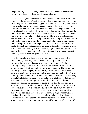the palm of my hand. Suddenly the sense of what people are leaves one. I return him to the pool where he will acquire lustre.

'Neville next—lying on his back staring up at the summer sky. He floated among us like a piece of thistledown, indolently haunting the sunny corner of the playing-field, not listening, yet not remote. It was through him that I have nosed round without ever precisely touching the Latin classics and have also derived some of those persistent habits of thought which make us irredeemably lop-sided—for instance about crucifixes, that they are the mark of the devil. Our half-loves and half-hates and ambiguities on these points were to him indefensible treacheries. The swaying and sonorous Doctor, whom I made to sit swinging his braces over a gas-fire, was to him nothing but an instrument of the inquisition. So he turned with a passion that made up for his indolence upon Catullus, Horace, Lucretius, lying lazily dormant, yes, but regardant, noticing, with rapture, cricketers, while with a mind like the tongue of an ant-eater, rapid, dexterous, glutinous, he searched out every curl and twist of those Roman sentences, and sought out one person, always one person to sit beside.

'And the long skirts of the masters' wives would come swishing by, mountainous, menacing; and our hands would fly to our caps. And immense dullness would descend unbroken, monotonous. Nothing, nothing, nothing broke with its fin that leaden waste of waters. Nothing would happen to lift that weight of intolerable boredom. The terms went on. We grew; we changed; for, of course, we are animals. We are not always aware by any means; we breathe, eat, sleep automatically. We exist not only separately but in undifferentiated blobs of matter. With one scoop a whole brakeful of boys is swept up and goes cricketing, footballing. An army marches across Europe. We assemble in parks and halls and sedulously oppose any renegade (Neville, Louis, Rhoda) who sets up a separate existence. And I am so made that, while I hear one or two distinct melodies, such as Louis sings, or Neville, I am also drawn irresistibly to the sound of the chorus chanting its old, chanting its almost wordless, almost senseless song that comes across courts at night; which we hear now booming round us as cars and omnibuses take people to theatres. (Listen; the cars rush past this restaurant; now and then, down the river, a siren hoots, as a steamer makes for the sea.) If a bagman offers me snuff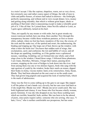in a train I accept. I like the copious, shapeless, warm, not so very clever, but extremely easy and rather coarse aspect of things; the talk of men in clubs and public-houses, of miners half naked in drawers—the forthright, perfectly unassuming, and without end in view except dinner, love, money and getting along tolerably; that which is without great hopes, ideals or anything of that kind; what is unassuming except to make a tolerably good job of it. I like all that. So I joined them, when Neville sulked or Louis, as I quite agree sublimely, turned on his heel.

'Thus, not equally by any means or with order, but in great streaks my waxen waistcoat melted, here one drop, there another. Now through this transparency became visible those wondrous pastures, at first so moonwhite, radiant, where no foot has been; meadows of the rose, the crocus, of the rock and the snake too; of the spotted and swart; the embarrassing, the binding and tripping up. One leaps out of bed, throws up the window; with what a whirr the birds rise! You know that sudden rush of wings, that exclamation, carol, and confusion; the riot and babble of voices; and all the drops are sparkling, trembling, as if the garden were a splintered mosaic, vanishing, twinkling; not yet formed into one whole; and a bird sings close to the window. I heard those songs. I followed those phantoms. I saw Joans, Dorothys, Miriams, I forget their names, passing down avenues, stopping on the crest of bridges to look down into the river. And from among them rise one or two distinct figures, birds who sang with the rapt egotism of youth by the window; broke their snails on stones, dipped their beaks in sticky, viscous matter; hard, avid, remorseless; Jinny, Susan, Rhoda. They had been educated on the east coast or on the south coast. They had grown long pigtails and acquired the look of startled foals, which is the mark of adolescence.

'Jinny was the first to come sidling up to the gate to eat sugar. She nipped it off the palms of one's hands very cleverly, but her ears were laid back as if she might bite. Rhoda was wild—Rhoda one never could catch. She was both frightened and clumsy. It was Susan who first became wholly woman, purely feminine. It was she who dropped on my face those scalding tears which are terrible, beautiful; both, neither. She was born to be the adored of poets, since poets require safety; someone who sits sewing, who says, "I hate, I love," who is neither comfortable nor prosperous, but has some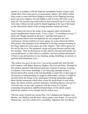quality in accordance with the high but unemphatic beauty of pure style which those who create poetry so particularly admire. Her father trailed from room to room and down flagged corridors in his flapping dressinggown and worn slippers. On still nights a wall of water fell with a roar a mile off. The ancient dog could scarcely heave himself up on to his chair. And some witless servant could be heard laughing at the top of the house as she whirred the wheel of the sewing-machine round and round.

'That I observed even in the midst of my anguish when, twisting her pocket-handkerchief, Susan cried, "I love; I hate." "A worthless servant," I observed, "laughs upstairs in the attic," and that little piece of dramatization shows how incompletely we are merged in our own experiences. On the outskirts of every agony sits some observant fellow who points; who whispers as he whispered to me that summer morning in the house where the corn comes up to the window, "The willow grows on the turf by the river. The gardeners sweep with great brooms and the lady sits writing." Thus he directed me to that which is beyond and outside our own predicament; to that which is symbolic, and thus perhaps permanent, if there is any permanence in our sleeping, eating, breathing, so animal, so spiritual and tumultuous lives.

'The willow tree grew by the river. I sat on the smooth turf with Neville, with Larpent, with Baker, Romsey, Hughes, Percival and Jinny. Through its fine plumes specked with little pricked ears of green in spring, of orange in autumn, I saw boats; buildings; I saw hurrying, decrepit women. I buried match after match in the turf decidedly to mark this or that stage in the process of understanding (it might be philosophy; science; it might be myself) while the fringe of my intelligence floating unattached caught those distant sensations which after a time the mind draws in and works upon; the chime of bells; general murmurs; vanishing figures; one girl on a bicycle who, as she rode, seemed to lift the corner of a curtain concealing the populous undifferentiated chaos of life which surged behind the outlines of my friends and the willow tree.

'The tree alone resisted our eternal flux. For I changed and changed; was Hamlet, was Shelley, was the hero, whose name I now forget, of a novel by Dostoevsky; was for a whole term, incredibly, Napoleon; but was Byron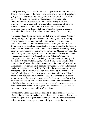chiefly. For many weeks at a time it was my part to stride into rooms and fling gloves and coat on the back of chairs, scowling slightly. I was always going to the bookcase for another sip of the divine specific. Therefore, I let fly my tremendous battery of phrases upon somebody quite inappropriate—a girl now married, now buried; every book, every window-seat was littered with the sheets of my unfinished letters to the woman who made me Byron. For it is difficult to finish a letter in somebody else's style. I arrived all in a lather at her house; exchanged tokens but did not marry her, being no doubt unripe for that intensity.

'Here again there should be music. Not that wild hunting-song, Percival's music; but a painful, guttural, visceral, also soaring, lark-like, pealing song to replace these flagging, foolish transcripts—how much too deliberate! how much too reasonable!—which attempt to describe the flying moment of first love. A purple slide is slipped over the day. Look at a room before she comes and after. Look at the innocents outside pursuing their way. They neither see nor hear; yet on they go. Moving oneself in this radiant yet gummy atmosphere how conscious one is of every movement —something adheres, something sticks to one's hands, taking up a newspaper even. Then there is the being eviscerated—drawn out, spun like a spider's web and twisted in agony round a thorn. Then a thunder-clap of complete indifference; the light blown out; then the return of measureless irresponsible joy; certain fields seem to glow green for ever, and innocent landscapes appear as if in the light of the first dawn—one patch of green, for example, up at Hampstead; and all faces are lit up, all conspire in a hush of tender joy; and then the mystic sense of completion and then that rasping, dog-fish skin-like roughness—those black arrows of shivering sensation, when she misses the post, when she does not come. Out rush a bristle of horned suspicions, horror, horror, horror—but what is the use of painfully elaborating these consecutive sentences when what one needs is nothing consecutive but a bark, a groan? And years later to see a middleaged woman in a restaurant taking off her cloak.

'But to return. Let us again pretend that life is a solid substance, shaped like a globe, which we turn about in our fingers. Let us pretend that we can make out a plain and logical story, so that when one matter is despatched —love for instance—we go on, in an orderly manner, to the next. I was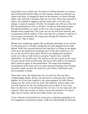saying there was a willow tree. Its shower of falling branches, its creased and crooked bark had the effect of what remains outside our illusions yet cannot stay them, is changed by them for the moment, yet shows through stable, still, and with a sternness that our lives lack. Hence the comment it makes; the standard it supplies, and the reason why, as we flow and change, it seems to measure. Neville, for example, sat with me on the turf. But can anything be as clear as all that, I would say, following his gaze, through the branches, to a punt on the river, and a young man eating bananas from a paper bag? The scene was cut out with such intensity and so permeated with the quality of his vision that for a moment I could see it too; the punt, the bananas, the young man, through the branches of the willow tree. Then it faded.

'Rhoda came wandering vaguely. She would take advantage of any scholar in a blowing gown, or donkey rolling the turf with slippered feet to hide behind. What fear wavered and hid itself and blew to a flame in the depths of her grey, her startled, her dreaming eyes? Cruel and vindictive as we are, we are not bad to that extent. We have our fundamental goodness surely or to talk as I talk freely to someone I hardly know would be impossible—we should cease. The willow as she saw it grew on the verge of a grey desert where no bird sang. The leaves shrivelled as she looked at them, tossed in agony as she passed them. The trams and omnibuses roared hoarse in the street ran over rocks and sped foaming away. Perhaps one pillar, sunlit, stood in her desert by a pool where wild beasts come down stealthily to drink.

'Then Jinny came. She flashed her fire over the tree. She was like a crinkled poppy, febrile, thirsty with the desire to drink dry dust. Darting, angular, not in the least impulsive, she came prepared. So little flames zigzag over the cracks in the dry earth. She made the willows dance, but not with illusion; for she saw nothing that was not there. It was a tree; there was the river; it was afternoon; here we were; I in my serge suit; she in green. There was no past, no future; merely the moment in its ring of light, and our bodies; and the inevitable climax, the ecstasy.

'Louis, when he let himself down on the grass, cautiously spreading (I do not exaggerate) a mackintosh square, made one acknowledge his presence.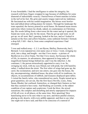It was formidable. I had the intelligence to salute his integrity; his research with bony fingers wrapped in rags because of chilblains for some diamond of indissoluble veracity. I buried boxes of burnt matches in holes in the turf at his feet. His grim and caustic tongue reproved my indolence. He fascinated me with his sordid imagination. His heroes wore bowlerhats and talked about selling pianos for tenners. Through his landscape the tram squealed; the factory poured its acrid fumes. He haunted mean streets and towns where women lay drunk, naked, on counterpanes on Christmas day. His words falling from a shot-tower hit the water and up it spurted. He found one word, one only for the moon. Then he got up and went; we all got up; we all went. But I, pausing, looked at the tree, and as I looked in autumn at the fiery and yellow branches, some sediment formed; I formed; a drop fell; I fell—that is, from some completed experience I had emerged.

'I rose and walked away—I, I, I; not Byron, Shelley, Dostoevsky, but I, Bernard. I even repeated my own name once or twice. I went, swinging my stick, into a shop, and bought—not that I love music—a picture of Beethoven in a silver frame. Not that I love music, but because the whole of life, its masters, its adventurers, then appeared in long ranks of magnificent human beings behind me; and I was the inheritor; I, the continuer; I, the person miraculously appointed to carry it on. So, swinging my stick, with my eyes filmed, not with pride, but with humility rather, I walked down the street. The first whirr of wings had gone up, the carol, the exclamation; and now one enters; one goes into the house, the dry, uncompromising, inhabited house, the place with all its traditions, its objects, its accumulations of rubbish, and treasures displayed upon tables. I visited the family tailor, who remembered my uncle. People turned up in great quantities, not cut out, like the first faces (Neville, Louis, Jinny, Susan, Rhoda), but confused, featureless, or changed their features so fast that they seemed to have none. And blushing yet scornful, in the oddest condition of raw rapture and scepticism, I took the blow; the mixed sensations; the complex and disturbing and utterly unprepared for impacts of life all over, in all places, at the same time. How upsetting! How humiliating never to be sure what to say next, and those painful silences, glaring as dry deserts, with every pebble apparent; and then to say what one ought not to have said, and then to be conscious of a ramrod of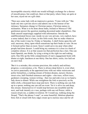incorruptible sincerity which one would willingly exchange for a shower of smooth pence, but could not, there at that party, where Jinny sat quite at her ease, rayed out on a gilt chair.

'Then says some lady with an impressive gesture, "Come with me." She leads one into a private alcove and admits one to the honour of her intimacy. Surnames change to Christian names; Christian names to nicknames. What is to be done about India, Ireland or Morocco? Old gentlemen answer the question standing decorated under chandeliers. One finds oneself surprisingly supplied with information. Outside the undifferentiated forces roar; inside we are very private, very explicit, have a sense indeed, that it is here, in this little room, that we make whatever day of the week it may be. Friday or Saturday. A shell forms upon the soft soul, nacreous, shiny, upon which sensations tap their beaks in vain. On me it formed earlier than on most. Soon I could carve my pear when other people had done dessert. I could bring my sentence to a close in a hush of complete silence. It is at that season too that perfection has a lure. One can learn Spanish, one thinks, by tying a string to the right toe and waking early. One fills up the little compartments of one's engagement book with dinner at eight; luncheon at one-thirty. One has shirts, socks, ties laid out on one's bed.

'But it is a mistake, this extreme precision, this orderly and military progress; a convenience, a lie. There is always deep below it, even when we arrive punctually at the appointed time with our white waistcoats and polite formalities, a rushing stream of broken dreams, nursery rhymes, street cries, half-finished sentences and sights—elm trees, willow trees, gardeners sweeping, women writing—that rise and sink even as we hand a lady down to dinner. While one straightens the fork so precisely on the table-cloth, a thousand faces mop and mow. There is nothing one can fish up in a spoon; nothing one can call an event. Yet it is alive too and deep, this stream. Immersed in it I would stop between one mouthful and the next, and look intently at a vase, perhaps with one red flower, while a reason struck me, a sudden revelation. Or I would say, walking along the Strand, "That's the phrase I want", as some beautiful, fabulous phantom bird, fish or cloud with fiery edges swam up to enclose once and for all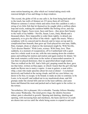some notion haunting me, after which on I trotted taking stock with renewed delight of ties and things in shop-windows.

'The crystal, the globe of life as one calls it, far from being hard and cold to the touch, has walls of thinnest air. If I press them all will burst. Whatever sentence I extract whole and entire from this cauldron is only a string of six little fish that let themselves be caught while a million others leap and sizzle, making the cauldron bubble like boiling silver, and slip through my fingers. Faces recur, faces and faces—they press their beauty to the walls of my bubble—Neville, Susan, Louis, Jinny, Rhoda and a thousand others. How impossible to order them rightly; to detach one separately, or to give the effect of the whole—again like music. What a symphony with its concord and its discord, and its tunes on top and its complicated bass beneath, then grew up! Each played his own tune, fiddle, flute, trumpet, drum or whatever the instrument might be. With Neville, "Let's discuss Hamlet." With Louis, science. With Jinny, love. Then suddenly, in a moment of exasperation, off to Cumberland with a quiet man for a whole week in an inn, with the rain running down the windowpanes and nothing but mutton and mutton and again mutton for dinner. Yet that week remains a solid stone in the welter of unrecorded sensation. It was then we played dominoes; then we quarrelled about tough mutton. Then we walked on the fell. And a little girl, peeping round the door, gave me that letter, written on blue paper, in which I learnt that the girl who had made me Byron was to marry a squire. A man in gaiters, a man with a whip, a man who made speeches about fat oxen at dinner—I exclaimed derisively and looked at the racing clouds, and felt my own failure; my desire to be free; to escape; to be bound; to make an end; to continue; to be Louis; to be myself; and walked out in my mackintosh alone, and felt grumpy under the eternal hills and not in the least sublime; and came home and blamed the meat and packed and so back again to the welter; to the torture.

'Nevertheless, life is pleasant, life is tolerable. Tuesday follows Monday; then comes Wednesday. The mind grows rings; the identity becomes robust; pain is absorbed in growth. Opening and shutting, shutting and opening, with increasing hum and sturdiness, the haste and fever of youth are drawn into service until the whole being seems to expand in and out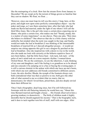like the mainspring of a clock. How fast the stream flows from January to December! We are swept on by the torrent of things grown so familiar that they cast no shadow. We float, we float …

'However, since one must leap (to tell you this story), I leap, here, at this point, and alight now upon some perfectly commonplace object—say the poker and tongs, as I saw them sometime later, after that lady who had made me Byron had married, under the light of one whom I will call the third Miss Jones. She is the girl who wears a certain dress expecting one at dinner, who picks a certain rose, who makes one feel "Steady, steady, this is a matter of some importance", as one shaves. Then one asks, "How does she behave to children?" One observes that she is a little clumsy with her umbrella; but minded when the mole was caught in the trap; and finally, would not make the loaf at breakfast (I was thinking of the interminable breakfasts of married life as I shaved) altogether prosaic—it would not surprise one sitting opposite this girl to see a dragon-fly perched on the loaf at breakfast. Also she inspired me with a desire to rise in the world; also she made me look with curiosity at the hitherto repulsive faces of new-born babies. And the little fierce beat—tick-tack, tick-tack—of the pulse of one's mind took on a more majestic rhythm. I roamed down Oxford Street. We are the continuers, we are the inheritors, I said, thinking of my sons and daughters; and if the feeling is so grandiose as to be absurd and one conceals it by jumping on to a bus or buying the evening paper, it is still a curious element in the ardour with which one laces up one's boots, with which one now addresses old friends committed to different careers. Louis, the attic dweller; Rhoda, the nymph of the fountain always wet; both contradicted what was then so positive to me; both gave the other side of what seemed to me so evident (that we marry, that we domesticate); for which I loved them, pitied them, and also deeply envied them their different lot.

'Once I had a biographer, dead long since, but if he still followed my footsteps with his old flattering intensity he would here say, "About this time Bernard married and bought a house … His friends observed in him a growing tendency to domesticity … The birth of children made it highly desirable that he should augment his income." That is the biographic style, and it does to tack together torn bits of stuff, stuff with raw edges. After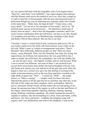all, one cannot find fault with the biographic style if one begins letters "Dear Sir", ends them "your faithfully"; one cannot despise these phrases laid like Roman roads across the tumult of our lives, since they compel us to walk in step like civilized people with the slow and measured tread of policemen though one may be humming any nonsense under one's breath at the same time—"Hark, hark, the dogs do bark", "Come away, come away, death", "Let me not to the marriage of true minds", and so on. "He attained some success in his profession … He inherited a small sum of money from an uncle"—that is how the biographer continues, and if one wears trousers and hitches them up with braces, one has to say that, though it is tempting now and then to go blackberrying; tempting to play ducks and drakes with all these phrases. But one has to say that.

'I became, I mean, a certain kind of man, scoring my path across life as one treads a path across the fields. My boots became worn a little on the left side. When I came in, certain re-arrangements took place. "Here's Bernard!" How differently different people say that! There are many rooms—many Bernards. There was the charming, but weak; the strong, but supercilious; the brilliant, but remorseless; the very good fellow, but, I make no doubt, the awful bore; the sympathetic, but cold; the shabby, but —go into the next room—the foppish, worldly, and too well dressed. What I was to myself was different; was none of these. I am inclined to pin myself down most firmly there before the loaf at breakfast with my wife, who being now entirely my wife and not at all the girl who wore when she hoped to meet me a certain rose, gave me that feeling of existing in the midst of unconsciousness such as the tree-frog must have couched on the right shade of green leaf. "Pass" … I would say. "Milk" … she might answer, or "Mary's coming" … —simple words for those who have inherited the spoils of all the ages but not as said then, day after day, in the full tide of life, when one feels complete, entire, at breakfast. Muscles, nerves, intestines, blood-vessels, all that makes the coil and spring of our being, the unconscious hum of the engine, as well as the dart and flicker of the tongue, functioned superbly. Opening, shutting; shutting, opening; eating, drinking; sometimes speaking—the whole mechanism seemed to expand, to contract, like the mainspring of a clock. Toast and butter, coffee and bacon. *The Times* and letters—suddenly the telephone rang with urgency and I rose deliberately and went to the telephone. I took up the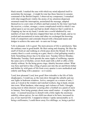black mouth. I marked the ease with which my mind adjusted itself to assimilate the message—it might be (one has these fancies) to assume command of the British Empire; I observed my composure; I remarked with what magnificent vitality the atoms of my attention dispersed, swarmed round the interruption, assimilated the message, adapted themselves to a new state of affairs and had created, by the time I put back the receiver, a richer, stronger, a more complicated world in which I was called upon to act my part and had no doubt whatever that I could do it. Clapping my hat on my head, I strode into a world inhabited by vast numbers of men who had also clapped their hats on their heads, and as we jostled and encountered in trains and tubes we exchanged the knowing wink of competitors and comrades braced with a thousand snares and dodges to achieve the same end—to earn our livings.

'Life is pleasant. Life is good. The mere process of life is satisfactory. Take the ordinary man in good health. He likes eating and sleeping. He likes the snuff of fresh air and walking at a brisk pace down the Strand. Or in the country there's a cock crowing on a gate; there's a foal galloping round a field. Something always has to be done next. Tuesday follows Monday; Wednesday Tuesday. Each spreads the same ripple of wellbeing, repeats the same curve of rhythm; covers fresh sand with a chill or ebbs a little slackly without. So the being grows rings; identity becomes robust. What was fiery and furtive like a fling of grain cast into the air and blown hither and thither by wild gusts of life from every quarter is now methodical and orderly and flung with a purpose—so it seems.

'Lord, how pleasant! Lord, how good! How tolerable is the life of little shopkeepers, I would say, as the train drew through the suburbs and one saw lights in bedroom windows. Active, energetic as a swarm of ants, I said, as I stood at the window and watched workers, bag in hand, stream into town. What hardness, what energy and violence of limb, I thought, seeing men in white drawers' scouring after a football on a patch of snow in January. Now being grumpy about some small matter—it might be the meat—it seemed luxurious to disturb with a little ripple the enormous stability, whose quiver, for our child was about to be born, increased its joy, of our married life. I snapped at dinner. I spoke unreasonably as if, being a millionaire, I could throw away five shillings; or, being a perfect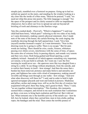steeple-jack, stumbled over a footstool on purpose. Going up to bed we settled our quarrel on the stairs, and standing by the window looking at a sky clear like the inside of a blue stone, "Heaven be praised," I said, "we need not whip this prose into poetry. The little language is enough." For the space of the prospect and its clarity seemed to offer no impediment whatsoever, but to allow our lives to spread out and out beyond all bristling of roofs and chimneys to the flawless verge.

'Into this crashed death—Percival's. "Which is happiness?" I said (our child had been born), "which pain?" referring to the two sides of my body, as I came downstairs, making a purely physical statement. Also I made note of the state of the house; the curtain blowing; the cook singing; the wardrobe showing through the half-opened door. I said, "Give him (myself) another moment's respite" as I went downstairs. "Now in this drawing-room he is going to suffer. There is no escape." But for pain words are lacking. There should be cries, cracks, fissures, whiteness passing over chintz covers, interference with the sense of time, of space; the sense also of extreme fixity in passing objects; and sounds very remote and then very close; flesh being gashed and blood spurting, a joint suddenly twisted—beneath all of which appears something very important, yet remote, to be just held in solitude. So I went out. I saw the first morning he would never see—the sparrows were like toys dangled from a string by a child. To see things without attachment, from the outside, and to realize their beauty in itself—how strange! And then the sense that a burden has been removed; pretence and make-believe and unreality are gone, and lightness has come with a kind of transparency, making oneself invisible and things seen through as one walks—how strange. "And now what other discovery will there be?" I said, and in order to hold it tight ignored newspaper placards and went and looked at pictures. Madonnas and pillars, arches and orange trees, still as on the first day of creation, but acquainted with grief, there they hung, and I gazed at them. "Here," I said, "we are together without interruption." This freedom, this immunity, seemed then a conquest, and stirred in me such exaltation that I sometimes go there, even now, to bring back exaltation and Percival. But it did not last. What torments one is the horrible activity of the mind's eye—how he fell, how he looked, where they carried him; men in loin-cloths, pulling ropes; the bandages and the mud. Then comes the terrible pounce of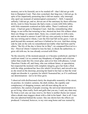memory, not to be foretold, not to be warded off—that I did not go with him to Hampton Court. That claw scratched; that fang tore; I did not go. In spite of his impatiently protesting that it did not matter; why interrupt, why spoil our moment of uninterrupted community?—Still, I repeated sullenly, I did not go, and so, driven out of the sanctuary by these officious devils, went to Jinny because she had a room; a room with little tables, with little ornaments scattered on little tables. There I confessed, with tears—I had not gone to Hampton Court. And she, remembering other things, to me trifles but torturing to her, showed me how life withers when there are things we cannot share. Soon, too, a maid came in with a note, and as she turned to answer it and I felt my own curiosity to know what she was writing and to whom, I saw the first leaf fall on his grave. I saw us push beyond this moment, and leave it behind us for ever. And then sitting side by side on the sofa we remembered inevitably what had been said by others; "the lily of the day is fairer far in May"; we compared Percival to a lily—Percival whom I wanted to lose his hair, to shock the authorities, to grow old with me; he was already covered with lilies.

'So the sincerity of the moment passed; so it became symbolical; and that I could not stand. Let us commit any blasphemy of laughter and criticism rather than exude this lily-sweet glue; and cover him with phrases, I cried. Therefore I broke off, and Jinny, who was without future, or speculation, but respected the moment with complete integrity, gave her body a flick with the whip, powdered her face (for which I loved her), and waved to me as she stood on the doorstep, pressing her hand to her hair so that the wind might not disorder it, a gesture for which I honoured her, as if it confirmed our determination—not to let lilies grow.

'I observed with disillusioned clarity the despicable nonentity of the street; its porches; its window curtains; the drab clothes, the cupidity and complacency of shopping women; and old men taking the air in comforters; the caution of people crossing; the universal determination to go on living, when really, fools and gulls that you are, I said, any slate may fly from a roof, any car may swerve, for there is neither rhyme nor reason when a drunk man staggers about with a club in his hand—that is all. I was like one admitted behind the scenes: like one shown how the effects are produced. I returned, however, to my own snug home and was warned by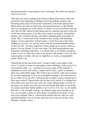the parlourmaid to creep upstairs in my stockings. The child was asleep. I went to my room.

'Was there no sword, nothing with which to batter down these walls, this protection, this begetting of children and living behind curtains, and becoming daily more involved and committed, with books and pictures? Better burn one's life out like Louis, desiring perfection; or like Rhoda leave us, flying past us to the desert; or choose one out of millions and one only like Neville; better be like Susan and love and hate the heat of the sun or the frost-bitten grass; or be like Jinny, honest, an animal. All had their rapture; their common feeling with death; something that stood them in stead. Thus I visited each of my friends in turn, trying, with fumbling fingers, to prise open their locked caskets. I went from one to the other holding my sorrow—no, not my sorrow but the incomprehensible nature of this our life—for their inspection. Some people go to priests; others to poetry; I to my friends, I to my own heart, I to seek among phrases and fragments something unbroken—I to whom there is not beauty enough in moon or tree; to whom the touch of one person with another is all, yet who cannot grasp even that, who am so imperfect, so weak, so unspeakably lonely. There I sat.

'Should this be the end of the story? a kind of sigh? a last ripple of the wave? A trickle of water in some gutter where, burbling, it dies away? Let me touch the table—so—and thus recover my sense of the moment. A sideboard covered with cruets; a basket full of rolls; a plate of bananas these are comfortable sights. But if there are no stories, what end can there be, or what beginning? Life is not susceptible perhaps to the treatment we give it when we try to tell it. Sitting up late at night it seems strange not to have more control. Pigeon-holes are not then very useful. It is strange how force ebbs away and away into some dry creek. Sitting alone, it seems we are spent; our waters can only just surround feebly that spike of sea-holly; we cannot reach that further pebble so as to wet it. It is over, we are ended. But wait—I sat all night waiting—an impulse again runs through us; we rise, we toss back a mane of white spray; we pound on the shore; we are not to be confined. That is, I shaved and washed; did not wake my wife, and had breakfast; put on my hat, and went out to earn my living. After Monday, Tuesday comes.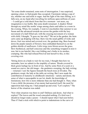'Yet some doubt remained, some note of interrogation. I was surprised, opening a door, to find people thus occupied; I hesitated, taking a cup of tea, whether one said milk or sugar. And the light of the stars falling, as it falls now, on my hand after travelling for millions upon millions of years —I could get a cold shock from that for a moment—not more, my imagination is too feeble. But some doubt remained. A shadow flitted through my mind like moths' wings among chairs and tables in a room in the evening. When, for example, I went to Lincolnshire that summer to see Susan and she advanced towards me across the garden with the lazy movement of a half-filled sail, with the swaying movement of a woman with child, I thought, "It goes on; but why?" We sat in the garden; the farm carts came up dripping with hay; there was the usual gabble of rooks and doves; fruit was netted and covered over; the gardener dug. Bees boomed down the purple tunnels of flowers; bees embedded themselves on the golden shields of sunflowers. Little twigs were blown across the grass. How rhythmical, and half conscious and like something wrapped in mist it was; but to me hateful, like a net folding one's limbs in its meshes, cramping. She who had refused Percival lent herself to this, to this covering over.

'Sitting down on a bank to wait for my train, I thought then how we surrender, how we submit to the stupidity of nature. Woods covered in thick green leafage lay in front of me. And by some flick of a scent or a sound on a nerve, the old image—the gardeners sweeping, the lady writing —returned. I saw the figures beneath the beech trees at Elvedon. The gardeners swept; the lady at the table sat writing. But I now made the contribution of maturity to childhood's intuitions—satiety and doom; the sense of what is unescapable in our lot; death; the knowledge of limitations; how life is more obdurate than one had thought it. Then, when I was a child, the presence of an enemy had asserted itself; the need for opposition had stung me. I had jumped up and cried, "Let's explore." The horror of the situation was ended.

'Now what situation was there to end? Dullness and doom. And what to explore? The leaves and the wood concealed nothing. If a bird rose I should no longer make a poem—I should repeat what I had seen before. Thus if I had a stick with which to point to indentations in the curve of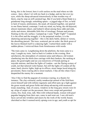being, this is the lowest; here it coils useless on the mud where no tide comes—here, where I sit with my back to a hedge, and my hat over my eyes, while the sheep advanced remorselessly in that wooden way of theirs, step by step on stiff, pointed legs. But if you hold a blunt blade to a grindstone long enough, something spurts—a jagged edge of fire; so held to lack of reason, aimlessness, the usual, all massed together, out spurted in one flame hatred, contempt. I took my mind, my being, the old dejected, almost inanimate object, and lashed it about among these odds and ends, sticks and straws, detestable little bits of wreckage, flotsam and jetsam, floating on the oily surface. I jumped up. I said, "Fight! Fight!" I repeated. It is the effort and the struggle, it is the perpetual warfare, it is the shattering and piecing together—this is the daily battle, defeat or victory, the absorbing pursuit. The trees, scattered, put on order; the thick green of the leaves thinned itself to a dancing light. I netted them under with a sudden phrase. I retrieved them from formlessness with words.

'The train came in. Lengthening down the platform, the train came to a stop. I caught my train. And so back to London in the evening. How satisfactory, the atmosphere of common sense and tobacco; old women clambering into the third-class carriage with their baskets; the sucking at pipes; the good-nights and see you tomorrows of friends parting at wayside stations, and then the lights of London—not the flaring ecstasy of youth, not that tattered violet banner, but still the lights of London all the same; hard, electric lights, high up in offices; street lamps laced along dry pavements; flares roaring above street markets. I like all this when I have despatched the enemy for a moment.

'Also I like to find the pageant of existence roaring, in a theatre for instance. The clay-coloured, earthy nondescript animal of the field here erects himself and with infinite ingenuity and effort puts up a fight against the green woods and green fields and sheep advancing with measured tread, munching. And, of course, windows in the long grey streets were lit up; strips of carpet cut the pavement; there were swept and garnished rooms, fire, food, wine, talk. Men with withered hands, women with pearl pagodas hanging from their ears, came in and went out. I saw old men's faces carved into wrinkles and sneers by the work of the world; beauty cherished so that it seemed newly sprung even in age; and youth so apt for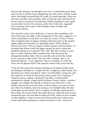pleasure that pleasure, one thought, must exist; it seemed that grass-lands must roll for it; and the sea be chopped up into little waves; and the woods rustle with bright-coloured birds for youth, for youth expectant. There one met Jinny and Hal, Tom and Betty; there we had our jokes and shared our secrets; and never parted in the doorway without arranging to meet again in some other room as the occasion, as the time of the year, suggested. Life is pleasant; life is good. After Monday comes Tuesday, and Wednesday follows.

'Yes, but after a time with a difference. It may be that something in the look of the room one night, in the arrangement of the chairs, suggests it. It seems comfortable to sink down on a sofa in a corner, to look, to listen. Then it happens that two figures standing with their backs to the window appear against the branches of a spreading willow. With a shock of emotion one feels "There are figures without features robed in beauty." In the pause that follows while the ripples spread, the girl to whom one should be talking says to herself, "He is old." But she is wrong. It is not age; it is that a drop has fallen; another drop. Time has given the arrangement another shake. Out we creep from the arch of the currant leaves, out into a wider world. The true order of things—this is our perpetual illusion—is now apparent. Thus in a moment, in a drawingroom, our life adjusts itself to the majestic march of day across the sky.

'It was for this reason that instead of pulling on my patent-leather shoes and finding a tolerable tie, I sought Neville. I sought my oldest friend, who had known me when I was Byron; when I was Meredith's young man, and also that hero in a book by Dostoevsky whose name I have forgotten. I found him alone, reading. A perfectly neat table; a curtain pulled methodically straight; a paper-knife dividing a French volume—nobody, I thought, ever changes the attitude in which we saw them first, or the clothes. Here he has sat in this chair, in these clothes, ever since we first met. Here was freedom; here was intimacy; the firelight broke off some round apple on the curtain. There we talked; sat talking; sauntered down that avenue, the avenue which runs under the trees, under the thick-leaved murmuring trees, the trees that are hung with fruit, which we have trodden so often together, so that now the turf is bare round some of those trees, round certain plays and poems, certain favourites of ours—the turf is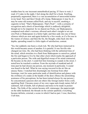trodden bare by our incessant unmethodical pacing. If I have to wait, I read; if I wake in the night, I feel along the shelf for a book. Swelling, perpetually augmented, there is a vast accumulation of unrecorded matter in my head. Now and then I break off a lump, Shakespeare it may be, it may be some old woman called Peck; and say to myself, smoking a cigarette in bed, "That's Shakespeare. That's Peck"—with a certainty of recognition and a shock of knowledge which is endlessly delightful, though not to be imparted. So we shared our Pecks, our Shakespeares; compared each other's versions; allowed each other's insight to set our own Peck or Shakespeare in a better light; and then sank into one of those silences which are now and again broken by a few words, as if a fin rose in the wastes of silence; and then the fin, the thought, sinks back into the depths, spreading round it a little ripple of satisfaction, content.

'Yes, but suddenly one hears a clock tick. We who had been immersed in this world became aware of another. It is painful. It was Neville who changed our time. He, who had been thinking with the unlimited time of the mind, which stretches in a flash from Shakespeare to ourselves, poked the fire and began to live by that other clock which marks the approach of a particular person. The wide and dignified sweep of his mind contracted. He became on the alert. I could feel him listening to sounds in the street. I noted how he touched a cushion. From the myriads of mankind and all time past he had chosen one person, one moment in particular. A sound was heard in the hall. What he was saying wavered in the air like an uneasy flame. I watched him disentangle one footstep from other footsteps; wait for some particular mark of identification and glance with the swiftness of a snake at the handle of the door. (Hence the astonishing acuteness of his perceptions; he has been trained always by one person.) So concentrated a passion shot out others like foreign matter from a still, sparkling fluid. I became aware of my own vague and cloudy nature full of sediment, full of doubt, full of phrases and notes to be made in pocketbooks. The folds of the curtain became still, statuesque; the paperweight on the table hardened; the threads on the curtain sparkled; everything became definite, external, a scene in which I had no part. I rose, therefore; I left him.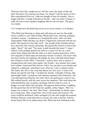'Heavens! how they caught me as I left the room, the fangs of that old pain! the desire for someone not there. For whom? I did not know at first; then remembered Percival. I had not thought of him for months. Now to laugh with him, to laugh with him at Neville—that was what I wanted, to walk off arm-in-arm together laughing. But he was not there. The place was empty.

'It is strange how the dead leap out on us at street corners, or in dreams.

'This fitful gust blowing so sharp and cold upon me sent me that night across London to visit other friends, Rhoda and Louis, desiring company, certainty, contact. I wondered, as I mounted the stairs, what was their relationship? What did they say alone? I figured her awkward with the teakettle. She gazed over the slate roofs—the nymph of the fountain always wet, obsessed with visions, dreaming. She parted the curtain to look at the night. "Away!" she said. "The moor is dark beneath the moon." I rang; I waited. Louis perhaps poured out milk in a saucer for the cat; Louis, whose bony hands shut like the sides of a dock closing themselves with a slow anguish of effort upon an enormous tumult of waters, who knew what has been said by the Egyptian, the Indian, by men with high cheek-bones and solitaires in hair shirts. I knocked: I waited; there was no answer. I tramped down the stone stairs again. Our friends—how distant, how mute, how seldom visited and little known. And I, too, am dim to my friends and unknown; a phantom, sometimes seen, often not. Life is a dream surely. Our flame, the will-o'-the-wisp that dances in a few eyes, is soon to be blown out and all will fade. I recalled my friends. I thought of Susan. She had bought fields. Cucumbers and tomatoes ripened in her hothouses. The vine that had been killed by last year's frost was putting out a leaf or two. She walked heavily with her sons across her meadows. She went about the land attended by men in gaiters, pointing with her stick at a roof, at hedges, at walls fallen into disrepair. The pigeons followed her, waddling, for the grain that she let fall from her capable, earthy fingers. "But I no longer rise at dawn," she said. Then Jinny—entertaining, no doubt, some new young man. They reached the crisis of the usual conversation. The room would be darkened; chairs arranged. For she still sought the moment. Without illusions, hard and clear as crystal, she rode at the day with her breast bared. She let its spikes pierce her. When the lock whitened on her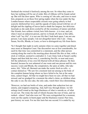forehead she twisted it fearlessly among the rest. So when they come to bury her nothing will be out of order. Bits of ribbons will be found curled up. But still the door opens. Who is coming in? she asks, and rises to meet him, prepared, as on those first spring nights when the tree under the big London houses where respectable citizens were going soberly to bed scarcely sheltered her love; and the squeak of trams mixed with her cry of delight and the rippling of leaves had to shade her languor, her delicious lassitude as she sank down cooled by all the sweetness of nature satisfied. Our friends, how seldom visited, how little known—it is true; and yet, when I meet an unknown person, and try to break off, here at this table, what I call "my life", it is not one life that I look back upon; I am not one person; I am many people; I do not altogether know who I am—Jinny, Susan, Neville, Rhoda, or Louis; or how to distinguish my life from theirs.

'So I thought that night in early autumn when we came together and dined once more at Hampton Court. Our discomfort was at first considerable, for each by that time was committed to a statement, and the other person coming along the road to the meeting-place dressed like this or that, with a stick or without, seemed to contradict it. I saw Jinny look at Susan's earthy fingers and then hide her own; I, considering Neville, so neat and exact, felt the nebulosity of my own life blurred with all these phrases. He then boasted, because he was ashamed of one room and one person and his own success. Louis and Rhoda, the conspirators, the spies at table, who take notes, felt, "After all, Bernard can make the waiter fetch us rolls—a contact denied us." We saw for a moment laid out among us the body of the complete human being whom we have failed to be, but at the same time, cannot forget. All that we might have been we saw; all that we had missed, and we grudged for a moment the other's claim, as children when the cake is cut, the one cake, the only cake, watch their slice diminishing.

'However, we had our bottle of wine, and under that seduction lost our enmity, and stopped comparing. And, half-way through dinner, we felt enlarge itself round us the huge blackness of what is outside us, of what we are not. The wind, the rush of wheels became the roar of time, and we rushed—where? And who were we? We were extinguished for a moment, went out like sparks in burnt paper and the blackness roared. Past time, past history we went. For me this lasts but one second. It is ended by my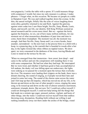own pugnacity. I strike the table with a spoon. If I could measure things with compasses I would, but since my only measure is a phrase, I make phrases—I forget what, on this occasion. We became six people at a table in Hampton Court. We rose and walked together down the avenue. In the thin, the unreal twilight, fitfully like the echo of voices laughing down some alley, geniality returned to me and flesh. Against the gateway, against some cedar tree I saw blaze bright, Neville, Jinny, Rhoda, Louis, Susan, and myself, our life, our identity. Still King William seemed an unreal monarch and his crown mere tinsel. But we—against the brick, against the branches, we six, out of how many million millions, for one moment out of what measureless abundance of past time and time to come, burnt there triumphant. The moment was all; the moment was enough. And then Neville, Jinny, Susan and I, as a wave breaks, burst asunder, surrendered—to the next leaf, to the precise bird, to a child with a hoop, to a prancing dog, to the warmth that is hoarded in woods after a hot day, to the lights twisted like white ribbon on rippled waters. We drew apart; we were consumed in the darkness of the trees, leaving Rhoda and Louis to stand on the terrace by the urn.

'When we emerged from that immersion—how sweet, how deep!—and came to the surface and saw the conspirators still standing there it was with some compunction. We had lost what they had kept. We interrupted. But we were tired, and whether it had been good or bad, accomplished or left undone, the dusky veil was falling upon our endeavours; the lights were sinking as we paused for a moment upon the terrace that overlooks the river. The steamers were landing their trippers on the bank; there was a distant cheering, the sound of singing, as if people waved their hats and joined in some last song. The sound of the chorus came across the water and I felt leap up that old impulse, which has moved me all my life, to be thrown up and down on the roar of other people's voices, singing the same song; to be tossed up and down on the roar of almost senseless merriment, sentiment, triumph, desire. But not now. No! I could not collect myself; I could not distinguish myself; I could not help letting fall the things that had made me a minute ago eager, amused, jealous, vigilant, and hosts of other things, into the water. I could not recover myself from that endless throwing away, dissipation, flooding forth without our willing it and rushing soundlessly away out there under the arches of the bridge, round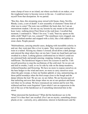some clump of trees or an island, out where sea-birds sit on stakes, over the roughened water to become waves in the sea—I could not recover myself from that dissipation. So we parted.

'Was this, then, this streaming away mixed with Susan, Jinny, Neville, Rhoda, Louis, a sort of death? A new assembly of elements? Some hint of what was to come? The note was scribbled, the book shut, for I am an intermittent student. I do not say my lessons by any means at the stated hour. Later, walking down Fleet Street at the rush hour, I recalled that moment; I continued it. "Must I for ever," I said, "beat my spoon on the table-cloth? Shall I not, too, consent?" The omnibuses were clogged; one came up behind another and stopped with a click, like a link added to a stone chain. People passed.

'Multitudinous, carrying attaché-cases, dodging with incredible celerity in and out, they went past like a river in spate. They went past roaring like a train in a tunnel. Seizing my chance I crossed; dived down a dark passage and entered the shop where they cut my hair. I leant my head back and was swathed in a sheet. Looking-glasses confronted me in which I could see my pinioned body and people passing; stopping, looking, and going on indifferent. The hairdresser began to move his scissors to and fro. I felt myself powerless to stop the oscillations of the cold steel. So we are cut and laid in swaths, I said; so we lie side by side on the damp meadows, withered branches and flowering. We have no more to expose ourselves on the bare hedges to the wind and snow; no more to carry ourselves erect when the gale sweeps, to bear our burden upheld; or stay, unmurmuring, on those pallid noondays when the bird creeps close to the bough and the damp whitens the leaf. We are cut, we are fallen. We are become part of that unfeeling universe that sleeps when we are at our quickest and burns red when we lie asleep. We have renounced our station and lie now flat, withered and how soon forgotten! Upon which I saw an expression in the tail of the eye of the hairdresser as if something interested him in the street.

'What interested the hairdresser? What did the hairdresser see in the street? It is thus that I am recalled. (For I am no mystic; something always plucks at me—curiosity, envy, admiration, interest in hairdressers and the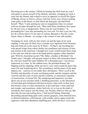like bring me to the surface.) While he brushed the fluff from my coat I took pains to assure myself of his identity, and then, swinging my stick, I went into the Strand, and evoked to serve as opposite to myself the figure of Rhoda, always so furtive, always with fear in her eyes, always seeking some pillar in the desert, to find which she had gone; she had killed herself. "Wait," I said, putting my arm in imagination (thus we consort with our friends) through her arm. "Wait until these omnibuses have gone by. Do not cross so dangerously. These men are your brothers." In persuading her I was also persuading my own soul. For this is not one life; nor do I always know if I am man or woman, Bernard or Neville, Louis, Susan, Jinny, or Rhoda—so strange is the contact of one with another.

'Swinging my stick, with my hair newly cut and the nape of my neck tingling, I went past all those trays of penny toys imported from Germany that men hold out in the street by St Paul's—St Paul's, the brooding hen with spread wings from whose shelter run omnibuses and streams of men and women at the rush hour. I thought how Louis would mount those steps in his neat suit with his cane in his hand and his angular, rather detached gait. With his Australian accent ("My father, a banker at Brisbane") he would come, I thought, with greater respect to these old ceremonies than I do, who have heard the same lullabies for a thousand years. I am always impressed, as I enter, by the rubbed roses; the polished brasses; the flapping and the chanting, while one boy's voice wails round the dome like some lost and wandering dove. The recumbency and the peace of the dead impress me—warriors at rest under their old banners. Then I scoff at the floridity and absurdity of some scrolloping tomb; and the trumpets and the victories and the coats of arms and the certainty, so sonorously repeated, of resurrection, of eternal life. My wandering and inquisitive eye then shows me an awe-stricken child; a shuffling pensioner; or the obeisances of tired shop-girls burdened with heaven knows what strife in their poor thin breasts come to solace themselves in the rush hour. I stray and look and wonder, and sometimes, rather furtively, try to rise on the shaft of somebody else's prayer into the dome, out, beyond, wherever they go. But then like the lost and wailing dove, I find myself failing, fluttering, descending and perching upon some curious gargoyle, some battered nose or absurd tombstone, with humour, with wonder, and so again watch the sightseers with their Baedekers shuffling past, while the boy's voice soars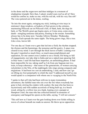in the dome and the organ now and then indulges in a moment of elephantine triumph. How then, I asked, would Louis roof us all in? How would he confine us, make us one, with his red ink, with his very fine nib? The voice petered out in the dome, wailing.

'So into the street again, swinging my stick, looking at wire trays in stationers' shop-windows, at baskets of fruit grown in the colonies, murmuring Pillicock sat on Pillicock's hill, or Hark, hark, the dogs do bark, or The World's great age begins anew, or Come away, come away, death—mingling nonsense and poetry, floating in the stream. Something always has to be done next. Tuesday follows Monday: Wednesday, Tuesday. Each spreads the same ripple. The being grows rings, like a tree. Like a tree, leaves fall.

'For one day as I leant over a gate that led into a field, the rhythm stopped; the rhymes and the hummings, the nonsense and the poetry. A space was cleared in my mind. I saw through the thick leaves of habit. Leaning over the gate I regretted so much litter, so much unaccomplishment and separation, for one cannot cross London to see a friend, life being so full of engagements; nor take ship to India and see a naked man spearing fish in blue water. I said life had been imperfect, an unfinishing phrase. It had been impossible for me, taking snuff as I do from any bagman met in a train, to keep coherency—that sense of the generations, of women carrying red pitchers to the Nile, of the nightingale who sings among conquests and migrations. It had been too vast an undertaking, I said, and how can I go on lifting my foot perpetually to climb the stair? I addressed myself as one would speak to a companion with whom one is voyaging to the North Pole.

'I spoke to that self who had been with me in many tremendous adventures; the faithful man who sits over the fire when everybody has gone to bed, stirring the cinders with a poker; the man who has been so mysteriously and with sudden accretions of being built up, in a beech wood, sitting by a willow tree on a bank, leaning over a parapet at Hampton Court; the man who has collected himself in moments of emergency and banged his spoon on the table, saying, "I will not consent."

'This self now as I leant over the gate looking down over fields rolling in waves of colour beneath me made no answer. He threw up no opposition.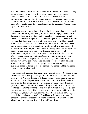He attempted no phrase. His fist did not form. I waited. I listened. Nothing came, nothing. I cried then with a sudden conviction of complete desertion, Now there is nothing. No fin breaks the waste of this immeasurable sea. Life has destroyed me. No echo comes when I speak, no varied words. This is more truly death than the death of friends, than the death of youth. I am the swathed figure in the hairdresser's shop taking up only so much space.

'The scene beneath me withered. It was like the eclipse when the sun went out and left the earth, flourishing in full summer foliage, withered, brittle, false. Also I saw on a winding road in a dust dance the groups we had made, how they came together, how they ate together, how they met in this room or that. I saw my own indefatigable busyness—how I had rushed from one to the other, fetched and carried, travelled and returned, joined this group and that, here kissed, here withdrawn; always kept hard at it by some extraordinary purpose, with my nose to the ground like a dog on the scent; with an occasional toss of the head, an occasional cry of amazement, despair and then back again with my nose to the scent. What a litter—what a confusion; with here birth, here death; succulence and sweetness; effort and anguish; and myself always running hither and thither. Now it was done with. I had no more appetites to glut; no more stings in me with which to poison people; no more sharp teeth and clutching hands or desire to feel the pear and the grape and the sun beating down from the orchard wall.

'The woods had vanished; the earth was a waste of shadow. No sound broke the silence of the wintry landscape. No cock crowed; no smoke rose; no train moved. A man without a self, I said. A heavy body leaning on a gate. A dead man. With dispassionate despair, with entire disillusionment, I surveyed the dust dance; my life, my friends' lives, and those fabulous presences, men with brooms, women writing, the willow tree by the river —clouds and phantoms made of dust too, of dust that changed, as clouds lose and gain and take gold or red and lose their summits and billow this way and that, mutable, vain. I, carrying a notebook, making phrases, had recorded mere changes; a shadow. I had been sedulous to take note of shadows. How can I proceed now, I said, without a self, weightless and visionless, through a world weightless, without illusion?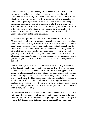'The heaviness of my despondency thrust open the gate I leant on and pushed me, an elderly man, a heavy man with grey hair, through the colourless field, the empty field. No more to hear echoes, no more to see phantoms, to conjure up no opposition, but to walk always unshadowed, making no impress upon the dead earth. If even there had been sheep munching, pushing one foot after another, or a bird, or a man driving a spade into the earth, had there been a bramble to trip me, or a ditch, damp with soaked leaves, into which to fall—but no, the melancholy path led along the level, to more wintriness and pallor and the equal and uninteresting view of the same landscape.

'How then does light return to the world after the eclipse of the sun? Miraculously. Frailly. In thin stripes. It hangs like a glass cage. It is a hoop to be fractured by a tiny jar. There is a spark there. Next moment a flush of dun. Then a vapour as if earth were breathing in and out, once, twice, for the first time. Then under the dullness someone walks with a green light. Then off twists a white wraith. The woods throb blue and green, and gradually the fields drink in red, gold, brown. Suddenly a river snatches a blue light. The earth absorbs colour like a sponge slowly drinking water. It puts on weight; rounds itself; hangs pendent; settles and swings beneath our feet.

'So the landscape returned to me; so I saw the fields rolling in waves of colour beneath me, but now with this difference; I saw but was not seen. I walked unshadowed; I came unheralded. From me had dropped the old cloak, the old response; the hollowed hand that beats back sounds. Thin as a ghost, leaving no trace where I trod, perceiving merely, I walked alone in a new world, never trodden; brushing new flowers, unable to speak save in a child's words of one syllable; without shelter from phrases—I who have made so many; unattended, I who have always gone with my kind; solitary, I who have always had someone to share the empty grate, or the cupboard with its hanging loop of gold.

'But how describe the world seen without a self? There are no words. Blue, red—even they distract, even they hide with thickness instead of letting the light through. How describe or say anything in articulate words again? —save that it fades, save that it undergoes a gradual transformation,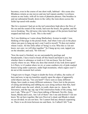becomes, even in the course of one short walk, habitual—this scene also. Blindness returns as one moves and one leaf repeats another. Loveliness returns as one looks, with all its train of phantom phrases. One breathes in and out substantial breath; down in the valley the train draws across the fields lop-eared with smoke.

'But for a moment I had sat on the turf somewhere high above the flow of the sea and the sound of the woods, had seen the house, the garden, and the waves breaking. The old nurse who turns the pages of the picture-book had stopped and had said, "Look. This is the truth."

'So I was thinking as I came along Shaftesbury Avenue to-night. I was thinking of that page in the picture-book. And when I met you in the place where one goes to hang up one's coat I said to myself, "It does not matter whom I meet. All this little affair of 'being' is over. Who this is I do not know; nor care; we will dine together." So I hung up my coat, tapped you on the shoulder, and said, "Sit with me."

'Now the meal is finished; we are surrounded by peelings and breadcrumbs. I have tried to break off this bunch and hand it you; but whether there is substance or truth in it I do not know. Nor do I know exactly where we are. What city does that stretch of sky look down upon? Is it Paris, is it London where we sit, or some southern city of pink-washed houses lying under cypresses, under high mountains, where eagles soar? I do not at this moment feel certain.

'I begin now to forget; I begin to doubt the fixity of tables, the reality of here and now, to tap my knuckles smartly upon the edges of apparently solid objects and say, "Are you hard?" I have seen so many different things, have made so many different sentences. I have lost in the process of eating and drinking and rubbing my eyes along surfaces that thin, hard shell which cases the soul, which, in youth, shuts one in—hence the fierceness, and the tap, tap, tap of the remorseless beaks of the young. And now I ask, "Who am I?" I have been talking of Bernard, Neville, Jinny, Susan, Rhoda and Louis. Am I all of them? Am I one and distinct? I do not know. We sat here together. But now Percival is dead, and Rhoda is dead; we are divided; we are not here. Yet I cannot find any obstacle separating us. There is no division between me and them. As I talked I felt "I am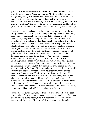you". This difference we make so much of, this identity we so feverishly cherish, was overcome. Yes, ever since old Mrs Constable lifted her sponge and pouring warm water over me covered me with flesh I have been sensitive, percipient. Here on my brow is the blow I got when Percival fell. Here on the nape of my neck is the kiss Jinny gave Louis. My eyes fill with Susan's tears. I see far away, quivering like a gold thread, the pillar Rhoda saw, and feel the rush of the wind of her flight when she leapt.

'Thus when I come to shape here at this table between my hands the story of my life and set it before you as a complete thing, I have to recall things gone far, gone deep, sunk into this life or that and become part of it; dreams, too, things surrounding me, and the inmates, those old halfarticulate ghosts who keep up their hauntings by day and night; who turn over in their sleep, who utter their confused cries, who put out their phantom fingers and clutch at me as I try to escape—shadows of people one might have been; unborn selves. There is the old brute, too, the savage, the hairy man who dabbles his fingers in ropes of entrails; and gobbles and belches; whose speech is guttural, visceral—well, he is here. He squats in me. To-night he has been feasted on quails, salad, and sweetbread. He now holds a glass of fine old brandy in his paw. He brindles, purrs and shoots warm thrills all down my spine as I sip. It is true, he washes his hands before dinner, but they are still hairy. He buttons on trousers and waistcoats, but they contain the same organs. He jibs if I keep him waiting for dinner. He mops and mows perpetually, pointing with his half-idiot gestures of greed and covetousness at what he desires. I assure you, I have great difficulty sometimes in controlling him. That man, the hairy, the ape-like, has contributed his part to my life. He has given a greener glow to green things, has held his torch with its red flames, its thick and smarting smoke, behind every leaf. He has lit up the cool garden even. He has brandished his torch in murky by-streets where girls suddenly seem to shine with a red and intoxicating translucency. Oh, he has tossed his torch high! He has led me wild dances!

'But no more. Now to-night, my body rises tier upon tier like some cool temple whose floor is strewn with carpets and murmurs rise and the altars stand smoking; but up above, here in my serene head, comes only fine gusts of melody, waves of incense, while the lost dove wails, and the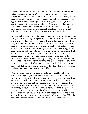banners tremble above tombs, and the dark airs of midnight shake trees outside the open windows. When I look down from this transcendency, how beautiful are even the crumbled relics of bread! What shapely spirals the peelings of pears make—how thin, and mottled like some sea-bird's egg. Even the forks laid straight side by side appear lucid, logical, exact; and the horns of the rolls which we have left are glazed, yellow-plated, hard. I could worship my hand even, with its fan of bones laced by blue mysterious veins and its astonishing look of aptness, suppleness and ability to curl softly or suddenly crush—its infinite sensibility.

'Immeasurably receptive, holding everything, trembling with fullness, yet clear, contained—so my being seems, now that desire urges it no more out and away; now that curiosity no longer dyes it a thousand colours. It lies deep, tideless, immune, now that he is dead, the man I called "Bernard", the man who kept a book in his pocket in which he made notes—phrases for the moon, notes of features; how people looked, turned, dropped their cigarette ends; under B, butterfly powder, under D, ways of naming death. But now let the door open, the glass door that is for ever turning on its hinges. Let a woman come, let a young man in evening-dress with a moustache sit down: is there anything that they can tell me? No! I know all that, too. And if she suddenly gets up and goes, "My dear," I say, "you no longer make me look after you." The shock of the falling wave which has sounded all my life, which woke me so that I saw the gold loop on the cupboard, no longer makes quiver what I hold.

'So now, taking upon me the mystery of things, I could go like a spy without leaving this place, without stirring from my chair. I can visit the remote verges of the desert lands where the savage sits by the camp-fire. Day rises; the girl lifts the watery fire-hearted jewels to her brow; the sun levels his beams straight at the sleeping house; the waves deepen their bars; they fling themselves on shore; back blows the spray; sweeping their waters they surround the boat and the sea-holly. The birds sing in chorus; deep tunnels run between the stalks of flowers; the house is whitened; the sleeper stretches; gradually all is astir. Light floods the room and drives shadow beyond shadow to where they hang in folds inscrutable. What does the central shadow hold? Something? Nothing? I do not know.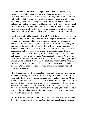'Oh, but there is your face. I catch your eye. I, who had been thinking myself so vast, a temple, a church, a whole universe, unconfined and capable of being everywhere on the verge of things and here too, am now nothing but what you see—an elderly man, rather heavy, grey above the ears, who (I see myself in the glass) leans one elbow on the table, and holds in his left hand a glass of old brandy. That is the blow you have dealt me. I have walked bang into the pillar-box. I reel from side to side. I put my hands to my head. My hat is off—I have dropped my stick. I have made an awful ass of myself and am justly laughed at by any passer-by.

'Lord, how unutterably disgusting life is! What dirty tricks it plays us, one moment free; the next, this. Here we are among the breadcrumbs and the stained napkins again. That knife is already congealing with grease. Disorder, sordidity and corruption surround us. We have been taking into our mouths the bodies of dead birds. It is with these greasy crumbs, slobbered over napkins, and little corpses that we have to build. Always it begins again; always there is the enemy; eyes meeting ours; fingers twitching ours; the effort waiting. Call the waiter. Pay the bill. We must pull ourselves up out of our chairs. We must find our coats. We must go. Must, must, must—detestable word. Once more, I who had thought myself immune, who had said, "Now I am rid of all that," find that the wave has tumbled me over, head over heels, scattering my possessions, leaving me to collect, to assemble, to heap together, summon my forces, rise and confront the enemy.

'It is strange that we, who are capable of so much suffering, should inflict so much suffering. Strange that the face of a person whom I scarcely know save that I think we met once on the gangway of a ship bound for Africa a mere adumbration of eyes, cheeks, nostrils—should have power to inflict this insult. You look, eat, smile, are bored, pleased, annoyed—that is all I know. Yet this shadow which has sat by me for an hour or two, this mask from which peep two eyes, has power to drive me back, to pinion me down among all those other faces, to shut me in a hot room; to send me dashing like a moth from candle to candle.

'But wait. While they add up the bill behind the screen, wait one moment. Now that I have reviled you for the blow that sent me staggering among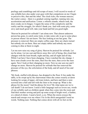peelings and crumblings and old scraps of meat, I will record in words of one syllable how also under your gaze with that compulsion on me I begin to perceive this, that and the other. The clock ticks; the woman sneezes; the waiter comes—there is a gradual coming together, running into one, acceleration and unification. Listen: a whistle sounds, wheels rush, the door creaks on its hinges. I regain the sense of the complexity and the reality and the struggle, for which I thank you. And with some pity, some envy and much good will, take your hand and bid you good night.

'Heaven be praised for solitude! I am alone now. That almost unknown person has gone, to catch some train, to take some cab, to go to some place or person whom I do not know. The face looking at me has gone. The pressure is removed. Here are empty coffee-cups. Here are chairs turned but nobody sits on them. Here are empty tables and nobody any more coming to dine at them to-night.

'Let me now raise my song of glory. Heaven be praised for solitude. Let me be alone. Let me cast and throw away this veil of being, this cloud that changes with the least breath, night and day, and all night and all day. While I sat here I have been changing. I have watched the sky change. I have seen clouds cover the stars, then free the stars, then cover the stars again. Now I look at their changing no more. Now no one sees me and I change no more. Heaven be praised for solitude that has removed the pressure of the eye, the solicitation of the body, and all need of lies and phrases.

'My book, stuffed with phrases, has dropped to the floor. It lies under the table, to be swept up by the charwoman when she comes wearily at dawn looking for scraps of paper, old tram tickets, and here and there a note screwed into a ball and left with the litter to be swept up. What is the phrase for the moon? And the phrase for love? By what name are we to call death? I do not know. I need a little language such as lovers use, words of one syllable such as children speak when they come into the room and find their mother sewing and pick up some scrap of bright wool, a feather, or a shred of chintz. I need a howl; a cry. When the storm crosses the marsh and sweeps over me where I lie in the ditch unregarded I need no words. Nothing neat. Nothing that comes down with all its feet on the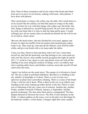floor. None of those resonances and lovely echoes that break and chime from nerve to nerve in our breasts, making wild music, false phrases. I have done with phrases.

'How much better is silence; the coffee-cup, the table. How much better to sit by myself like the solitary sea-bird that opens its wings on the stake. Let me sit here for ever with bare things, this coffee-cup, this knife, this fork, things in themselves, myself being myself. Do not come and worry me with your hints that it is time to shut the shop and be gone. I would willingly give all my money that you should not disturb me but will let me sit on and on, silent, alone.

'But now the head waiter, who has finished his own meal, appears and frowns; he takes his muffler from his pocket and ostentatiously makes ready to go. They must go; must put up the shutters, most fold the tablecloths, and give one brush with a wet mop under the tables.

'Curse you then. However beat and done with it all I am, I must haul myself up, and find the particular coat that belongs to me; must push my arms into the sleeves; must muffle myself up against the night air and be off. I, I, I, tired as I am, spent as I am, and almost worn out with all this rubbing of my nose along the surfaces of things, even I, an elderly man who is getting rather heavy and dislikes exertion, must take myself off and catch some last train.

'Again I see before me the usual street. The canopy of civilization is burnt out. The sky is dark as polished whalebone. But there is a kindling in the sky whether of lamplight or of dawn. There is a stir of some sort sparrows on plane trees somewhere chirping. There is a sense of the break of day. I will not call it dawn. What is dawn in the city to an elderly man standing in the street looking up rather dizzily at the sky? Dawn is some sort of whitening of the sky; some sort of renewal. Another day; another Friday; another twentieth of March, January, or September. Another general awakening. The stars draw back and are extinguished. The bars deepen themselves between the waves. The film of mist thickens on the fields. A redness gathers on the roses, even on the pale rose that hangs by the bedroom window. A bird chirps. Cottagers light their early candles.